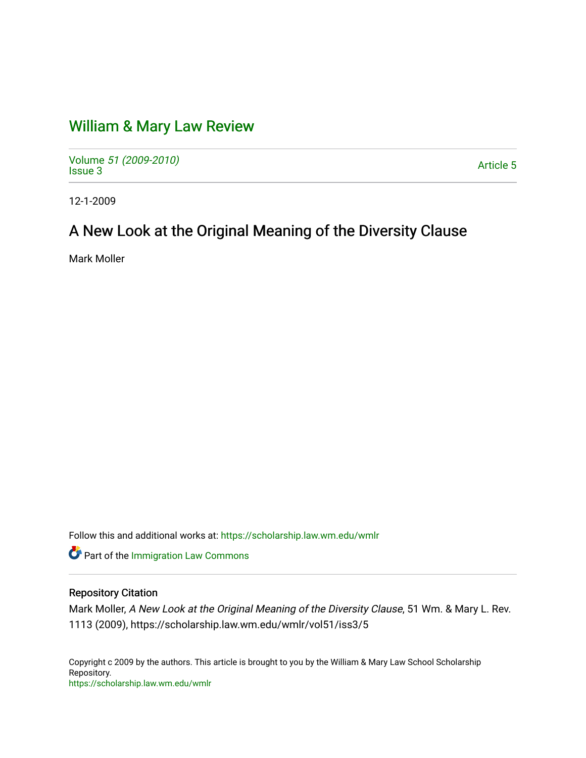# [William & Mary Law Review](https://scholarship.law.wm.edu/wmlr)

Volume [51 \(2009-2010\)](https://scholarship.law.wm.edu/wmlr/vol51)  volume 37 (2009-2010)<br>[Issue 3](https://scholarship.law.wm.edu/wmlr/vol51/iss3) Article 5

12-1-2009

# A New Look at the Original Meaning of the Diversity Clause

Mark Moller

Follow this and additional works at: [https://scholarship.law.wm.edu/wmlr](https://scholarship.law.wm.edu/wmlr?utm_source=scholarship.law.wm.edu%2Fwmlr%2Fvol51%2Fiss3%2F5&utm_medium=PDF&utm_campaign=PDFCoverPages)

**Part of the [Immigration Law Commons](http://network.bepress.com/hgg/discipline/604?utm_source=scholarship.law.wm.edu%2Fwmlr%2Fvol51%2Fiss3%2F5&utm_medium=PDF&utm_campaign=PDFCoverPages)** 

# Repository Citation

Mark Moller, A New Look at the Original Meaning of the Diversity Clause, 51 Wm. & Mary L. Rev. 1113 (2009), https://scholarship.law.wm.edu/wmlr/vol51/iss3/5

Copyright c 2009 by the authors. This article is brought to you by the William & Mary Law School Scholarship Repository. <https://scholarship.law.wm.edu/wmlr>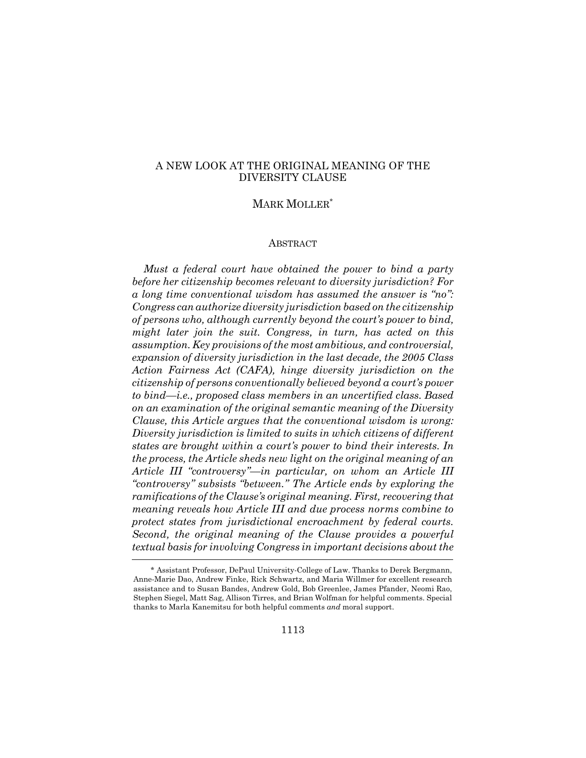# A NEW LOOK AT THE ORIGINAL MEANING OF THE DIVERSITY CLAUSE

# MARK MOLLER\*

#### ABSTRACT

*Must a federal court have obtained the power to bind a party before her citizenship becomes relevant to diversity jurisdiction? For a long time conventional wisdom has assumed the answer is "no": Congress can authorize diversity jurisdiction based on the citizenship of persons who, although currently beyond the court's power to bind, might later join the suit. Congress, in turn, has acted on this assumption. Key provisions of the most ambitious, and controversial, expansion of diversity jurisdiction in the last decade, the 2005 Class Action Fairness Act (CAFA), hinge diversity jurisdiction on the citizenship of persons conventionally believed beyond a court's power to bind—i.e., proposed class members in an uncertified class. Based on an examination of the original semantic meaning of the Diversity Clause, this Article argues that the conventional wisdom is wrong: Diversity jurisdiction is limited to suits in which citizens of different states are brought within a court's power to bind their interests. In the process, the Article sheds new light on the original meaning of an Article III "controversy"—in particular, on whom an Article III "controversy" subsists "between." The Article ends by exploring the ramifications of the Clause's original meaning. First, recovering that meaning reveals how Article III and due process norms combine to protect states from jurisdictional encroachment by federal courts. Second, the original meaning of the Clause provides a powerful textual basis for involving Congress in important decisions about the*

<sup>\*</sup> Assistant Professor, DePaul University-College of Law. Thanks to Derek Bergmann, Anne-Marie Dao, Andrew Finke, Rick Schwartz, and Maria Willmer for excellent research assistance and to Susan Bandes, Andrew Gold, Bob Greenlee, James Pfander, Neomi Rao, Stephen Siegel, Matt Sag, Allison Tirres, and Brian Wolfman for helpful comments. Special thanks to Marla Kanemitsu for both helpful comments *and* moral support.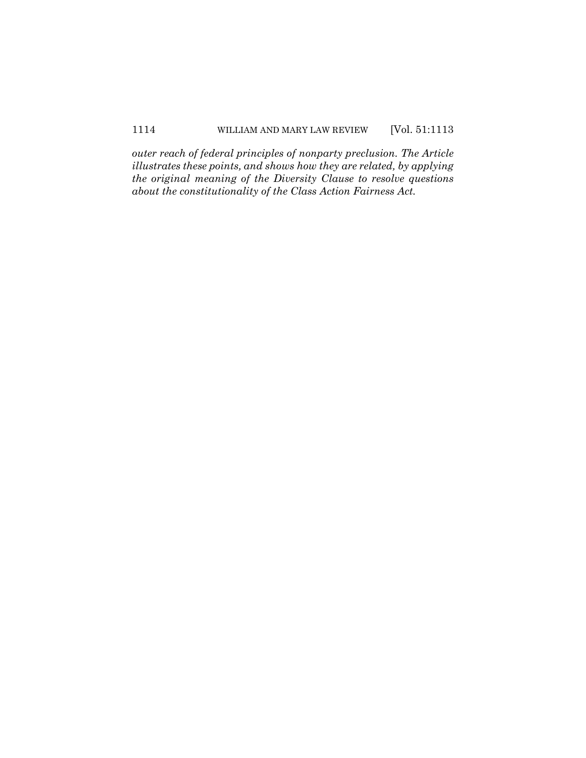*outer reach of federal principles of nonparty preclusion. The Article illustrates these points, and shows how they are related, by applying the original meaning of the Diversity Clause to resolve questions about the constitutionality of the Class Action Fairness Act.*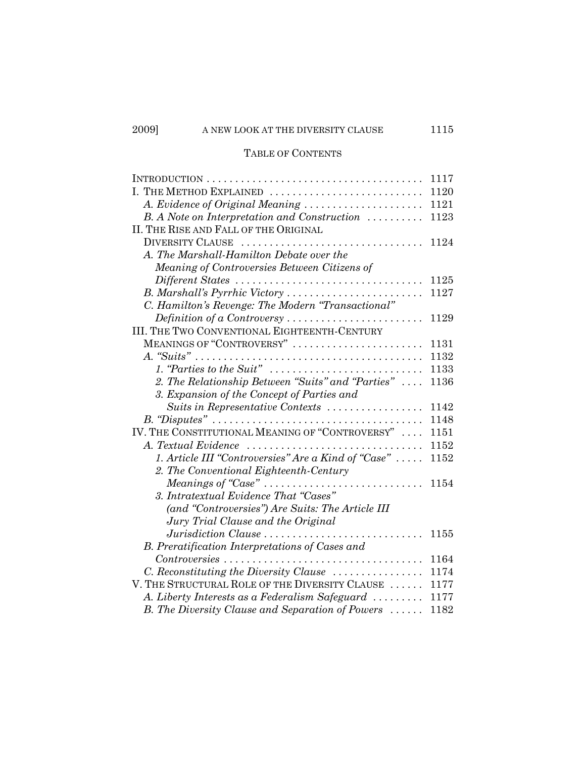# TABLE OF CONTENTS

|                                                                                              | 1117 |
|----------------------------------------------------------------------------------------------|------|
| I. THE METHOD EXPLAINED                                                                      | 1120 |
| A. Evidence of Original Meaning                                                              | 1121 |
| B. A Note on Interpretation and Construction                                                 | 1123 |
| II. THE RISE AND FALL OF THE ORIGINAL                                                        |      |
| DIVERSITY CLAUSE                                                                             | 1124 |
| A. The Marshall-Hamilton Debate over the                                                     |      |
| Meaning of Controversies Between Citizens of                                                 |      |
| Different States                                                                             | 1125 |
| B. Marshall's Pyrrhic Victory                                                                | 1127 |
| C. Hamilton's Revenge: The Modern "Transactional"                                            |      |
| Definition of a Controversy                                                                  | 1129 |
| III. THE TWO CONVENTIONAL EIGHTEENTH-CENTURY                                                 |      |
| MEANINGS OF "CONTROVERSY"                                                                    | 1131 |
|                                                                                              | 1132 |
| 1. "Parties to the Suit" $\ldots \ldots \ldots \ldots \ldots \ldots \ldots \ldots$           | 1133 |
| 2. The Relationship Between "Suits" and "Parties"                                            | 1136 |
| 3. Expansion of the Concept of Parties and                                                   |      |
| Suits in Representative Contexts                                                             | 1142 |
|                                                                                              | 1148 |
| IV. THE CONSTITUTIONAL MEANING OF "CONTROVERSY"                                              | 1151 |
|                                                                                              | 1152 |
| 1. Article III "Controversies" Are a Kind of "Case"                                          | 1152 |
| 2. The Conventional Eighteenth-Century                                                       |      |
|                                                                                              | 1154 |
| 3. Intratextual Evidence That "Cases"                                                        |      |
| (and "Controversies") Are Suits: The Article III                                             |      |
| Jury Trial Clause and the Original                                                           |      |
| Jurisdiction Clause<br>.                                                                     | 1155 |
| B. Preratification Interpretations of Cases and                                              |      |
| $Controversies \ldots \ldots \ldots \ldots \ldots \ldots \ldots \ldots \ldots \ldots \ldots$ | 1164 |
| C. Reconstituting the Diversity Clause                                                       | 1174 |
| V. THE STRUCTURAL ROLE OF THE DIVERSITY CLAUSE                                               | 1177 |
| A. Liberty Interests as a Federalism Safeguard                                               | 1177 |
| B. The Diversity Clause and Separation of Powers                                             | 1182 |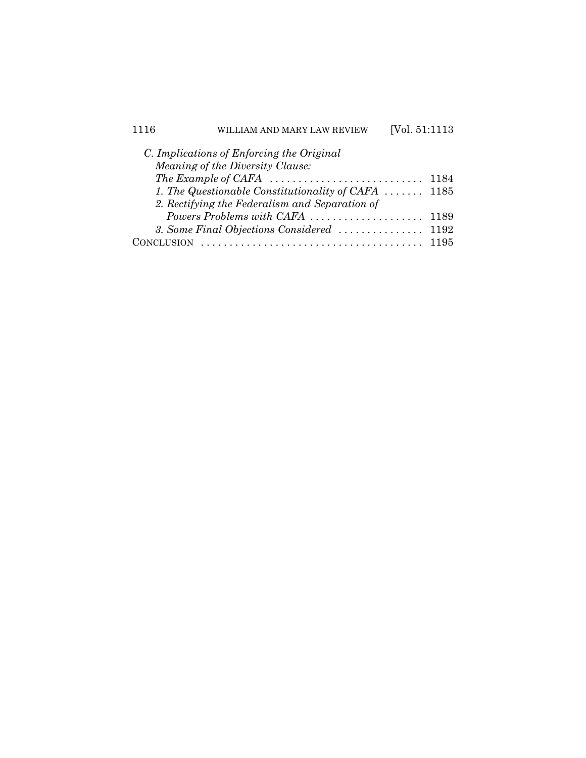| 1116           | LLIAM AND MARY LAW REVIEW                                                                 | [Vol. 51:1113] |      |
|----------------|-------------------------------------------------------------------------------------------|----------------|------|
|                | C. Implications of Enforcing the Original                                                 |                |      |
|                | <i>Meaning of the Diversity Clause:</i>                                                   |                |      |
|                | The Example of CAFA $\ldots \ldots \ldots \ldots \ldots \ldots \ldots \ldots \ldots$ 1184 |                |      |
|                | 1. The Questionable Constitutionality of CAFA $\ldots \ldots$ 1185                        |                |      |
|                | 2. Rectifying the Federalism and Separation of                                            |                |      |
|                | Powers Problems with CAFA                                                                 |                | 1189 |
|                |                                                                                           |                |      |
| <b>CLUSION</b> |                                                                                           |                | 1195 |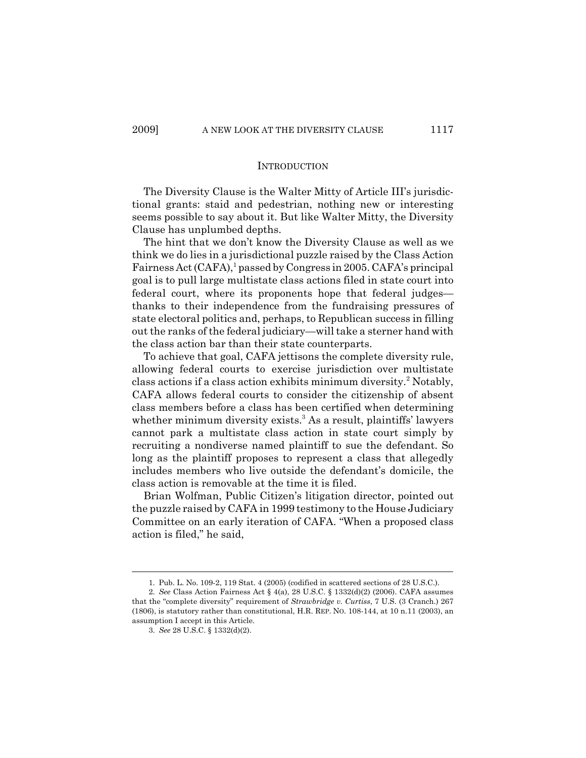#### INTRODUCTION

The Diversity Clause is the Walter Mitty of Article III's jurisdictional grants: staid and pedestrian, nothing new or interesting seems possible to say about it. But like Walter Mitty, the Diversity Clause has unplumbed depths.

The hint that we don't know the Diversity Clause as well as we think we do lies in a jurisdictional puzzle raised by the Class Action Fairness Act (CAFA),<sup>1</sup> passed by Congress in 2005. CAFA's principal goal is to pull large multistate class actions filed in state court into federal court, where its proponents hope that federal judges thanks to their independence from the fundraising pressures of state electoral politics and, perhaps, to Republican success in filling out the ranks of the federal judiciary—will take a sterner hand with the class action bar than their state counterparts.

To achieve that goal, CAFA jettisons the complete diversity rule, allowing federal courts to exercise jurisdiction over multistate class actions if a class action exhibits minimum diversity.<sup>2</sup> Notably, CAFA allows federal courts to consider the citizenship of absent class members before a class has been certified when determining whether minimum diversity exists.<sup>3</sup> As a result, plaintiffs' lawyers cannot park a multistate class action in state court simply by recruiting a nondiverse named plaintiff to sue the defendant. So long as the plaintiff proposes to represent a class that allegedly includes members who live outside the defendant's domicile, the class action is removable at the time it is filed.

Brian Wolfman, Public Citizen's litigation director, pointed out the puzzle raised by CAFA in 1999 testimony to the House Judiciary Committee on an early iteration of CAFA. "When a proposed class action is filed," he said,

<sup>1.</sup> Pub. L. No. 109-2, 119 Stat. 4 (2005) (codified in scattered sections of 28 U.S.C.).

<sup>2.</sup> *See* Class Action Fairness Act § 4(a), 28 U.S.C. § 1332(d)(2) (2006). CAFA assumes that the "complete diversity" requirement of *Strawbridge v. Curtiss*, 7 U.S. (3 Cranch.) 267 (1806), is statutory rather than constitutional, H.R. REP. NO. 108-144, at 10 n.11 (2003), an assumption I accept in this Article.

<sup>3.</sup> *See* 28 U.S.C. § 1332(d)(2).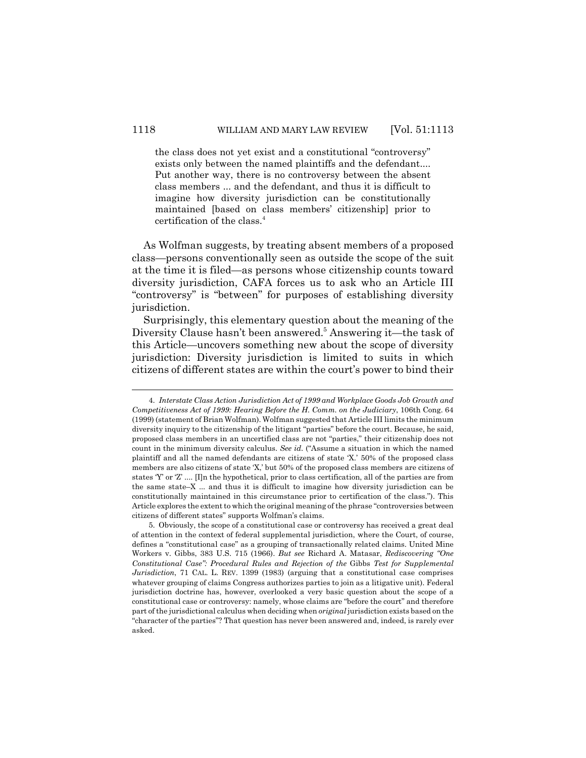the class does not yet exist and a constitutional "controversy" exists only between the named plaintiffs and the defendant.... Put another way, there is no controversy between the absent class members ... and the defendant, and thus it is difficult to imagine how diversity jurisdiction can be constitutionally maintained [based on class members' citizenship] prior to certification of the class.4

As Wolfman suggests, by treating absent members of a proposed class—persons conventionally seen as outside the scope of the suit at the time it is filed—as persons whose citizenship counts toward diversity jurisdiction, CAFA forces us to ask who an Article III "controversy" is "between" for purposes of establishing diversity jurisdiction.

Surprisingly, this elementary question about the meaning of the Diversity Clause hasn't been answered.<sup>5</sup> Answering it—the task of this Article—uncovers something new about the scope of diversity jurisdiction: Diversity jurisdiction is limited to suits in which citizens of different states are within the court's power to bind their

<sup>4.</sup> *Interstate Class Action Jurisdiction Act of 1999 and Workplace Goods Job Growth and Competitiveness Act of 1999: Hearing Before the H. Comm. on the Judiciary*, 106th Cong. 64 (1999) (statement of Brian Wolfman). Wolfman suggested that Article III limits the minimum diversity inquiry to the citizenship of the litigant "parties" before the court. Because, he said, proposed class members in an uncertified class are not "parties," their citizenship does not count in the minimum diversity calculus. *See id*. ("Assume a situation in which the named plaintiff and all the named defendants are citizens of state 'X.' 50% of the proposed class members are also citizens of state 'X,' but 50% of the proposed class members are citizens of states 'Y' or 'Z' .... [I]n the hypothetical, prior to class certification, all of the parties are from the same state–X ... and thus it is difficult to imagine how diversity jurisdiction can be constitutionally maintained in this circumstance prior to certification of the class."). This Article explores the extent to which the original meaning of the phrase "controversies between citizens of different states" supports Wolfman's claims.

<sup>5.</sup> Obviously, the scope of a constitutional case or controversy has received a great deal of attention in the context of federal supplemental jurisdiction, where the Court, of course, defines a "constitutional case" as a grouping of transactionally related claims. United Mine Workers v. Gibbs, 383 U.S. 715 (1966). *But see* Richard A. Matasar, *Rediscovering "One Constitutional Case": Procedural Rules and Rejection of the* Gibbs *Test for Supplemental Jurisdiction*, 71 CAL. L. REV. 1399 (1983) (arguing that a constitutional case comprises whatever grouping of claims Congress authorizes parties to join as a litigative unit). Federal jurisdiction doctrine has, however, overlooked a very basic question about the scope of a constitutional case or controversy: namely, whose claims are "before the court" and therefore part of the jurisdictional calculus when deciding when *original* jurisdiction exists based on the "character of the parties"? That question has never been answered and, indeed, is rarely ever asked.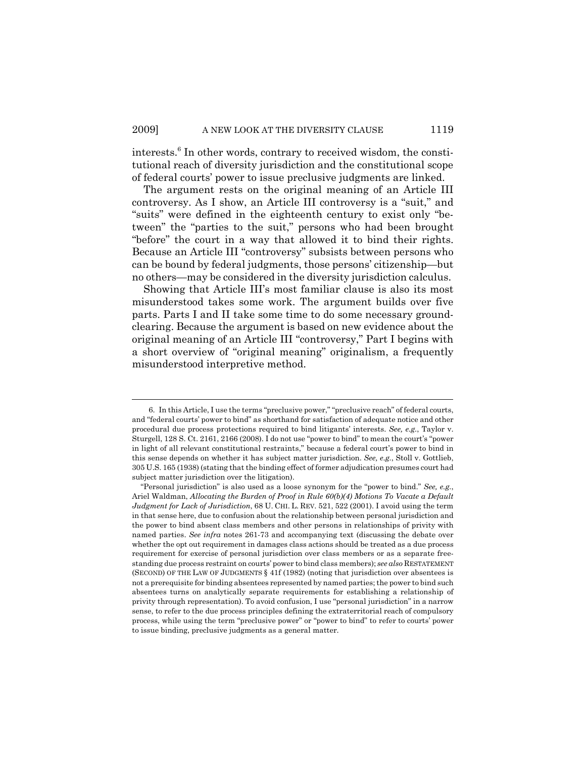interests.<sup>6</sup> In other words, contrary to received wisdom, the constitutional reach of diversity jurisdiction and the constitutional scope of federal courts' power to issue preclusive judgments are linked.

The argument rests on the original meaning of an Article III controversy. As I show, an Article III controversy is a "suit," and "suits" were defined in the eighteenth century to exist only "between" the "parties to the suit," persons who had been brought "before" the court in a way that allowed it to bind their rights. Because an Article III "controversy" subsists between persons who can be bound by federal judgments, those persons' citizenship—but no others—may be considered in the diversity jurisdiction calculus.

Showing that Article III's most familiar clause is also its most misunderstood takes some work. The argument builds over five parts. Parts I and II take some time to do some necessary groundclearing. Because the argument is based on new evidence about the original meaning of an Article III "controversy," Part I begins with a short overview of "original meaning" originalism, a frequently misunderstood interpretive method.

<sup>6.</sup> In this Article, I use the terms "preclusive power," "preclusive reach" of federal courts, and "federal courts' power to bind" as shorthand for satisfaction of adequate notice and other procedural due process protections required to bind litigants' interests. *See, e.g.*, Taylor v. Sturgell, 128 S. Ct. 2161, 2166 (2008). I do not use "power to bind" to mean the court's "power in light of all relevant constitutional restraints," because a federal court's power to bind in this sense depends on whether it has subject matter jurisdiction. *See, e.g.*, Stoll v. Gottlieb, 305 U.S. 165 (1938) (stating that the binding effect of former adjudication presumes court had subject matter jurisdiction over the litigation).

<sup>&</sup>quot;Personal jurisdiction" is also used as a loose synonym for the "power to bind." *See, e.g.*, Ariel Waldman, *Allocating the Burden of Proof in Rule 60(b)(4) Motions To Vacate a Default Judgment for Lack of Jurisdiction*, 68 U. CHI. L. REV. 521, 522 (2001). I avoid using the term in that sense here, due to confusion about the relationship between personal jurisdiction and the power to bind absent class members and other persons in relationships of privity with named parties. *See infra* notes 261-73 and accompanying text (discussing the debate over whether the opt out requirement in damages class actions should be treated as a due process requirement for exercise of personal jurisdiction over class members or as a separate freestanding due process restraint on courts' power to bind class members); *see also* RESTATEMENT (SECOND) OF THE LAW OF JUDGMENTS § 41f (1982) (noting that jurisdiction over absentees is not a prerequisite for binding absentees represented by named parties; the power to bind such absentees turns on analytically separate requirements for establishing a relationship of privity through representation). To avoid confusion, I use "personal jurisdiction" in a narrow sense, to refer to the due process principles defining the extraterritorial reach of compulsory process, while using the term "preclusive power" or "power to bind" to refer to courts' power to issue binding, preclusive judgments as a general matter.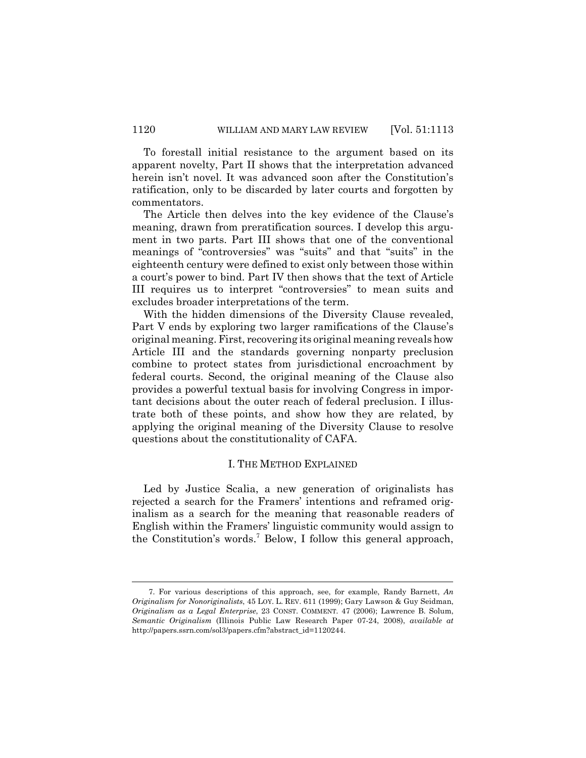To forestall initial resistance to the argument based on its apparent novelty, Part II shows that the interpretation advanced herein isn't novel. It was advanced soon after the Constitution's ratification, only to be discarded by later courts and forgotten by commentators.

The Article then delves into the key evidence of the Clause's meaning, drawn from preratification sources. I develop this argument in two parts. Part III shows that one of the conventional meanings of "controversies" was "suits" and that "suits" in the eighteenth century were defined to exist only between those within a court's power to bind. Part IV then shows that the text of Article III requires us to interpret "controversies" to mean suits and excludes broader interpretations of the term.

With the hidden dimensions of the Diversity Clause revealed, Part V ends by exploring two larger ramifications of the Clause's original meaning. First, recovering its original meaning reveals how Article III and the standards governing nonparty preclusion combine to protect states from jurisdictional encroachment by federal courts. Second, the original meaning of the Clause also provides a powerful textual basis for involving Congress in important decisions about the outer reach of federal preclusion. I illustrate both of these points, and show how they are related, by applying the original meaning of the Diversity Clause to resolve questions about the constitutionality of CAFA.

# I. THE METHOD EXPLAINED

Led by Justice Scalia, a new generation of originalists has rejected a search for the Framers' intentions and reframed originalism as a search for the meaning that reasonable readers of English within the Framers' linguistic community would assign to the Constitution's words.<sup>7</sup> Below, I follow this general approach,

<sup>7.</sup> For various descriptions of this approach, see, for example, Randy Barnett, *An Originalism for Nonoriginalists*, 45 LOY. L. REV. 611 (1999); Gary Lawson & Guy Seidman, *Originalism as a Legal Enterprise*, 23 CONST. COMMENT. 47 (2006); Lawrence B. Solum, *Semantic Originalism* (Illinois Public Law Research Paper 07-24, 2008), *available at* http://papers.ssrn.com/sol3/papers.cfm?abstract\_id=1120244.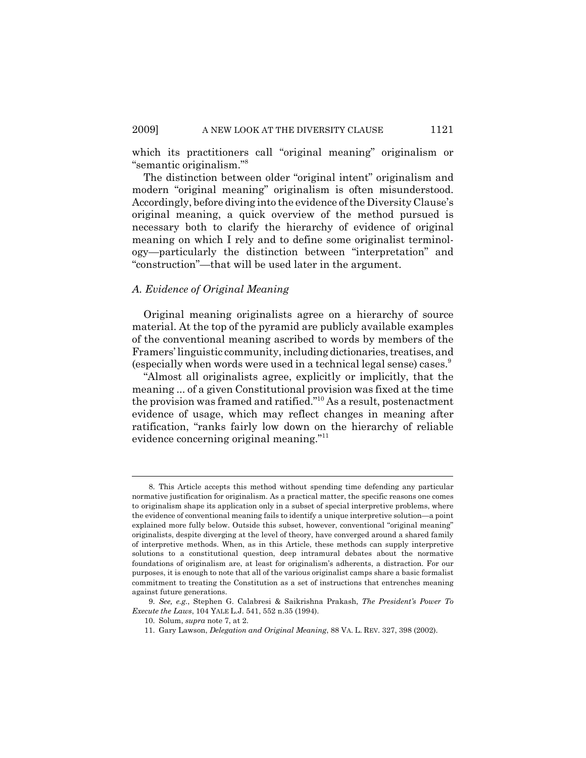which its practitioners call "original meaning" originalism or "semantic originalism."8

The distinction between older "original intent" originalism and modern "original meaning" originalism is often misunderstood. Accordingly, before diving into the evidence of the Diversity Clause's original meaning, a quick overview of the method pursued is necessary both to clarify the hierarchy of evidence of original meaning on which I rely and to define some originalist terminology—particularly the distinction between "interpretation" and "construction"—that will be used later in the argument.

#### *A. Evidence of Original Meaning*

Original meaning originalists agree on a hierarchy of source material. At the top of the pyramid are publicly available examples of the conventional meaning ascribed to words by members of the Framers' linguistic community, including dictionaries, treatises, and (especially when words were used in a technical legal sense) cases.<sup>9</sup>

"Almost all originalists agree, explicitly or implicitly, that the meaning ... of a given Constitutional provision was fixed at the time the provision was framed and ratified."10 As a result, postenactment evidence of usage, which may reflect changes in meaning after ratification, "ranks fairly low down on the hierarchy of reliable evidence concerning original meaning."11

<sup>8.</sup> This Article accepts this method without spending time defending any particular normative justification for originalism. As a practical matter, the specific reasons one comes to originalism shape its application only in a subset of special interpretive problems, where the evidence of conventional meaning fails to identify a unique interpretive solution—a point explained more fully below. Outside this subset, however, conventional "original meaning" originalists, despite diverging at the level of theory, have converged around a shared family of interpretive methods. When, as in this Article, these methods can supply interpretive solutions to a constitutional question, deep intramural debates about the normative foundations of originalism are, at least for originalism's adherents, a distraction. For our purposes, it is enough to note that all of the various originalist camps share a basic formalist commitment to treating the Constitution as a set of instructions that entrenches meaning against future generations.

<sup>9.</sup> *See, e.g.*, Stephen G. Calabresi & Saikrishna Prakash, *The President's Power To Execute the Laws*, 104 YALE L.J. 541, 552 n.35 (1994).

<sup>10.</sup> Solum, *supra* note 7, at 2.

<sup>11.</sup> Gary Lawson, *Delegation and Original Meaning*, 88 VA. L. REV. 327, 398 (2002).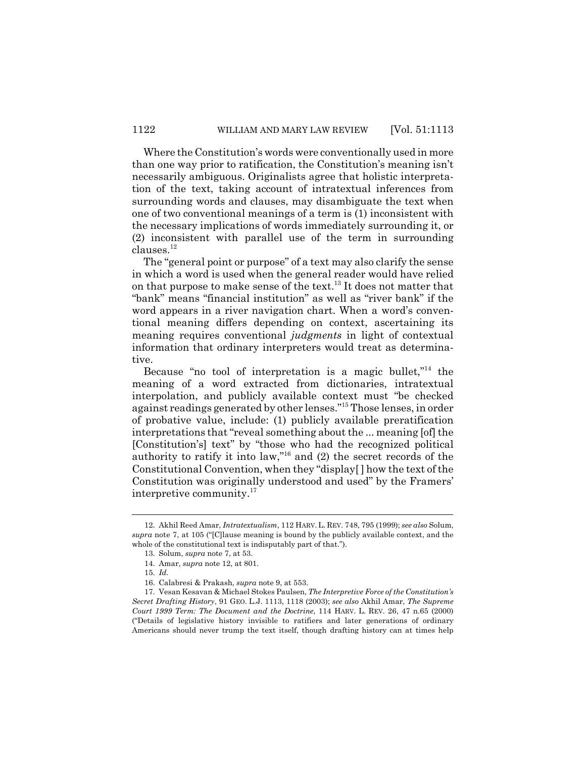Where the Constitution's words were conventionally used in more than one way prior to ratification, the Constitution's meaning isn't necessarily ambiguous. Originalists agree that holistic interpretation of the text, taking account of intratextual inferences from surrounding words and clauses, may disambiguate the text when one of two conventional meanings of a term is (1) inconsistent with the necessary implications of words immediately surrounding it, or (2) inconsistent with parallel use of the term in surrounding clauses.12

The "general point or purpose" of a text may also clarify the sense in which a word is used when the general reader would have relied on that purpose to make sense of the text.<sup>13</sup> It does not matter that "bank" means "financial institution" as well as "river bank" if the word appears in a river navigation chart. When a word's conventional meaning differs depending on context, ascertaining its meaning requires conventional *judgments* in light of contextual information that ordinary interpreters would treat as determinative.

Because "no tool of interpretation is a magic bullet,"<sup>14</sup> the meaning of a word extracted from dictionaries, intratextual interpolation, and publicly available context must "be checked against readings generated by other lenses."15 Those lenses, in order of probative value, include: (1) publicly available preratification interpretations that "reveal something about the ... meaning [of] the [Constitution's] text" by "those who had the recognized political authority to ratify it into law,"<sup>16</sup> and  $(2)$  the secret records of the Constitutional Convention, when they "display[ ] how the text of the Constitution was originally understood and used" by the Framers' interpretive community.<sup>17</sup>

<sup>12.</sup> Akhil Reed Amar, *Intratextualism*, 112 HARV. L. REV. 748, 795 (1999); *see also* Solum, *supra* note 7, at 105 ("[C]lause meaning is bound by the publicly available context, and the whole of the constitutional text is indisputably part of that.").

<sup>13.</sup> Solum, *supra* note 7, at 53.

<sup>14.</sup> Amar, *supra* note 12, at 801.

<sup>15.</sup> *Id.*

<sup>16.</sup> Calabresi & Prakash, *supra* note 9, at 553.

<sup>17.</sup> Vesan Kesavan & Michael Stokes Paulsen, *The Interpretive Force of the Constitution's Secret Drafting History*, 91 GEO. L.J. 1113, 1118 (2003); *see also* Akhil Amar, *The Supreme Court 1999 Term: The Document and the Doctrine*, 114 HARV. L. REV. 26, 47 n.65 (2000) ("Details of legislative history invisible to ratifiers and later generations of ordinary Americans should never trump the text itself, though drafting history can at times help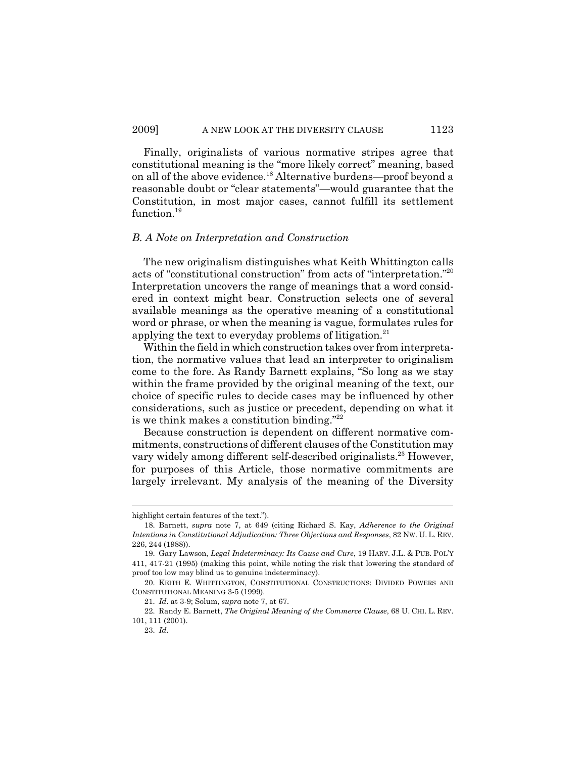#### 2009] A NEW LOOK AT THE DIVERSITY CLAUSE 1123

Finally, originalists of various normative stripes agree that constitutional meaning is the "more likely correct" meaning, based on all of the above evidence.18 Alternative burdens—proof beyond a reasonable doubt or "clear statements"—would guarantee that the Constitution, in most major cases, cannot fulfill its settlement function.<sup>19</sup>

#### *B. A Note on Interpretation and Construction*

The new originalism distinguishes what Keith Whittington calls acts of "constitutional construction" from acts of "interpretation."20 Interpretation uncovers the range of meanings that a word considered in context might bear. Construction selects one of several available meanings as the operative meaning of a constitutional word or phrase, or when the meaning is vague, formulates rules for applying the text to everyday problems of litigation.<sup>21</sup>

Within the field in which construction takes over from interpretation, the normative values that lead an interpreter to originalism come to the fore. As Randy Barnett explains, "So long as we stay within the frame provided by the original meaning of the text, our choice of specific rules to decide cases may be influenced by other considerations, such as justice or precedent, depending on what it is we think makes a constitution binding."<sup>22</sup>

Because construction is dependent on different normative commitments, constructions of different clauses of the Constitution may vary widely among different self-described originalists.<sup>23</sup> However, for purposes of this Article, those normative commitments are largely irrelevant. My analysis of the meaning of the Diversity

highlight certain features of the text.").

<sup>18.</sup> Barnett, *supra* note 7, at 649 (citing Richard S. Kay, *Adherence to the Original Intentions in Constitutional Adjudication: Three Objections and Responses*, 82 NW. U. L. REV. 226, 244 (1988)).

<sup>19.</sup> Gary Lawson, *Legal Indeterminacy: Its Cause and Cure*, 19 HARV. J.L. & PUB. POL'Y 411, 417-21 (1995) (making this point, while noting the risk that lowering the standard of proof too low may blind us to genuine indeterminacy).

<sup>20.</sup> KEITH E. WHITTINGTON, CONSTITUTIONAL CONSTRUCTIONS: DIVIDED POWERS AND CONSTITUTIONAL MEANING 3-5 (1999).

<sup>21.</sup> *Id*. at 3-9; Solum, *supra* note 7, at 67.

<sup>22.</sup> Randy E. Barnett, *The Original Meaning of the Commerce Clause*, 68 U. CHI. L. REV. 101, 111 (2001).

<sup>23.</sup> *Id.*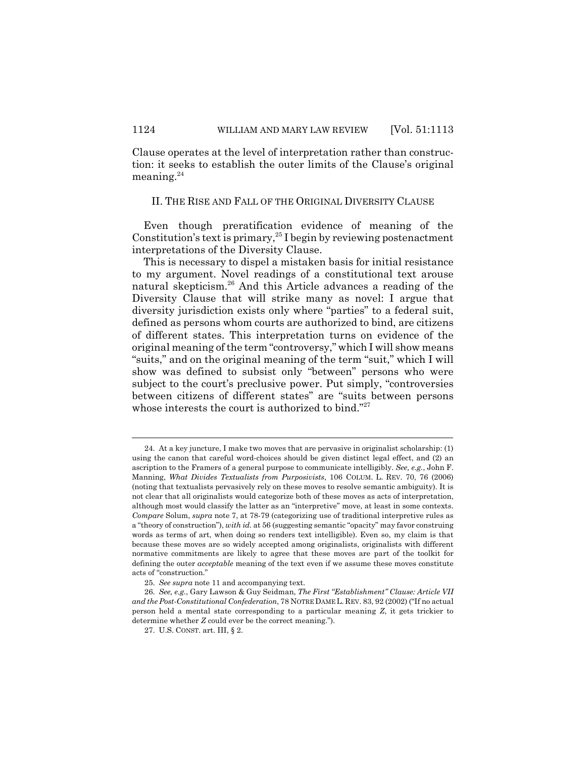Clause operates at the level of interpretation rather than construction: it seeks to establish the outer limits of the Clause's original meaning.24

#### II. THE RISE AND FALL OF THE ORIGINAL DIVERSITY CLAUSE

Even though preratification evidence of meaning of the Constitution's text is primary,  $25$  I begin by reviewing postenactment interpretations of the Diversity Clause.

This is necessary to dispel a mistaken basis for initial resistance to my argument. Novel readings of a constitutional text arouse natural skepticism.<sup>26</sup> And this Article advances a reading of the Diversity Clause that will strike many as novel: I argue that diversity jurisdiction exists only where "parties" to a federal suit, defined as persons whom courts are authorized to bind, are citizens of different states. This interpretation turns on evidence of the original meaning of the term "controversy," which I will show means "suits," and on the original meaning of the term "suit," which I will show was defined to subsist only "between" persons who were subject to the court's preclusive power. Put simply, "controversies between citizens of different states" are "suits between persons whose interests the court is authorized to bind."<sup>27</sup>

<sup>24.</sup> At a key juncture, I make two moves that are pervasive in originalist scholarship: (1) using the canon that careful word-choices should be given distinct legal effect, and (2) an ascription to the Framers of a general purpose to communicate intelligibly. *See, e.g.*, John F. Manning, *What Divides Textualists from Purposivists*, 106 COLUM. L. REV. 70, 76 (2006) (noting that textualists pervasively rely on these moves to resolve semantic ambiguity). It is not clear that all originalists would categorize both of these moves as acts of interpretation, although most would classify the latter as an "interpretive" move, at least in some contexts. *Compare* Solum, *supra* note 7, at 78-79 (categorizing use of traditional interpretive rules as a "theory of construction"), *with id.* at 56 (suggesting semantic "opacity" may favor construing words as terms of art, when doing so renders text intelligible). Even so, my claim is that because these moves are so widely accepted among originalists, originalists with different normative commitments are likely to agree that these moves are part of the toolkit for defining the outer *acceptable* meaning of the text even if we assume these moves constitute acts of "construction."

<sup>25.</sup> *See supra* note 11 and accompanying text.

<sup>26.</sup> *See, e.g.*, Gary Lawson & Guy Seidman, *The First "Establishment" Clause: Article VII and the Post-Constitutional Confederation*, 78 NOTREDAME L. REV. 83, 92 (2002) ("If no actual person held a mental state corresponding to a particular meaning *Z*, it gets trickier to determine whether *Z* could ever be the correct meaning.").

<sup>27.</sup> U.S. CONST. art. III, § 2.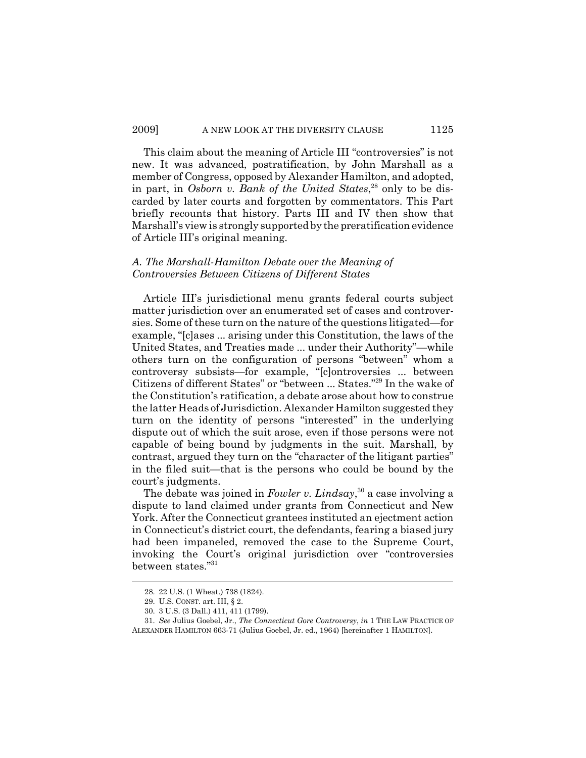This claim about the meaning of Article III "controversies" is not new. It was advanced, postratification, by John Marshall as a member of Congress, opposed by Alexander Hamilton, and adopted, in part, in *Osborn v. Bank of the United States*, 28 only to be discarded by later courts and forgotten by commentators. This Part briefly recounts that history. Parts III and IV then show that Marshall's view is strongly supported by the preratification evidence of Article III's original meaning.

# *A. The Marshall-Hamilton Debate over the Meaning of Controversies Between Citizens of Different States*

Article III's jurisdictional menu grants federal courts subject matter jurisdiction over an enumerated set of cases and controversies. Some of these turn on the nature of the questions litigated—for example, "[c]ases ... arising under this Constitution, the laws of the United States, and Treaties made ... under their Authority"—while others turn on the configuration of persons "between" whom a controversy subsists—for example, "[c]ontroversies ... between Citizens of different States" or "between ... States."29 In the wake of the Constitution's ratification, a debate arose about how to construe the latter Heads of Jurisdiction. Alexander Hamilton suggested they turn on the identity of persons "interested" in the underlying dispute out of which the suit arose, even if those persons were not capable of being bound by judgments in the suit. Marshall, by contrast, argued they turn on the "character of the litigant parties" in the filed suit—that is the persons who could be bound by the court's judgments.

The debate was joined in *Fowler v. Lindsay*, 30 a case involving a dispute to land claimed under grants from Connecticut and New York. After the Connecticut grantees instituted an ejectment action in Connecticut's district court, the defendants, fearing a biased jury had been impaneled, removed the case to the Supreme Court, invoking the Court's original jurisdiction over "controversies between states."31

<sup>28. 22</sup> U.S. (1 Wheat.) 738 (1824).

<sup>29.</sup> U.S. CONST. art. III, § 2.

<sup>30. 3</sup> U.S. (3 Dall.) 411, 411 (1799).

<sup>31.</sup> *See* Julius Goebel, Jr., *The Connecticut Gore Controversy*, *in* 1 THE LAW PRACTICE OF ALEXANDER HAMILTON 663-71 (Julius Goebel, Jr. ed., 1964) [hereinafter 1 HAMILTON].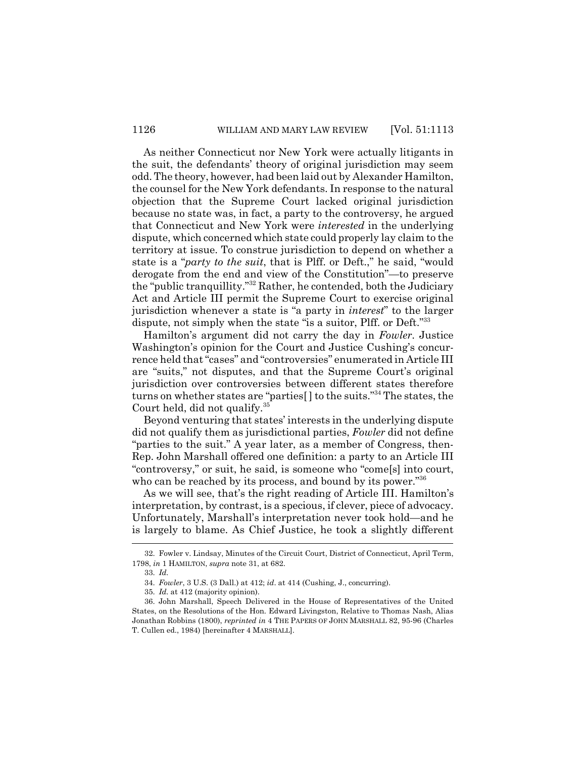As neither Connecticut nor New York were actually litigants in the suit, the defendants' theory of original jurisdiction may seem odd. The theory, however, had been laid out by Alexander Hamilton, the counsel for the New York defendants. In response to the natural objection that the Supreme Court lacked original jurisdiction because no state was, in fact, a party to the controversy, he argued that Connecticut and New York were *interested* in the underlying dispute, which concerned which state could properly lay claim to the territory at issue. To construe jurisdiction to depend on whether a state is a "*party to the suit*, that is Plff. or Deft.," he said, "would derogate from the end and view of the Constitution"—to preserve the "public tranquillity."32 Rather, he contended, both the Judiciary Act and Article III permit the Supreme Court to exercise original jurisdiction whenever a state is "a party in *interest*" to the larger dispute, not simply when the state "is a suitor, Plff. or Deft."<sup>33</sup>

Hamilton's argument did not carry the day in *Fowler*. Justice Washington's opinion for the Court and Justice Cushing's concurrence held that "cases" and "controversies" enumerated in Article III are "suits," not disputes, and that the Supreme Court's original jurisdiction over controversies between different states therefore turns on whether states are "parties[ ] to the suits."34 The states, the Court held, did not qualify.35

Beyond venturing that states' interests in the underlying dispute did not qualify them as jurisdictional parties, *Fowler* did not define "parties to the suit." A year later, as a member of Congress, then-Rep. John Marshall offered one definition: a party to an Article III "controversy," or suit, he said, is someone who "come[s] into court, who can be reached by its process, and bound by its power."<sup>36</sup>

As we will see, that's the right reading of Article III. Hamilton's interpretation, by contrast, is a specious, if clever, piece of advocacy. Unfortunately, Marshall's interpretation never took hold—and he is largely to blame. As Chief Justice, he took a slightly different

<sup>32.</sup> Fowler v. Lindsay, Minutes of the Circuit Court, District of Connecticut, April Term, 1798, *in* 1 HAMILTON, *supra* note 31, at 682.

<sup>33.</sup> *Id.*

<sup>34.</sup> *Fowler*, 3 U.S. (3 Dall.) at 412; *id*. at 414 (Cushing, J., concurring).

<sup>35.</sup> *Id.* at 412 (majority opinion).

<sup>36.</sup> John Marshall, Speech Delivered in the House of Representatives of the United States, on the Resolutions of the Hon. Edward Livingston, Relative to Thomas Nash, Alias Jonathan Robbins (1800), *reprinted in* 4 THE PAPERS OF JOHN MARSHALL 82, 95-96 (Charles T. Cullen ed., 1984) [hereinafter 4 MARSHALL].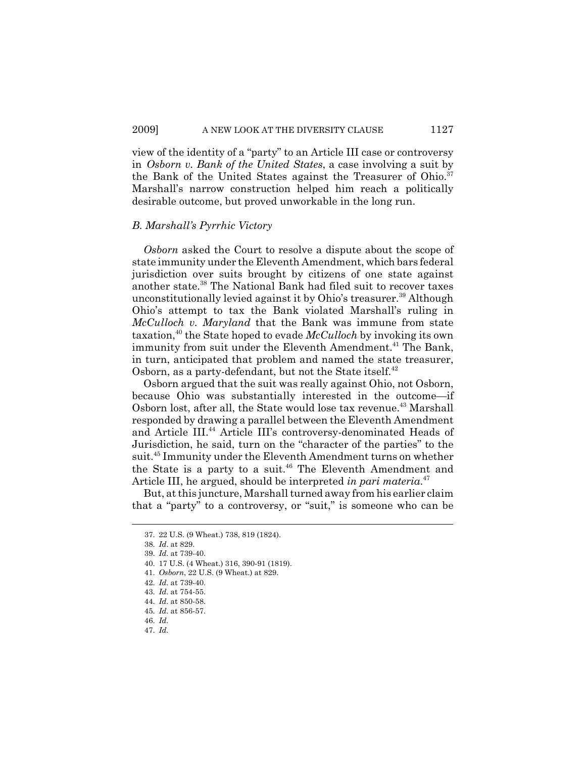view of the identity of a "party" to an Article III case or controversy in *Osborn v. Bank of the United States*, a case involving a suit by the Bank of the United States against the Treasurer of Ohio.<sup>37</sup> Marshall's narrow construction helped him reach a politically desirable outcome, but proved unworkable in the long run.

#### *B. Marshall's Pyrrhic Victory*

*Osborn* asked the Court to resolve a dispute about the scope of state immunity under the Eleventh Amendment, which bars federal jurisdiction over suits brought by citizens of one state against another state.<sup>38</sup> The National Bank had filed suit to recover taxes unconstitutionally levied against it by Ohio's treasurer.<sup>39</sup> Although Ohio's attempt to tax the Bank violated Marshall's ruling in *McCulloch v. Maryland* that the Bank was immune from state taxation,40 the State hoped to evade *McCulloch* by invoking its own immunity from suit under the Eleventh Amendment.<sup>41</sup> The Bank, in turn, anticipated that problem and named the state treasurer, Osborn, as a party-defendant, but not the State itself.<sup>42</sup>

Osborn argued that the suit was really against Ohio, not Osborn, because Ohio was substantially interested in the outcome—if Osborn lost, after all, the State would lose tax revenue.<sup>43</sup> Marshall responded by drawing a parallel between the Eleventh Amendment and Article III.<sup>44</sup> Article III's controversy-denominated Heads of Jurisdiction, he said, turn on the "character of the parties" to the suit.45 Immunity under the Eleventh Amendment turns on whether the State is a party to a suit.<sup>46</sup> The Eleventh Amendment and Article III, he argued, should be interpreted *in pari materia*. 47

But, at this juncture, Marshall turned away from his earlier claim that a "party" to a controversy, or "suit," is someone who can be

<sup>37. 22</sup> U.S. (9 Wheat.) 738, 819 (1824).

<sup>38.</sup> *Id*. at 829.

<sup>39.</sup> *Id.* at 739-40.

<sup>40. 17</sup> U.S. (4 Wheat.) 316, 390-91 (1819).

<sup>41.</sup> *Osborn*, 22 U.S. (9 Wheat.) at 829.

<sup>42.</sup> *Id.* at 739-40.

<sup>43.</sup> *Id.* at 754-55.

<sup>44.</sup> *Id.* at 850-58.

<sup>45.</sup> *Id.* at 856-57.

<sup>46.</sup> *Id.*

<sup>47.</sup> *Id.*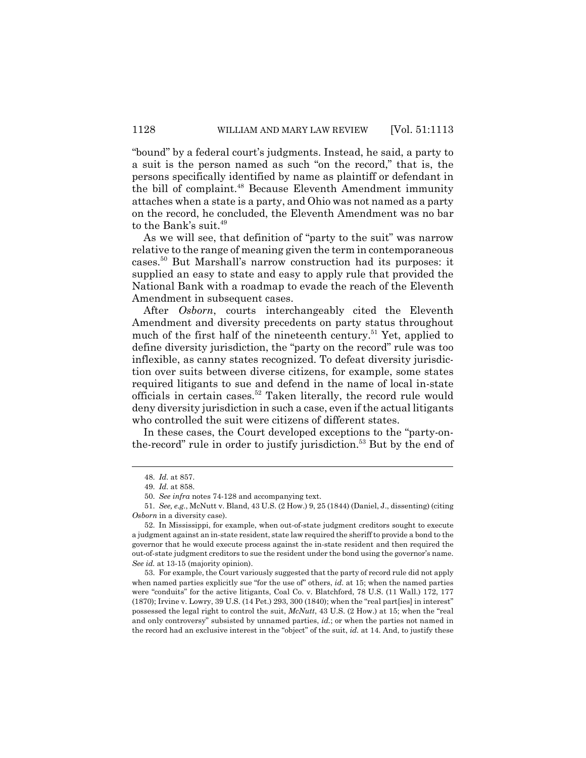"bound" by a federal court's judgments. Instead, he said, a party to a suit is the person named as such "on the record," that is, the persons specifically identified by name as plaintiff or defendant in the bill of complaint.<sup>48</sup> Because Eleventh Amendment immunity attaches when a state is a party, and Ohio was not named as a party on the record, he concluded, the Eleventh Amendment was no bar to the Bank's suit.<sup>49</sup>

As we will see, that definition of "party to the suit" was narrow relative to the range of meaning given the term in contemporaneous cases.50 But Marshall's narrow construction had its purposes: it supplied an easy to state and easy to apply rule that provided the National Bank with a roadmap to evade the reach of the Eleventh Amendment in subsequent cases.

After *Osborn*, courts interchangeably cited the Eleventh Amendment and diversity precedents on party status throughout much of the first half of the nineteenth century.<sup>51</sup> Yet, applied to define diversity jurisdiction, the "party on the record" rule was too inflexible, as canny states recognized. To defeat diversity jurisdiction over suits between diverse citizens, for example, some states required litigants to sue and defend in the name of local in-state officials in certain cases.<sup>52</sup> Taken literally, the record rule would deny diversity jurisdiction in such a case, even if the actual litigants who controlled the suit were citizens of different states.

In these cases, the Court developed exceptions to the "party-onthe-record" rule in order to justify jurisdiction.<sup>53</sup> But by the end of

<sup>48.</sup> *Id.* at 857.

<sup>49.</sup> *Id.* at 858.

<sup>50.</sup> *See infra* notes 74-128 and accompanying text.

<sup>51.</sup> *See, e.g.*, McNutt v. Bland, 43 U.S. (2 How.) 9, 25 (1844) (Daniel, J., dissenting) (citing *Osborn* in a diversity case).

<sup>52.</sup> In Mississippi, for example, when out-of-state judgment creditors sought to execute a judgment against an in-state resident, state law required the sheriff to provide a bond to the governor that he would execute process against the in-state resident and then required the out-of-state judgment creditors to sue the resident under the bond using the governor's name. *See id.* at 13-15 (majority opinion).

<sup>53.</sup> For example, the Court variously suggested that the party of record rule did not apply when named parties explicitly sue "for the use of" others, *id*. at 15; when the named parties were "conduits" for the active litigants, Coal Co. v. Blatchford, 78 U.S. (11 Wall.) 172, 177 (1870); Irvine v. Lowry, 39 U.S. (14 Pet.) 293, 300 (1840); when the "real part[ies] in interest" possessed the legal right to control the suit, *McNutt*, 43 U.S. (2 How.) at 15; when the "real and only controversy" subsisted by unnamed parties, *id.*; or when the parties not named in the record had an exclusive interest in the "object" of the suit, *id.* at 14. And, to justify these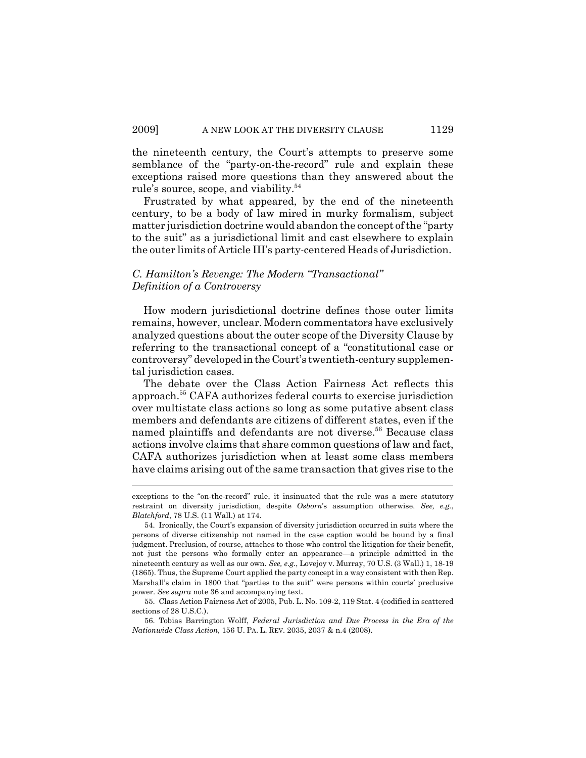the nineteenth century, the Court's attempts to preserve some semblance of the "party-on-the-record" rule and explain these exceptions raised more questions than they answered about the rule's source, scope, and viability.54

Frustrated by what appeared, by the end of the nineteenth century, to be a body of law mired in murky formalism, subject matter jurisdiction doctrine would abandon the concept of the "party to the suit" as a jurisdictional limit and cast elsewhere to explain the outer limits of Article III's party-centered Heads of Jurisdiction.

# *C. Hamilton's Revenge: The Modern "Transactional" Definition of a Controversy*

How modern jurisdictional doctrine defines those outer limits remains, however, unclear. Modern commentators have exclusively analyzed questions about the outer scope of the Diversity Clause by referring to the transactional concept of a "constitutional case or controversy" developed in the Court's twentieth-century supplemental jurisdiction cases.

The debate over the Class Action Fairness Act reflects this approach.55 CAFA authorizes federal courts to exercise jurisdiction over multistate class actions so long as some putative absent class members and defendants are citizens of different states, even if the named plaintiffs and defendants are not diverse.<sup>56</sup> Because class actions involve claims that share common questions of law and fact, CAFA authorizes jurisdiction when at least some class members have claims arising out of the same transaction that gives rise to the

56. Tobias Barrington Wolff, *Federal Jurisdiction and Due Process in the Era of the Nationwide Class Action*, 156 U. PA. L. REV. 2035, 2037 & n.4 (2008).

exceptions to the "on-the-record" rule, it insinuated that the rule was a mere statutory restraint on diversity jurisdiction, despite *Osborn*'s assumption otherwise. *See, e.g.*, *Blatchford*, 78 U.S. (11 Wall.) at 174.

<sup>54.</sup> Ironically, the Court's expansion of diversity jurisdiction occurred in suits where the persons of diverse citizenship not named in the case caption would be bound by a final judgment. Preclusion, of course, attaches to those who control the litigation for their benefit, not just the persons who formally enter an appearance—a principle admitted in the nineteenth century as well as our own. *See, e.g.*, Lovejoy v. Murray, 70 U.S. (3 Wall.) 1, 18-19 (1865). Thus, the Supreme Court applied the party concept in a way consistent with then Rep. Marshall's claim in 1800 that "parties to the suit" were persons within courts' preclusive power. *See supra* note 36 and accompanying text.

<sup>55.</sup> Class Action Fairness Act of 2005, Pub. L. No. 109-2, 119 Stat. 4 (codified in scattered sections of 28 U.S.C.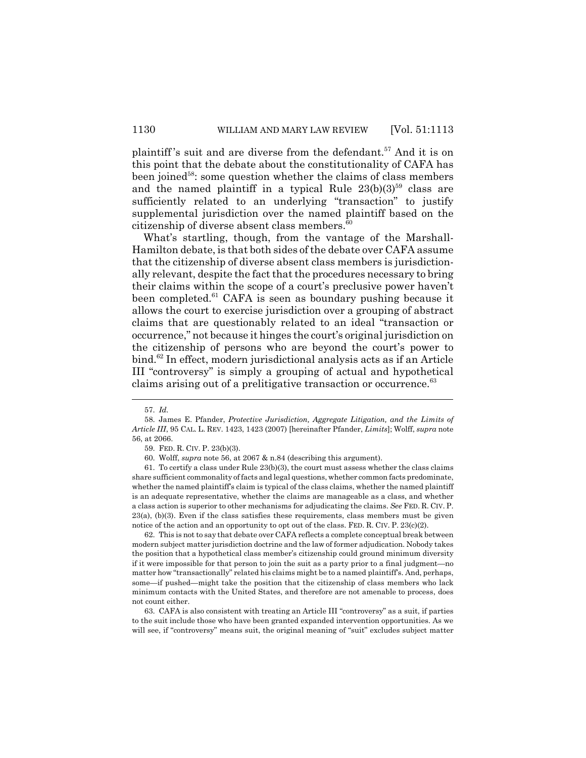plaintiff's suit and are diverse from the defendant.<sup>57</sup> And it is on this point that the debate about the constitutionality of CAFA has been joined<sup>58</sup>: some question whether the claims of class members and the named plaintiff in a typical Rule  $23(b)(3)^{59}$  class are sufficiently related to an underlying "transaction" to justify supplemental jurisdiction over the named plaintiff based on the citizenship of diverse absent class members.<sup>60</sup>

What's startling, though, from the vantage of the Marshall-Hamilton debate, is that both sides of the debate over CAFA assume that the citizenship of diverse absent class members is jurisdictionally relevant, despite the fact that the procedures necessary to bring their claims within the scope of a court's preclusive power haven't been completed.<sup>61</sup> CAFA is seen as boundary pushing because it allows the court to exercise jurisdiction over a grouping of abstract claims that are questionably related to an ideal "transaction or occurrence," not because it hinges the court's original jurisdiction on the citizenship of persons who are beyond the court's power to bind.62 In effect, modern jurisdictional analysis acts as if an Article III "controversy" is simply a grouping of actual and hypothetical claims arising out of a prelitigative transaction or occurrence.<sup>63</sup>

62. This is not to say that debate over CAFA reflects a complete conceptual break between modern subject matter jurisdiction doctrine and the law of former adjudication. Nobody takes the position that a hypothetical class member's citizenship could ground minimum diversity if it were impossible for that person to join the suit as a party prior to a final judgment—no matter how "transactionally" related his claims might be to a named plaintiff's. And, perhaps, some—if pushed—might take the position that the citizenship of class members who lack minimum contacts with the United States, and therefore are not amenable to process, does not count either.

63. CAFA is also consistent with treating an Article III "controversy" as a suit, if parties to the suit include those who have been granted expanded intervention opportunities. As we will see, if "controversy" means suit, the original meaning of "suit" excludes subject matter

<sup>57.</sup> *Id.*

<sup>58.</sup> James E. Pfander, *Protective Jurisdiction, Aggregate Litigation, and the Limits of Article III*, 95 CAL. L. REV. 1423, 1423 (2007) [hereinafter Pfander, *Limits*]; Wolff, *supra* note 56, at 2066.

<sup>59.</sup> FED. R. CIV. P. 23(b)(3).

<sup>60.</sup> Wolff, *supra* note 56, at 2067 & n.84 (describing this argument).

<sup>61.</sup> To certify a class under Rule 23(b)(3), the court must assess whether the class claims share sufficient commonality of facts and legal questions, whether common facts predominate, whether the named plaintiff's claim is typical of the class claims, whether the named plaintiff is an adequate representative, whether the claims are manageable as a class, and whether a class action is superior to other mechanisms for adjudicating the claims. *See* FED. R. CIV. P.  $23(a)$ ,  $(b)(3)$ . Even if the class satisfies these requirements, class members must be given notice of the action and an opportunity to opt out of the class. FED. R. CIV. P. 23(c)(2).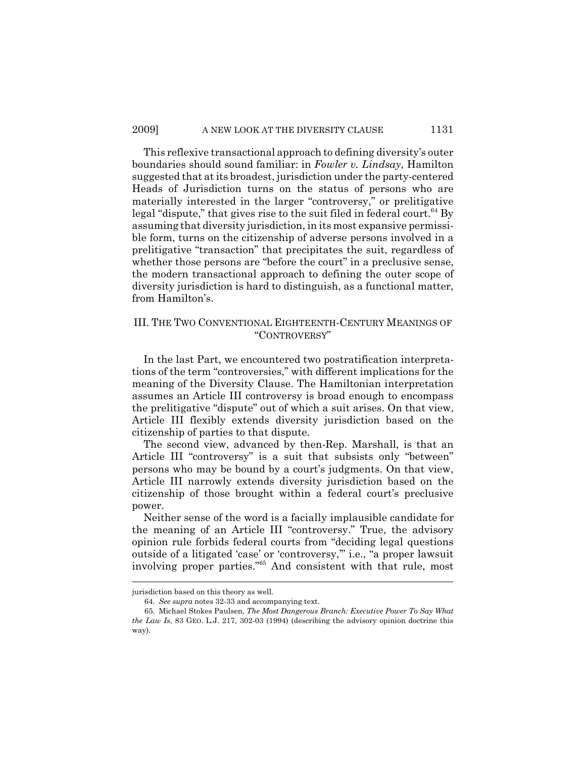This reflexive transactional approach to defining diversity's outer boundaries should sound familiar: in *Fowler v. Lindsay*, Hamilton suggested that at its broadest, jurisdiction under the party-centered Heads of Jurisdiction turns on the status of persons who are materially interested in the larger "controversy," or prelitigative legal "dispute," that gives rise to the suit filed in federal court.<sup>64</sup> By assuming that diversity jurisdiction, in its most expansive permissible form, turns on the citizenship of adverse persons involved in a prelitigative "transaction" that precipitates the suit, regardless of whether those persons are "before the court" in a preclusive sense, the modern transactional approach to defining the outer scope of diversity jurisdiction is hard to distinguish, as a functional matter, from Hamilton's.

### III. THE TWO CONVENTIONAL EIGHTEENTH-CENTURY MEANINGS OF "CONTROVERSY"

In the last Part, we encountered two postratification interpretations of the term "controversies," with different implications for the meaning of the Diversity Clause. The Hamiltonian interpretation assumes an Article III controversy is broad enough to encompass the prelitigative "dispute" out of which a suit arises. On that view, Article III flexibly extends diversity jurisdiction based on the citizenship of parties to that dispute.

The second view, advanced by then-Rep. Marshall, is that an Article III "controversy" is a suit that subsists only "between" persons who may be bound by a court's judgments. On that view, Article III narrowly extends diversity jurisdiction based on the citizenship of those brought within a federal court's preclusive power.

Neither sense of the word is a facially implausible candidate for the meaning of an Article III "controversy." True, the advisory opinion rule forbids federal courts from "deciding legal questions outside of a litigated 'case' or 'controversy,'" i.e., "a proper lawsuit involving proper parties."65 And consistent with that rule, most

jurisdiction based on this theory as well.

<sup>64.</sup> *See supra* notes 32-33 and accompanying text.

<sup>65.</sup> Michael Stokes Paulsen, *The Most Dangerous Branch: Executive Power To Say What the Law Is*, 83 GEO. L.J. 217, 302-03 (1994) (describing the advisory opinion doctrine this way).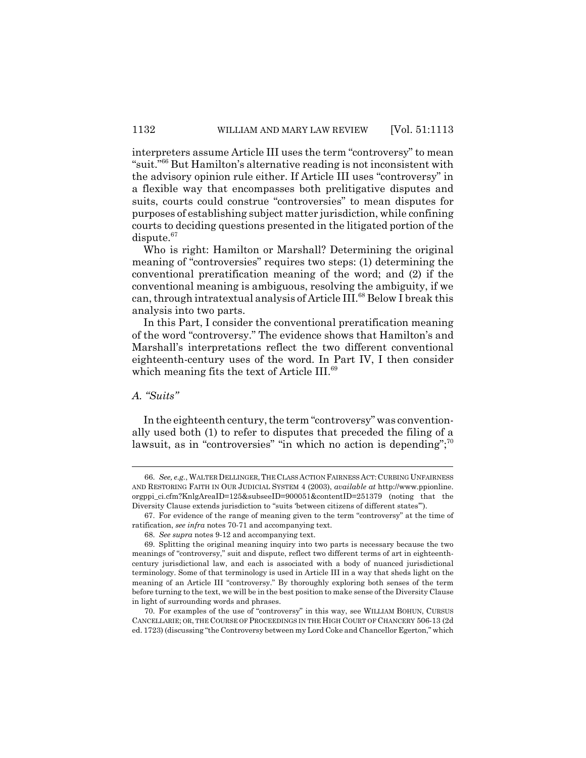interpreters assume Article III uses the term "controversy" to mean "suit."66 But Hamilton's alternative reading is not inconsistent with the advisory opinion rule either. If Article III uses "controversy" in a flexible way that encompasses both prelitigative disputes and suits, courts could construe "controversies" to mean disputes for purposes of establishing subject matter jurisdiction, while confining courts to deciding questions presented in the litigated portion of the dispute.<sup>67</sup>

Who is right: Hamilton or Marshall? Determining the original meaning of "controversies" requires two steps: (1) determining the conventional preratification meaning of the word; and (2) if the conventional meaning is ambiguous, resolving the ambiguity, if we can, through intratextual analysis of Article III.<sup>68</sup> Below I break this analysis into two parts.

In this Part, I consider the conventional preratification meaning of the word "controversy." The evidence shows that Hamilton's and Marshall's interpretations reflect the two different conventional eighteenth-century uses of the word. In Part IV, I then consider which meaning fits the text of Article III.<sup>69</sup>

# *A. "Suits"*

In the eighteenth century, the term "controversy" was conventionally used both (1) to refer to disputes that preceded the filing of a lawsuit, as in "controversies" "in which no action is depending"; $\frac{70}{3}$ 

<sup>66.</sup> *See, e.g.*, WALTERDELLINGER, THE CLASS ACTION FAIRNESS ACT:CURBING UNFAIRNESS AND RESTORING FAITH IN OUR JUDICIAL SYSTEM 4 (2003), *available at* http://www.ppionline. orgppi\_ci.cfm?KnlgAreaID=125&subseeID=900051&contentID=251379 (noting that the Diversity Clause extends jurisdiction to "suits 'between citizens of different states'").

<sup>67.</sup> For evidence of the range of meaning given to the term "controversy" at the time of ratification, *see infra* notes 70-71 and accompanying text.

<sup>68.</sup> *See supra* notes 9-12 and accompanying text.

<sup>69.</sup> Splitting the original meaning inquiry into two parts is necessary because the two meanings of "controversy," suit and dispute, reflect two different terms of art in eighteenthcentury jurisdictional law, and each is associated with a body of nuanced jurisdictional terminology. Some of that terminology is used in Article III in a way that sheds light on the meaning of an Article III "controversy." By thoroughly exploring both senses of the term before turning to the text, we will be in the best position to make sense of the Diversity Clause in light of surrounding words and phrases.

<sup>70.</sup> For examples of the use of "controversy" in this way, see WILLIAM BOHUN, CURSUS CANCELLARIE; OR, THE COURSE OF PROCEEDINGS IN THE HIGH COURT OF CHANCERY 506-13 (2d ed. 1723) (discussing "the Controversy between my Lord Coke and Chancellor Egerton," which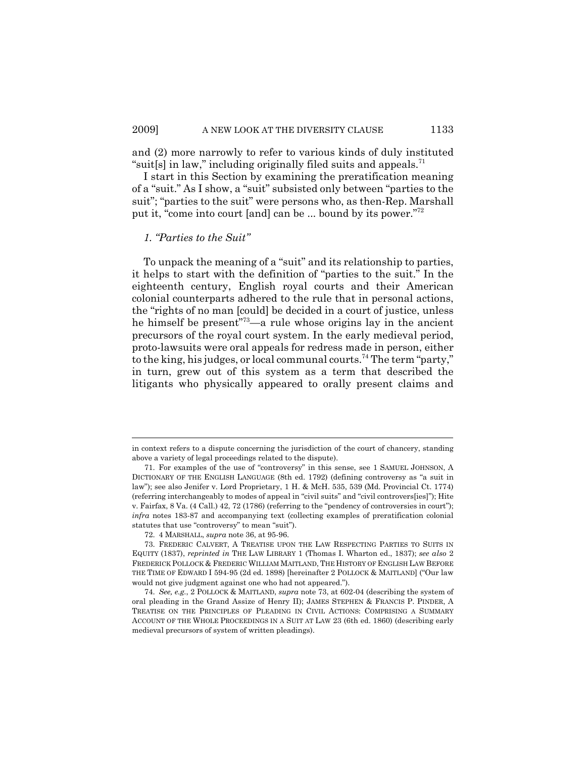and (2) more narrowly to refer to various kinds of duly instituted "suit[s] in law," including originally filed suits and appeals.<sup>71</sup>

I start in this Section by examining the preratification meaning of a "suit." As I show, a "suit" subsisted only between "parties to the suit"; "parties to the suit" were persons who, as then-Rep. Marshall put it, "come into court [and] can be ... bound by its power."72

### *1. "Parties to the Suit"*

To unpack the meaning of a "suit" and its relationship to parties, it helps to start with the definition of "parties to the suit." In the eighteenth century, English royal courts and their American colonial counterparts adhered to the rule that in personal actions, the "rights of no man [could] be decided in a court of justice, unless he himself be present<sup>"73</sup>—a rule whose origins lay in the ancient precursors of the royal court system. In the early medieval period, proto-lawsuits were oral appeals for redress made in person, either to the king, his judges, or local communal courts.74 The term "party," in turn, grew out of this system as a term that described the litigants who physically appeared to orally present claims and

in context refers to a dispute concerning the jurisdiction of the court of chancery, standing above a variety of legal proceedings related to the dispute).

<sup>71.</sup> For examples of the use of "controversy" in this sense, see 1 SAMUEL JOHNSON, A DICTIONARY OF THE ENGLISH LANGUAGE (8th ed. 1792) (defining controversy as "a suit in law"); see also Jenifer v. Lord Proprietary, 1 H. & McH. 535, 539 (Md. Provincial Ct. 1774) (referring interchangeably to modes of appeal in "civil suits" and "civil controvers[ies]"); Hite v. Fairfax, 8 Va. (4 Call.) 42, 72 (1786) (referring to the "pendency of controversies in court"); *infra* notes 183-87 and accompanying text (collecting examples of preratification colonial statutes that use "controversy" to mean "suit").

<sup>72. 4</sup> MARSHALL, *supra* note 36, at 95-96.

<sup>73.</sup> FREDERIC CALVERT,ATREATISE UPON THE LAW RESPECTING PARTIES TO SUITS IN EQUITY (1837), *reprinted in* THE LAW LIBRARY 1 (Thomas I. Wharton ed., 1837); *see also* 2 FREDERICK POLLOCK & FREDERIC WILLIAM MAITLAND, THE HISTORY OF ENGLISH LAW BEFORE THE TIME OF EDWARD I 594-95 (2d ed. 1898) [hereinafter 2 POLLOCK & MAITLAND] ("Our law would not give judgment against one who had not appeared.").

<sup>74.</sup> *See, e.g.*, 2 POLLOCK & MAITLAND, *supra* note 73, at 602-04 (describing the system of oral pleading in the Grand Assize of Henry II); JAMES STEPHEN & FRANCIS P. PINDER, A TREATISE ON THE PRINCIPLES OF PLEADING IN CIVIL ACTIONS: COMPRISING A SUMMARY ACCOUNT OF THE WHOLE PROCEEDINGS IN A SUIT AT LAW 23 (6th ed. 1860) (describing early medieval precursors of system of written pleadings).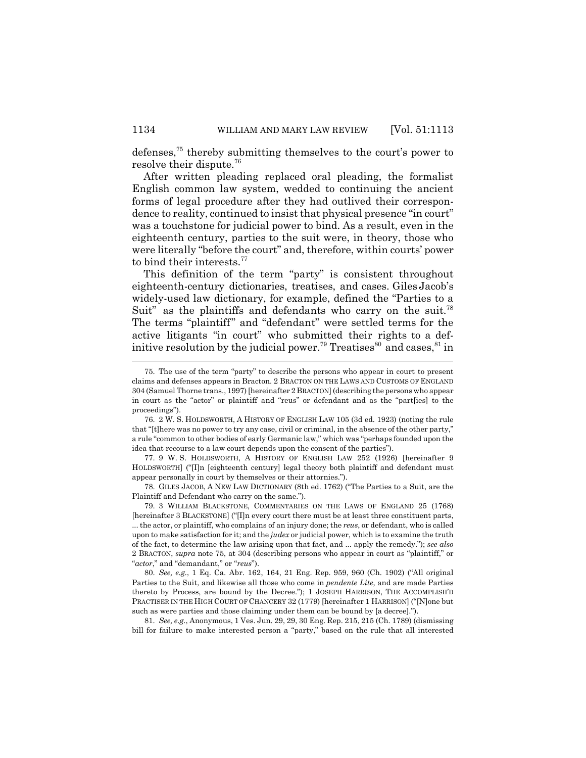defenses,75 thereby submitting themselves to the court's power to resolve their dispute.76

After written pleading replaced oral pleading, the formalist English common law system, wedded to continuing the ancient forms of legal procedure after they had outlived their correspondence to reality, continued to insist that physical presence "in court" was a touchstone for judicial power to bind. As a result, even in the eighteenth century, parties to the suit were, in theory, those who were literally "before the court" and, therefore, within courts' power to bind their interests.<sup>77</sup>

This definition of the term "party" is consistent throughout eighteenth-century dictionaries, treatises, and cases. Giles Jacob's widely-used law dictionary, for example, defined the "Parties to a Suit" as the plaintiffs and defendants who carry on the suit.<sup>78</sup> The terms "plaintiff" and "defendant" were settled terms for the active litigants "in court" who submitted their rights to a definitive resolution by the judicial power.<sup>79</sup> Treatises<sup>80</sup> and cases,  $81$  in

81. *See, e.g.*, Anonymous, 1 Ves. Jun. 29, 29, 30 Eng. Rep. 215, 215 (Ch. 1789) (dismissing bill for failure to make interested person a "party," based on the rule that all interested

<sup>75.</sup> The use of the term "party" to describe the persons who appear in court to present claims and defenses appears in Bracton. 2 BRACTON ON THE LAWS AND CUSTOMS OF ENGLAND 304 (Samuel Thorne trans., 1997) [hereinafter 2 BRACTON] (describing the persons who appear in court as the "actor" or plaintiff and "reus" or defendant and as the "part[ies] to the proceedings").

<sup>76. 2</sup> W. S. HOLDSWORTH,AHISTORY OF ENGLISH LAW 105 (3d ed. 1923) (noting the rule that "[t]here was no power to try any case, civil or criminal, in the absence of the other party," a rule "common to other bodies of early Germanic law," which was "perhaps founded upon the idea that recourse to a law court depends upon the consent of the parties").

<sup>77. 9</sup> W. S. HOLDSWORTH,AHISTORY OF ENGLISH LAW 252 (1926) [hereinafter 9 HOLDSWORTH] ("[I]n [eighteenth century] legal theory both plaintiff and defendant must appear personally in court by themselves or their attornies.").

<sup>78.</sup> GILES JACOB,ANEW LAW DICTIONARY (8th ed. 1762) ("The Parties to a Suit, are the Plaintiff and Defendant who carry on the same.").

<sup>79. 3</sup> WILLIAM BLACKSTONE, COMMENTARIES ON THE LAWS OF ENGLAND 25 (1768) [hereinafter 3 BLACKSTONE] ("[I]n every court there must be at least three constituent parts, ... the actor, or plaintiff, who complains of an injury done; the *reus*, or defendant, who is called upon to make satisfaction for it; and the *judex* or judicial power, which is to examine the truth of the fact, to determine the law arising upon that fact, and ... apply the remedy."); *see also* 2 BRACTON, *supra* note 75, at 304 (describing persons who appear in court as "plaintiff," or "*actor*," and "demandant," or "*reus*").

<sup>80.</sup> *See, e.g.*, 1 Eq. Ca. Abr. 162, 164, 21 Eng. Rep. 959, 960 (Ch. 1902) ("All original Parties to the Suit, and likewise all those who come in *pendente Lite*, and are made Parties thereto by Process, are bound by the Decree."); 1 JOSEPH HARRISON, THE ACCOMPLISH'D PRACTISER IN THE HIGH COURT OF CHANCERY 32 (1779) [hereinafter 1 HARRISON] ("[N]one but such as were parties and those claiming under them can be bound by [a decree].").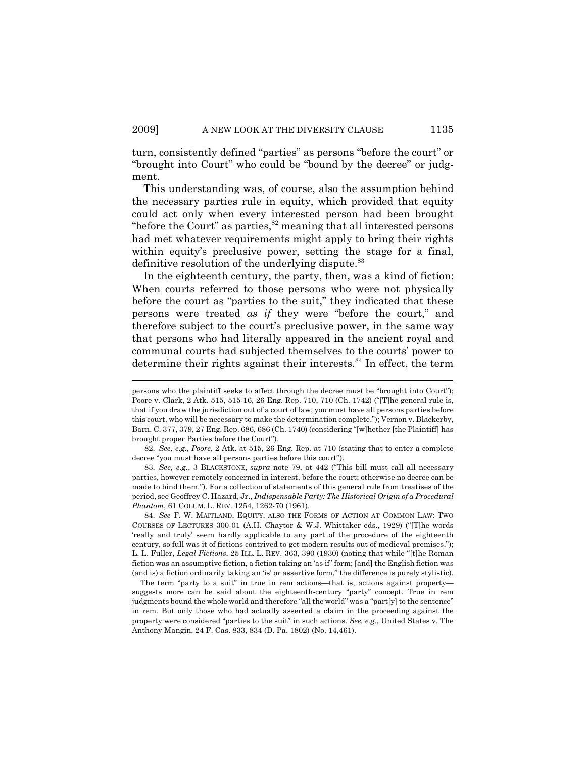turn, consistently defined "parties" as persons "before the court" or "brought into Court" who could be "bound by the decree" or judgment.

This understanding was, of course, also the assumption behind the necessary parties rule in equity, which provided that equity could act only when every interested person had been brought "before the Court" as parties, $82$  meaning that all interested persons had met whatever requirements might apply to bring their rights within equity's preclusive power, setting the stage for a final, definitive resolution of the underlying dispute.<sup>83</sup>

In the eighteenth century, the party, then, was a kind of fiction: When courts referred to those persons who were not physically before the court as "parties to the suit," they indicated that these persons were treated *as if* they were "before the court," and therefore subject to the court's preclusive power, in the same way that persons who had literally appeared in the ancient royal and communal courts had subjected themselves to the courts' power to determine their rights against their interests.<sup>84</sup> In effect, the term

83. *See, e.g.*, 3 BLACKSTONE, *supra* note 79, at 442 ("This bill must call all necessary parties, however remotely concerned in interest, before the court; otherwise no decree can be made to bind them."). For a collection of statements of this general rule from treatises of the period, see Geoffrey C. Hazard, Jr., *Indispensable Party: The Historical Origin of a Procedural Phantom*, 61 COLUM. L. REV. 1254, 1262-70 (1961).

84. *See* F. W. MAITLAND, EQUITY, ALSO THE FORMS OF ACTION AT COMMON LAW: TWO COURSES OF LECTURES 300-01 (A.H. Chaytor & W.J. Whittaker eds., 1929) ("[T]he words 'really and truly' seem hardly applicable to any part of the procedure of the eighteenth century, so full was it of fictions contrived to get modern results out of medieval premises."); L. L. Fuller, *Legal Fictions*, 25 ILL. L. REV. 363, 390 (1930) (noting that while "[t]he Roman fiction was an assumptive fiction, a fiction taking an 'as if ' form; [and] the English fiction was (and is) a fiction ordinarily taking an 'is' or assertive form," the difference is purely stylistic).

The term "party to a suit" in true in rem actions—that is, actions against property suggests more can be said about the eighteenth-century "party" concept. True in rem judgments bound the whole world and therefore "all the world" was a "part[y] to the sentence" in rem. But only those who had actually asserted a claim in the proceeding against the property were considered "parties to the suit" in such actions. *See, e.g.*, United States v. The Anthony Mangin, 24 F. Cas. 833, 834 (D. Pa. 1802) (No. 14,461).

persons who the plaintiff seeks to affect through the decree must be "brought into Court"); Poore v. Clark, 2 Atk. 515, 515-16, 26 Eng. Rep. 710, 710 (Ch. 1742) ("[T]he general rule is, that if you draw the jurisdiction out of a court of law, you must have all persons parties before this court, who will be necessary to make the determination complete."); Vernon v. Blackerby, Barn. C. 377, 379, 27 Eng. Rep. 686, 686 (Ch. 1740) (considering "[w]hether [the Plaintiff] has brought proper Parties before the Court").

<sup>82.</sup> *See, e.g.*, *Poore*, 2 Atk. at 515, 26 Eng. Rep. at 710 (stating that to enter a complete decree "you must have all persons parties before this court").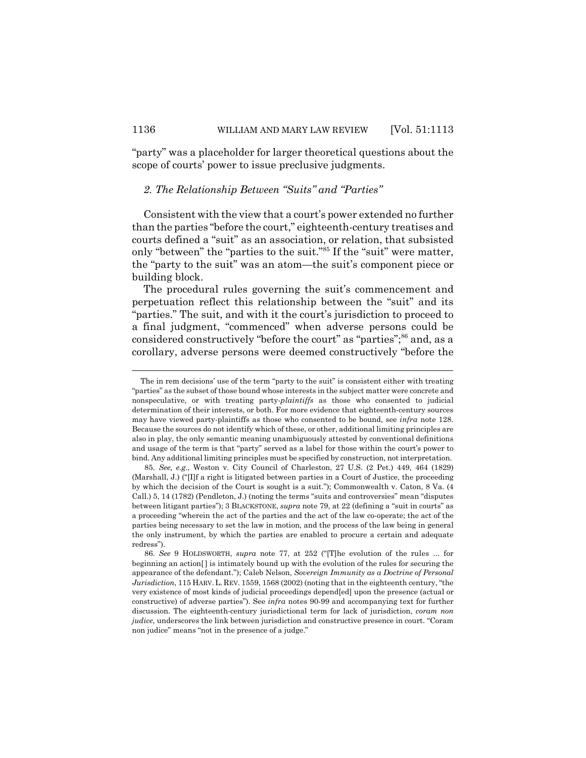"party" was a placeholder for larger theoretical questions about the scope of courts' power to issue preclusive judgments.

# *2. The Relationship Between "Suits" and "Parties"*

Consistent with the view that a court's power extended no further than the parties "before the court," eighteenth-century treatises and courts defined a "suit" as an association, or relation, that subsisted only "between" the "parties to the suit."85 If the "suit" were matter, the "party to the suit" was an atom—the suit's component piece or building block.

The procedural rules governing the suit's commencement and perpetuation reflect this relationship between the "suit" and its "parties." The suit, and with it the court's jurisdiction to proceed to a final judgment, "commenced" when adverse persons could be considered constructively "before the court" as "parties";<sup>86</sup> and, as a corollary, adverse persons were deemed constructively "before the

The in rem decisions' use of the term "party to the suit" is consistent either with treating "parties" as the subset of those bound whose interests in the subject matter were concrete and nonspeculative, or with treating party-*plaintiffs* as those who consented to judicial determination of their interests, or both. For more evidence that eighteenth-century sources may have viewed party-plaintiffs as those who consented to be bound, see *infra* note 128. Because the sources do not identify which of these, or other, additional limiting principles are also in play, the only semantic meaning unambiguously attested by conventional definitions and usage of the term is that "party" served as a label for those within the court's power to bind. Any additional limiting principles must be specified by construction, not interpretation.

<sup>85.</sup> *See, e.g.*, Weston v. City Council of Charleston, 27 U.S. (2 Pet.) 449, 464 (1829) (Marshall, J.) ("[I]f a right is litigated between parties in a Court of Justice, the proceeding by which the decision of the Court is sought is a suit."); Commonwealth v. Caton, 8 Va. (4 Call.) 5, 14 (1782) (Pendleton, J.) (noting the terms "suits and controversies" mean "disputes between litigant parties"); 3 BLACKSTONE, *supra* note 79, at 22 (defining a "suit in courts" as a proceeding "wherein the act of the parties and the act of the law co-operate; the act of the parties being necessary to set the law in motion, and the process of the law being in general the only instrument, by which the parties are enabled to procure a certain and adequate redress").

<sup>86.</sup> *See* 9 HOLDSWORTH, *supra* note 77, at 252 ("[T]he evolution of the rules ... for beginning an action[ ] is intimately bound up with the evolution of the rules for securing the appearance of the defendant."); Caleb Nelson, *Sovereign Immunity as a Doctrine of Personal Jurisdiction*, 115 HARV. L. REV. 1559, 1568 (2002) (noting that in the eighteenth century, "the very existence of most kinds of judicial proceedings depend[ed] upon the presence (actual or constructive) of adverse parties"). See *infra* notes 90-99 and accompanying text for further discussion. The eighteenth-century jurisdictional term for lack of jurisdiction, *coram non judice*, underscores the link between jurisdiction and constructive presence in court. "Coram non judice" means "not in the presence of a judge."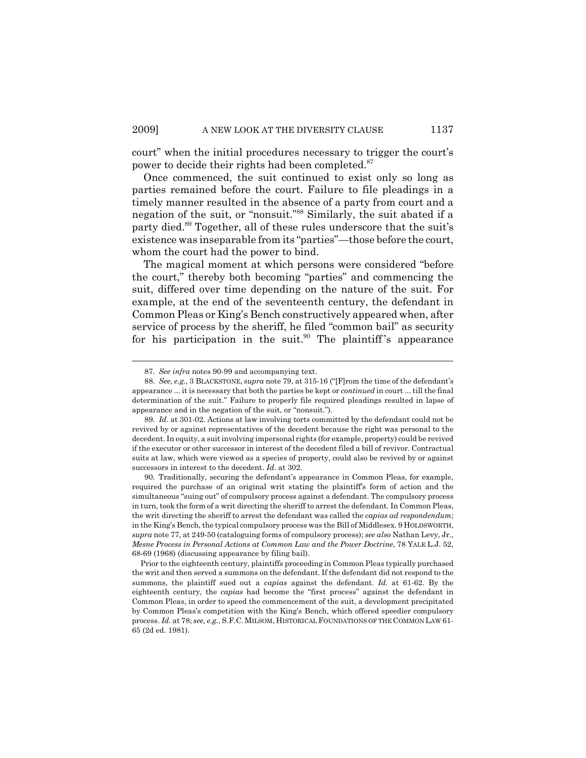court" when the initial procedures necessary to trigger the court's power to decide their rights had been completed.<sup>87</sup>

Once commenced, the suit continued to exist only so long as parties remained before the court. Failure to file pleadings in a timely manner resulted in the absence of a party from court and a negation of the suit, or "nonsuit."88 Similarly, the suit abated if a party died.<sup>89</sup> Together, all of these rules underscore that the suit's existence was inseparable from its "parties"—those before the court, whom the court had the power to bind.

The magical moment at which persons were considered "before the court," thereby both becoming "parties" and commencing the suit, differed over time depending on the nature of the suit. For example, at the end of the seventeenth century, the defendant in Common Pleas or King's Bench constructively appeared when, after service of process by the sheriff, he filed "common bail" as security for his participation in the suit.<sup>90</sup> The plaintiff's appearance

<sup>87.</sup> *See infra* notes 90-99 and accompanying text.

<sup>88.</sup> *See, e.g.*, 3 BLACKSTONE, *supra* note 79, at 315-16 ("[F]rom the time of the defendant's appearance ... it is necessary that both the parties be kept or *continued* in court ... till the final determination of the suit." Failure to properly file required pleadings resulted in lapse of appearance and in the negation of the suit, or "nonsuit.").

<sup>89.</sup> *Id*. at 301-02. Actions at law involving torts committed by the defendant could not be revived by or against representatives of the decedent because the right was personal to the decedent. In equity, a suit involving impersonal rights (for example, property) could be revived if the executor or other successor in interest of the decedent filed a bill of revivor. Contractual suits at law, which were viewed as a species of property, could also be revived by or against successors in interest to the decedent. *Id*. at 302.

<sup>90.</sup> Traditionally, securing the defendant's appearance in Common Pleas, for example, required the purchase of an original writ stating the plaintiff's form of action and the simultaneous "suing out" of compulsory process against a defendant. The compulsory process in turn, took the form of a writ directing the sheriff to arrest the defendant. In Common Pleas, the writ directing the sheriff to arrest the defendant was called the *capias ad respondendum*; in the King's Bench, the typical compulsory process was the Bill of Middlesex. 9 HOLDSWORTH, *supra* note 77, at 249-50 (cataloguing forms of compulsory process); *see also* Nathan Levy, Jr., *Mesne Process in Personal Actions at Common Law and the Power Doctrine*, 78 YALE L.J. 52, 68-69 (1968) (discussing appearance by filing bail).

Prior to the eighteenth century, plaintiffs proceeding in Common Pleas typically purchased the writ and then served a summons on the defendant. If the defendant did not respond to the summons, the plaintiff sued out a *capias* against the defendant. *Id.* at 61-62. By the eighteenth century, the *capias* had become the "first process" against the defendant in Common Pleas, in order to speed the commencement of the suit, a development precipitated by Common Pleas's competition with the King's Bench, which offered speedier compulsory process. *Id.* at 78; *see, e.g.*, S.F.C. MILSOM, HISTORICAL FOUNDATIONS OF THE COMMON LAW 61- 65 (2d ed. 1981).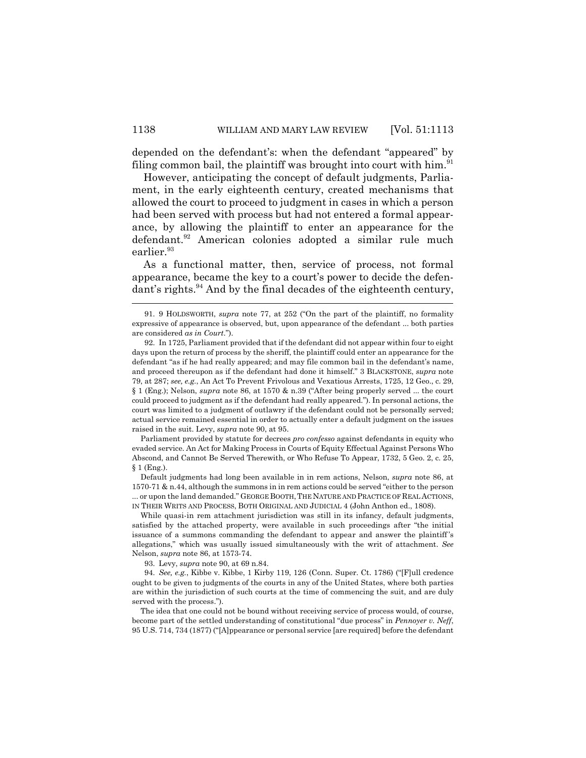depended on the defendant's: when the defendant "appeared" by filing common bail, the plaintiff was brought into court with him. $91$ 

However, anticipating the concept of default judgments, Parliament, in the early eighteenth century, created mechanisms that allowed the court to proceed to judgment in cases in which a person had been served with process but had not entered a formal appearance, by allowing the plaintiff to enter an appearance for the defendant.<sup>92</sup> American colonies adopted a similar rule much earlier.<sup>93</sup>

As a functional matter, then, service of process, not formal appearance, became the key to a court's power to decide the defendant's rights.<sup>94</sup> And by the final decades of the eighteenth century,

Parliament provided by statute for decrees *pro confesso* against defendants in equity who evaded service. An Act for Making Process in Courts of Equity Effectual Against Persons Who Abscond, and Cannot Be Served Therewith, or Who Refuse To Appear, 1732, 5 Geo. 2, c. 25, § 1 (Eng.).

Default judgments had long been available in in rem actions, Nelson, *supra* note 86, at 1570-71 & n.44, although the summons in in rem actions could be served "either to the person ... or upon the land demanded." GEORGE BOOTH, THE NATURE AND PRACTICE OF REAL ACTIONS, IN THEIR WRITS AND PROCESS, BOTH ORIGINAL AND JUDICIAL 4 (John Anthon ed., 1808).

While quasi-in rem attachment jurisdiction was still in its infancy, default judgments, satisfied by the attached property, were available in such proceedings after "the initial issuance of a summons commanding the defendant to appear and answer the plaintiff 's allegations," which was usually issued simultaneously with the writ of attachment. *See* Nelson, *supra* note 86, at 1573-74.

93. Levy, *supra* note 90, at 69 n.84.

94. *See, e.g.*, Kibbe v. Kibbe, 1 Kirby 119, 126 (Conn. Super. Ct. 1786) ("[F]ull credence ought to be given to judgments of the courts in any of the United States, where both parties are within the jurisdiction of such courts at the time of commencing the suit, and are duly served with the process.").

The idea that one could not be bound without receiving service of process would, of course, become part of the settled understanding of constitutional "due process" in *Pennoyer v. Neff*, 95 U.S. 714, 734 (1877) ("[A]ppearance or personal service [are required] before the defendant

<sup>91. 9</sup> HOLDSWORTH, *supra* note 77, at 252 ("On the part of the plaintiff, no formality expressive of appearance is observed, but, upon appearance of the defendant ... both parties are considered *as in Court*.").

<sup>92.</sup> In 1725, Parliament provided that if the defendant did not appear within four to eight days upon the return of process by the sheriff, the plaintiff could enter an appearance for the defendant "as if he had really appeared; and may file common bail in the defendant's name, and proceed thereupon as if the defendant had done it himself." 3 BLACKSTONE, *supra* note 79, at 287; *see, e.g.*, An Act To Prevent Frivolous and Vexatious Arrests, 1725, 12 Geo., c. 29, § 1 (Eng.); Nelson, *supra* note 86, at 1570 & n.39 ("After being properly served ... the court could proceed to judgment as if the defendant had really appeared."). In personal actions, the court was limited to a judgment of outlawry if the defendant could not be personally served; actual service remained essential in order to actually enter a default judgment on the issues raised in the suit. Levy, *supra* note 90, at 95.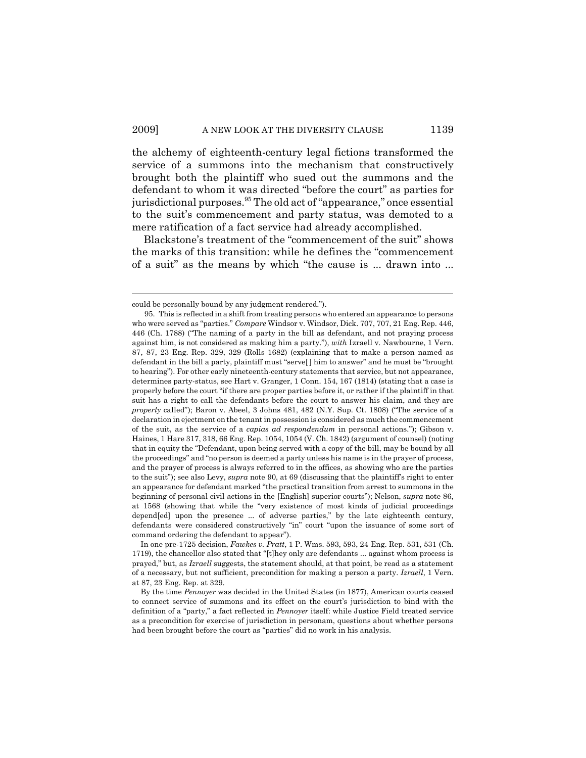the alchemy of eighteenth-century legal fictions transformed the service of a summons into the mechanism that constructively brought both the plaintiff who sued out the summons and the defendant to whom it was directed "before the court" as parties for jurisdictional purposes.<sup>95</sup> The old act of "appearance," once essential to the suit's commencement and party status, was demoted to a mere ratification of a fact service had already accomplished.

Blackstone's treatment of the "commencement of the suit" shows the marks of this transition: while he defines the "commencement of a suit" as the means by which "the cause is ... drawn into ...

could be personally bound by any judgment rendered.").

<sup>95.</sup> This is reflected in a shift from treating persons who entered an appearance to persons who were served as "parties." *Compare* Windsor v. Windsor, Dick. 707, 707, 21 Eng. Rep. 446, 446 (Ch. 1788) ("The naming of a party in the bill as defendant, and not praying process against him, is not considered as making him a party."), *with* Izraell v. Nawbourne, 1 Vern. 87, 87, 23 Eng. Rep. 329, 329 (Rolls 1682) (explaining that to make a person named as defendant in the bill a party, plaintiff must "serve[ ] him to answer" and he must be "brought to hearing"). For other early nineteenth-century statements that service, but not appearance, determines party-status, see Hart v. Granger, 1 Conn. 154, 167 (1814) (stating that a case is properly before the court "if there are proper parties before it, or rather if the plaintiff in that suit has a right to call the defendants before the court to answer his claim, and they are *properly* called"); Baron v. Abeel, 3 Johns 481, 482 (N.Y. Sup. Ct. 1808) ("The service of a declaration in ejectment on the tenant in possession is considered as much the commencement of the suit, as the service of a *capias ad respondendum* in personal actions."); Gibson v. Haines, 1 Hare 317, 318, 66 Eng. Rep. 1054, 1054 (V. Ch. 1842) (argument of counsel) (noting that in equity the "Defendant, upon being served with a copy of the bill, may be bound by all the proceedings" and "no person is deemed a party unless his name is in the prayer of process, and the prayer of process is always referred to in the offices, as showing who are the parties to the suit"); see also Levy, *supra* note 90, at 69 (discussing that the plaintiff's right to enter an appearance for defendant marked "the practical transition from arrest to summons in the beginning of personal civil actions in the [English] superior courts"); Nelson, *supra* note 86, at 1568 (showing that while the "very existence of most kinds of judicial proceedings depend[ed] upon the presence ... of adverse parties," by the late eighteenth century, defendants were considered constructively "in" court "upon the issuance of some sort of command ordering the defendant to appear").

In one pre-1725 decision, *Fawkes v. Pratt*, 1 P. Wms. 593, 593, 24 Eng. Rep. 531, 531 (Ch. 1719), the chancellor also stated that "[t]hey only are defendants ... against whom process is prayed," but, as *Izraell* suggests, the statement should, at that point, be read as a statement of a necessary, but not sufficient, precondition for making a person a party. *Izraell*, 1 Vern. at 87, 23 Eng. Rep. at 329.

By the time *Pennoyer* was decided in the United States (in 1877), American courts ceased to connect service of summons and its effect on the court's jurisdiction to bind with the definition of a "party," a fact reflected in *Pennoyer* itself: while Justice Field treated service as a precondition for exercise of jurisdiction in personam, questions about whether persons had been brought before the court as "parties" did no work in his analysis.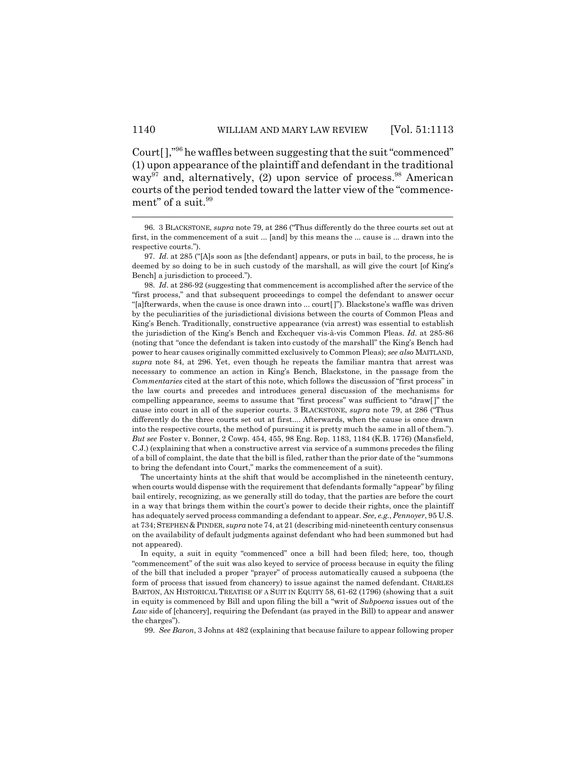Court[ ],"96 he waffles between suggesting that the suit "commenced" (1) upon appearance of the plaintiff and defendant in the traditional way<sup>97</sup> and, alternatively, (2) upon service of process.<sup>98</sup> American courts of the period tended toward the latter view of the "commencement" of a suit.<sup>99</sup>

The uncertainty hints at the shift that would be accomplished in the nineteenth century, when courts would dispense with the requirement that defendants formally "appear" by filing bail entirely, recognizing, as we generally still do today, that the parties are before the court in a way that brings them within the court's power to decide their rights, once the plaintiff has adequately served process commanding a defendant to appear. *See, e.g.*, *Pennoyer*, 95 U.S. at 734; STEPHEN & PINDER, *supra* note 74, at 21 (describing mid-nineteenth century consensus on the availability of default judgments against defendant who had been summoned but had not appeared).

In equity, a suit in equity "commenced" once a bill had been filed; here, too, though "commencement" of the suit was also keyed to service of process because in equity the filing of the bill that included a proper "prayer" of process automatically caused a subpoena (the form of process that issued from chancery) to issue against the named defendant. CHARLES BARTON, AN HISTORICAL TREATISE OF A SUIT IN EQUITY 58, 61-62 (1796) (showing that a suit in equity is commenced by Bill and upon filing the bill a "writ of *Subpoena* issues out of the *Law* side of [chancery], requiring the Defendant (as prayed in the Bill) to appear and answer the charges").

99. *See Baron*, 3 Johns at 482 (explaining that because failure to appear following proper

<sup>96. 3</sup> BLACKSTONE, *supra* note 79, at 286 ("Thus differently do the three courts set out at first, in the commencement of a suit ... [and] by this means the ... cause is ... drawn into the respective courts.").

<sup>97.</sup> *Id*. at 285 ("[A]s soon as [the defendant] appears, or puts in bail, to the process, he is deemed by so doing to be in such custody of the marshall, as will give the court [of King's Bench] a jurisdiction to proceed.").

<sup>98.</sup> *Id*. at 286-92 (suggesting that commencement is accomplished after the service of the "first process," and that subsequent proceedings to compel the defendant to answer occur "[a]fterwards, when the cause is once drawn into ... court[ ]"). Blackstone's waffle was driven by the peculiarities of the jurisdictional divisions between the courts of Common Pleas and King's Bench. Traditionally, constructive appearance (via arrest) was essential to establish the jurisdiction of the King's Bench and Exchequer vis-à-vis Common Pleas. *Id*. at 285-86 (noting that "once the defendant is taken into custody of the marshall" the King's Bench had power to hear causes originally committed exclusively to Common Pleas); *see also* MAITLAND, *supra* note 84, at 296. Yet, even though he repeats the familiar mantra that arrest was necessary to commence an action in King's Bench, Blackstone, in the passage from the *Commentaries* cited at the start of this note, which follows the discussion of "first process" in the law courts and precedes and introduces general discussion of the mechanisms for compelling appearance, seems to assume that "first process" was sufficient to "draw[ ]" the cause into court in all of the superior courts. 3 BLACKSTONE, *supra* note 79, at 286 ("Thus differently do the three courts set out at first.... Afterwards, when the cause is once drawn into the respective courts, the method of pursuing it is pretty much the same in all of them."). *But see* Foster v. Bonner, 2 Cowp. 454, 455, 98 Eng. Rep. 1183, 1184 (K.B. 1776) (Mansfield, C.J.) (explaining that when a constructive arrest via service of a summons precedes the filing of a bill of complaint, the date that the bill is filed, rather than the prior date of the "summons to bring the defendant into Court," marks the commencement of a suit).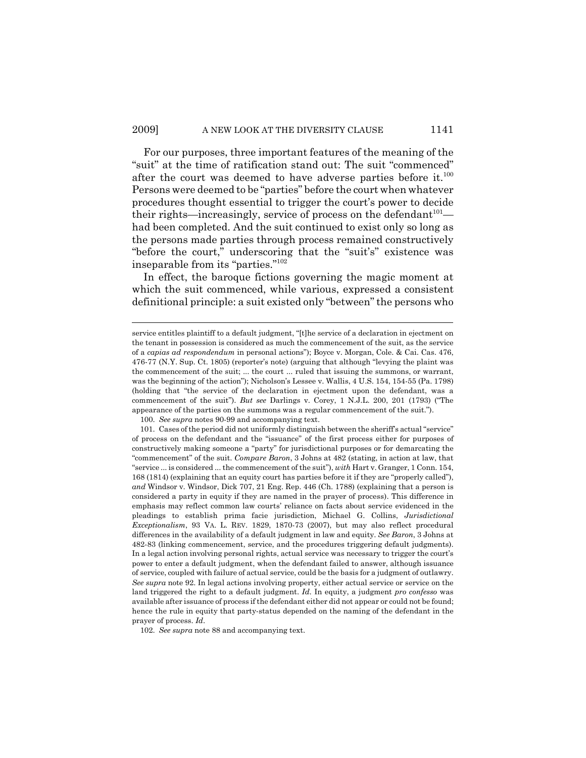For our purposes, three important features of the meaning of the "suit" at the time of ratification stand out: The suit "commenced" after the court was deemed to have adverse parties before it.<sup>100</sup> Persons were deemed to be "parties" before the court when whatever procedures thought essential to trigger the court's power to decide their rights—increasingly, service of process on the defendant  $101$  had been completed. And the suit continued to exist only so long as the persons made parties through process remained constructively "before the court," underscoring that the "suit's" existence was inseparable from its "parties."102

In effect, the baroque fictions governing the magic moment at which the suit commenced, while various, expressed a consistent definitional principle: a suit existed only "between" the persons who

service entitles plaintiff to a default judgment, "[t]he service of a declaration in ejectment on the tenant in possession is considered as much the commencement of the suit, as the service of a *capias ad respondendum* in personal actions"); Boyce v. Morgan, Cole. & Cai. Cas. 476, 476-77 (N.Y. Sup. Ct. 1805) (reporter's note) (arguing that although "levying the plaint was the commencement of the suit; ... the court ... ruled that issuing the summons, or warrant, was the beginning of the action"); Nicholson's Lessee v. Wallis, 4 U.S. 154, 154-55 (Pa. 1798) (holding that "the service of the declaration in ejectment upon the defendant, was a commencement of the suit"). *But see* Darlings v. Corey, 1 N.J.L. 200, 201 (1793) ("The appearance of the parties on the summons was a regular commencement of the suit.").

<sup>100.</sup> *See supra* notes 90-99 and accompanying text.

<sup>101.</sup> Cases of the period did not uniformly distinguish between the sheriff's actual "service" of process on the defendant and the "issuance" of the first process either for purposes of constructively making someone a "party" for jurisdictional purposes or for demarcating the "commencement" of the suit. *Compare Baron*, 3 Johns at 482 (stating, in action at law, that "service ... is considered ... the commencement of the suit"), *with* Hart v. Granger, 1 Conn. 154, 168 (1814) (explaining that an equity court has parties before it if they are "properly called"), *and* Windsor v. Windsor, Dick 707, 21 Eng. Rep. 446 (Ch. 1788) (explaining that a person is considered a party in equity if they are named in the prayer of process). This difference in emphasis may reflect common law courts' reliance on facts about service evidenced in the pleadings to establish prima facie jurisdiction, Michael G. Collins, *Jurisdictional Exceptionalism*, 93 VA. L. REV. 1829, 1870-73 (2007), but may also reflect procedural differences in the availability of a default judgment in law and equity. *See Baron*, 3 Johns at 482-83 (linking commencement, service, and the procedures triggering default judgments). In a legal action involving personal rights, actual service was necessary to trigger the court's power to enter a default judgment, when the defendant failed to answer, although issuance of service, coupled with failure of actual service, could be the basis for a judgment of outlawry. *See supra* note 92. In legal actions involving property, either actual service or service on the land triggered the right to a default judgment. *Id*. In equity, a judgment *pro confesso* was available after issuance of process if the defendant either did not appear or could not be found; hence the rule in equity that party-status depended on the naming of the defendant in the prayer of process. *Id*.

<sup>102.</sup> *See supra* note 88 and accompanying text.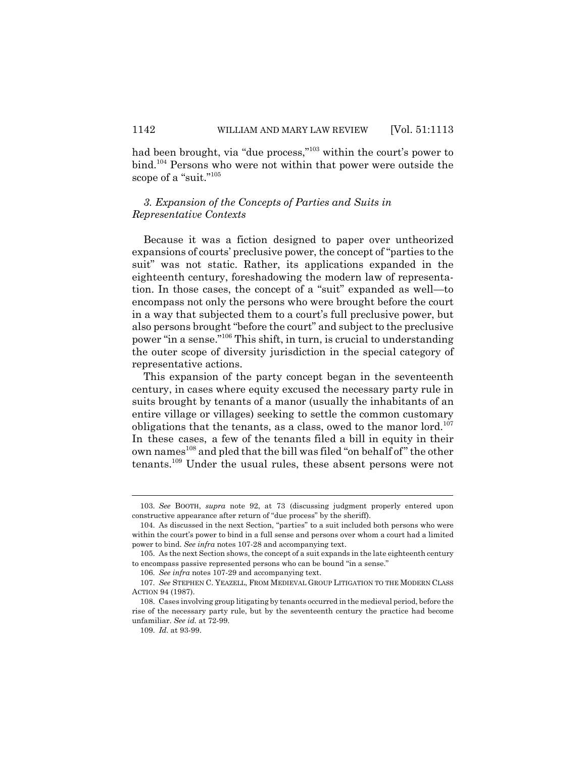had been brought, via "due process,"<sup>103</sup> within the court's power to bind.104 Persons who were not within that power were outside the scope of a "suit."<sup>105</sup>

# *3. Expansion of the Concepts of Parties and Suits in Representative Contexts*

Because it was a fiction designed to paper over untheorized expansions of courts' preclusive power, the concept of "parties to the suit" was not static. Rather, its applications expanded in the eighteenth century, foreshadowing the modern law of representation. In those cases, the concept of a "suit" expanded as well—to encompass not only the persons who were brought before the court in a way that subjected them to a court's full preclusive power, but also persons brought "before the court" and subject to the preclusive power "in a sense."106 This shift, in turn, is crucial to understanding the outer scope of diversity jurisdiction in the special category of representative actions.

This expansion of the party concept began in the seventeenth century, in cases where equity excused the necessary party rule in suits brought by tenants of a manor (usually the inhabitants of an entire village or villages) seeking to settle the common customary obligations that the tenants, as a class, owed to the manor lord.<sup>107</sup> In these cases, a few of the tenants filed a bill in equity in their own names<sup>108</sup> and pled that the bill was filed "on behalf of" the other tenants.109 Under the usual rules, these absent persons were not

<sup>103.</sup> *See* BOOTH, *supra* note 92, at 73 (discussing judgment properly entered upon constructive appearance after return of "due process" by the sheriff).

<sup>104.</sup> As discussed in the next Section, "parties" to a suit included both persons who were within the court's power to bind in a full sense and persons over whom a court had a limited power to bind. *See infra* notes 107-28 and accompanying text.

<sup>105.</sup> As the next Section shows, the concept of a suit expands in the late eighteenth century to encompass passive represented persons who can be bound "in a sense."

<sup>106.</sup> *See infra* notes 107-29 and accompanying text.

<sup>107.</sup> *See* STEPHEN C. YEAZELL, FROM MEDIEVAL GROUP LITIGATION TO THE MODERN CLASS ACTION 94 (1987).

<sup>108.</sup> Cases involving group litigating by tenants occurred in the medieval period, before the rise of the necessary party rule, but by the seventeenth century the practice had become unfamiliar. *See id.* at 72-99.

<sup>109.</sup> *Id.* at 93-99.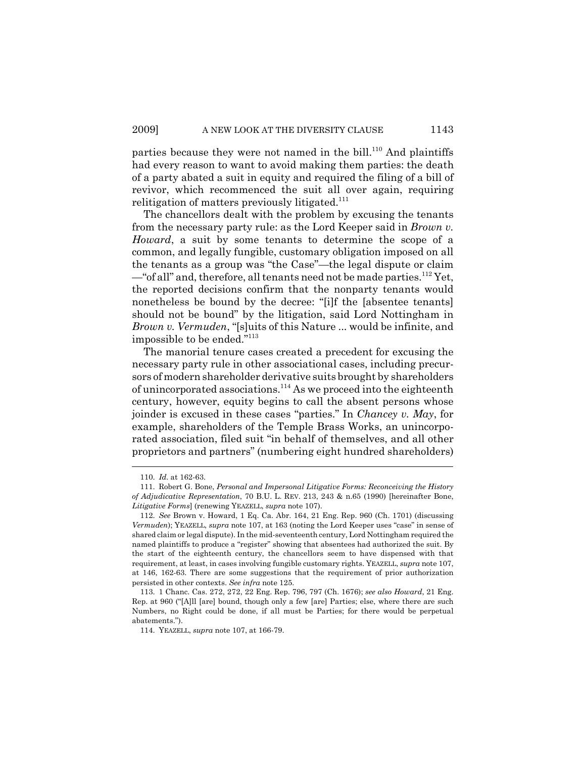parties because they were not named in the bill.<sup>110</sup> And plaintiffs had every reason to want to avoid making them parties: the death of a party abated a suit in equity and required the filing of a bill of revivor, which recommenced the suit all over again, requiring relitigation of matters previously litigated. $111$ 

The chancellors dealt with the problem by excusing the tenants from the necessary party rule: as the Lord Keeper said in *Brown v. Howard*, a suit by some tenants to determine the scope of a common, and legally fungible, customary obligation imposed on all the tenants as a group was "the Case"—the legal dispute or claim —"of all" and, therefore, all tenants need not be made parties.<sup>112</sup> Yet, the reported decisions confirm that the nonparty tenants would nonetheless be bound by the decree: "[i]f the [absentee tenants] should not be bound" by the litigation, said Lord Nottingham in *Brown v. Vermuden*, "[s]uits of this Nature ... would be infinite, and impossible to be ended."113

The manorial tenure cases created a precedent for excusing the necessary party rule in other associational cases, including precursors of modern shareholder derivative suits brought by shareholders of unincorporated associations.114 As we proceed into the eighteenth century, however, equity begins to call the absent persons whose joinder is excused in these cases "parties." In *Chancey v. May*, for example, shareholders of the Temple Brass Works, an unincorporated association, filed suit "in behalf of themselves, and all other proprietors and partners" (numbering eight hundred shareholders)

<sup>110.</sup> *Id.* at 162-63.

<sup>111.</sup> Robert G. Bone, *Personal and Impersonal Litigative Forms: Reconceiving the History of Adjudicative Representation*, 70 B.U. L. REV. 213, 243 & n.65 (1990) [hereinafter Bone, *Litigative Forms*] (renewing YEAZELL, *supra* note 107).

<sup>112.</sup> *See* Brown v. Howard, 1 Eq. Ca. Abr. 164, 21 Eng. Rep. 960 (Ch. 1701) (discussing *Vermuden*); YEAZELL, *supra* note 107, at 163 (noting the Lord Keeper uses "case" in sense of shared claim or legal dispute). In the mid-seventeenth century, Lord Nottingham required the named plaintiffs to produce a "register" showing that absentees had authorized the suit. By the start of the eighteenth century, the chancellors seem to have dispensed with that requirement, at least, in cases involving fungible customary rights. YEAZELL, *supra* note 107, at 146, 162-63. There are some suggestions that the requirement of prior authorization persisted in other contexts. *See infra* note 125.

<sup>113. 1</sup> Chanc. Cas. 272, 272, 22 Eng. Rep. 796, 797 (Ch. 1676); *see also Howard*, 21 Eng. Rep. at 960 ("[A]ll [are] bound, though only a few [are] Parties; else, where there are such Numbers, no Right could be done, if all must be Parties; for there would be perpetual abatements.").

<sup>114.</sup> YEAZELL, *supra* note 107, at 166-79.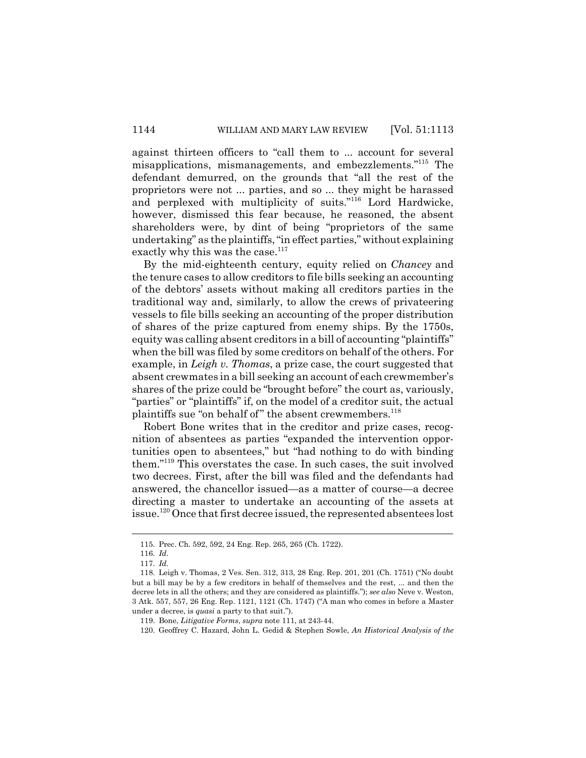against thirteen officers to "call them to ... account for several misapplications, mismanagements, and embezzlements."115 The defendant demurred, on the grounds that "all the rest of the proprietors were not ... parties, and so ... they might be harassed and perplexed with multiplicity of suits."116 Lord Hardwicke, however, dismissed this fear because, he reasoned, the absent shareholders were, by dint of being "proprietors of the same undertaking" as the plaintiffs, "in effect parties," without explaining exactly why this was the case.<sup>117</sup>

By the mid-eighteenth century, equity relied on *Chancey* and the tenure cases to allow creditors to file bills seeking an accounting of the debtors' assets without making all creditors parties in the traditional way and, similarly, to allow the crews of privateering vessels to file bills seeking an accounting of the proper distribution of shares of the prize captured from enemy ships. By the 1750s, equity was calling absent creditors in a bill of accounting "plaintiffs" when the bill was filed by some creditors on behalf of the others. For example, in *Leigh v. Thomas*, a prize case, the court suggested that absent crewmates in a bill seeking an account of each crewmember's shares of the prize could be "brought before" the court as, variously, "parties" or "plaintiffs" if, on the model of a creditor suit, the actual plaintiffs sue "on behalf of" the absent crewmembers.<sup>118</sup>

Robert Bone writes that in the creditor and prize cases, recognition of absentees as parties "expanded the intervention opportunities open to absentees," but "had nothing to do with binding them."119 This overstates the case. In such cases, the suit involved two decrees. First, after the bill was filed and the defendants had answered, the chancellor issued—as a matter of course—a decree directing a master to undertake an accounting of the assets at issue.120 Once that first decree issued, the represented absentees lost

<sup>115.</sup> Prec. Ch. 592, 592, 24 Eng. Rep. 265, 265 (Ch. 1722).

<sup>116.</sup> *Id.*

<sup>117.</sup> *Id.*

<sup>118.</sup> Leigh v. Thomas, 2 Ves. Sen. 312, 313, 28 Eng. Rep. 201, 201 (Ch. 1751) ("No doubt but a bill may be by a few creditors in behalf of themselves and the rest, ... and then the decree lets in all the others; and they are considered as plaintiffs."); *see also* Neve v. Weston, 3 Atk. 557, 557, 26 Eng. Rep. 1121, 1121 (Ch. 1747) ("A man who comes in before a Master under a decree, is *quasi* a party to that suit.").

<sup>119.</sup> Bone, *Litigative Forms*, *supra* note 111, at 243-44.

<sup>120.</sup> Geoffrey C. Hazard, John L. Gedid & Stephen Sowle, *An Historical Analysis of the*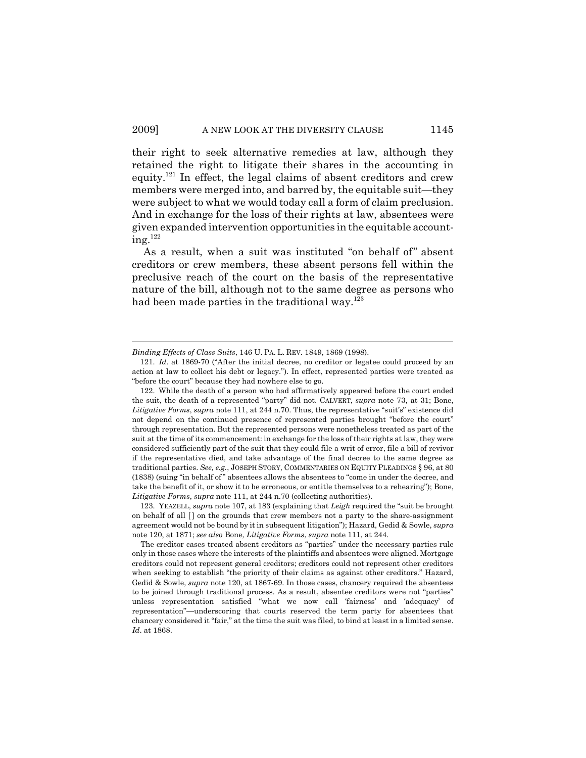their right to seek alternative remedies at law, although they retained the right to litigate their shares in the accounting in equity.121 In effect, the legal claims of absent creditors and crew members were merged into, and barred by, the equitable suit—they were subject to what we would today call a form of claim preclusion. And in exchange for the loss of their rights at law, absentees were given expanded intervention opportunities in the equitable account $ine.$ <sup>122</sup>

As a result, when a suit was instituted "on behalf of" absent creditors or crew members, these absent persons fell within the preclusive reach of the court on the basis of the representative nature of the bill, although not to the same degree as persons who had been made parties in the traditional way.<sup>123</sup>

*Binding Effects of Class Suits*, 146 U. PA. L. REV. 1849, 1869 (1998).

<sup>121.</sup> *Id.* at 1869-70 ("After the initial decree, no creditor or legatee could proceed by an action at law to collect his debt or legacy."). In effect, represented parties were treated as "before the court" because they had nowhere else to go.

<sup>122.</sup> While the death of a person who had affirmatively appeared before the court ended the suit, the death of a represented "party" did not. CALVERT, *supra* note 73, at 31; Bone, *Litigative Forms*, *supra* note 111, at 244 n.70. Thus, the representative "suit's" existence did not depend on the continued presence of represented parties brought "before the court" through representation. But the represented persons were nonetheless treated as part of the suit at the time of its commencement: in exchange for the loss of their rights at law, they were considered sufficiently part of the suit that they could file a writ of error, file a bill of revivor if the representative died, and take advantage of the final decree to the same degree as traditional parties. *See, e.g.*, JOSEPH STORY, COMMENTARIES ON EQUITY PLEADINGS § 96, at 80 (1838) (suing "in behalf of " absentees allows the absentees to "come in under the decree, and take the benefit of it, or show it to be erroneous, or entitle themselves to a rehearing"); Bone, *Litigative Forms*, *supra* note 111, at 244 n.70 (collecting authorities).

<sup>123.</sup> YEAZELL, *supra* note 107, at 183 (explaining that *Leigh* required the "suit be brought on behalf of all [ ] on the grounds that crew members not a party to the share-assignment agreement would not be bound by it in subsequent litigation"); Hazard, Gedid & Sowle, *supra* note 120, at 1871; *see also* Bone, *Litigative Forms*, *supra* note 111, at 244.

The creditor cases treated absent creditors as "parties" under the necessary parties rule only in those cases where the interests of the plaintiffs and absentees were aligned. Mortgage creditors could not represent general creditors; creditors could not represent other creditors when seeking to establish "the priority of their claims as against other creditors." Hazard, Gedid & Sowle, *supra* note 120, at 1867-69. In those cases, chancery required the absentees to be joined through traditional process. As a result, absentee creditors were not "parties" unless representation satisfied "what we now call 'fairness' and 'adequacy' of representation"—underscoring that courts reserved the term party for absentees that chancery considered it "fair," at the time the suit was filed, to bind at least in a limited sense. *Id*. at 1868.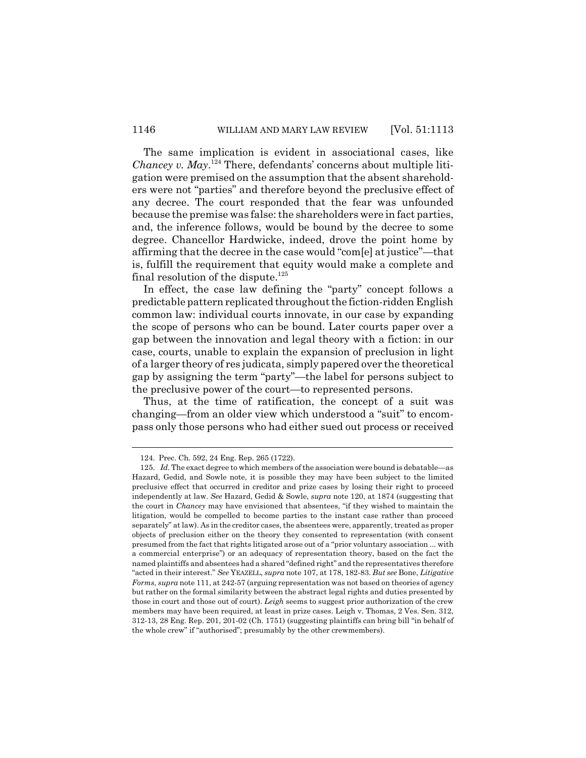The same implication is evident in associational cases, like *Chancey v. May*. 124 There, defendants' concerns about multiple litigation were premised on the assumption that the absent shareholders were not "parties" and therefore beyond the preclusive effect of any decree. The court responded that the fear was unfounded because the premise was false: the shareholders were in fact parties, and, the inference follows, would be bound by the decree to some degree. Chancellor Hardwicke, indeed, drove the point home by affirming that the decree in the case would "com[e] at justice"—that is, fulfill the requirement that equity would make a complete and final resolution of the dispute.<sup>125</sup>

In effect, the case law defining the "party" concept follows a predictable pattern replicated throughout the fiction-ridden English common law: individual courts innovate, in our case by expanding the scope of persons who can be bound. Later courts paper over a gap between the innovation and legal theory with a fiction: in our case, courts, unable to explain the expansion of preclusion in light of a larger theory of res judicata, simply papered over the theoretical gap by assigning the term "party"—the label for persons subject to the preclusive power of the court—to represented persons.

Thus, at the time of ratification, the concept of a suit was changing—from an older view which understood a "suit" to encompass only those persons who had either sued out process or received

<sup>124.</sup> Prec. Ch. 592, 24 Eng. Rep. 265 (1722).

<sup>125.</sup> *Id.* The exact degree to which members of the association were bound is debatable—as Hazard, Gedid, and Sowle note, it is possible they may have been subject to the limited preclusive effect that occurred in creditor and prize cases by losing their right to proceed independently at law. *See* Hazard, Gedid & Sowle, *supra* note 120, at 1874 (suggesting that the court in *Chancey* may have envisioned that absentees, "if they wished to maintain the litigation, would be compelled to become parties to the instant case rather than proceed separately" at law). As in the creditor cases, the absentees were, apparently, treated as proper objects of preclusion either on the theory they consented to representation (with consent presumed from the fact that rights litigated arose out of a "prior voluntary association ... with a commercial enterprise") or an adequacy of representation theory, based on the fact the named plaintiffs and absentees had a shared "defined right" and the representatives therefore "acted in their interest." *See* YEAZELL, *supra* note 107, at 178, 182-83. *But see* Bone, *Litigative Forms*, *supra* note 111, at 242-57 (arguing representation was not based on theories of agency but rather on the formal similarity between the abstract legal rights and duties presented by those in court and those out of court). *Leigh* seems to suggest prior authorization of the crew members may have been required, at least in prize cases. Leigh v. Thomas, 2 Ves. Sen. 312, 312-13, 28 Eng. Rep. 201, 201-02 (Ch. 1751) (suggesting plaintiffs can bring bill "in behalf of the whole crew" if "authorised"; presumably by the other crewmembers).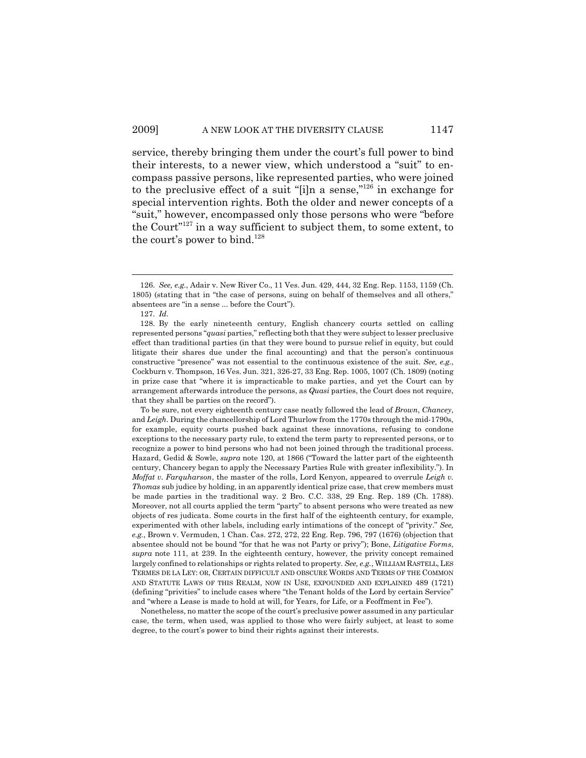service, thereby bringing them under the court's full power to bind their interests, to a newer view, which understood a "suit" to encompass passive persons, like represented parties, who were joined to the preclusive effect of a suit "[i]n a sense,"126 in exchange for special intervention rights. Both the older and newer concepts of a "suit," however, encompassed only those persons who were "before the Court"127 in a way sufficient to subject them, to some extent, to the court's power to bind.<sup>128</sup>

To be sure, not every eighteenth century case neatly followed the lead of *Brown*, *Chancey*, and *Leigh*. During the chancellorship of Lord Thurlow from the 1770s through the mid-1790s, for example, equity courts pushed back against these innovations, refusing to condone exceptions to the necessary party rule, to extend the term party to represented persons, or to recognize a power to bind persons who had not been joined through the traditional process. Hazard, Gedid & Sowle, *supra* note 120, at 1866 ("Toward the latter part of the eighteenth century, Chancery began to apply the Necessary Parties Rule with greater inflexibility."). In *Moffat v. Farquharson*, the master of the rolls, Lord Kenyon, appeared to overrule *Leigh v. Thomas* sub judice by holding, in an apparently identical prize case, that crew members must be made parties in the traditional way. 2 Bro. C.C. 338, 29 Eng. Rep. 189 (Ch. 1788). Moreover, not all courts applied the term "party" to absent persons who were treated as new objects of res judicata. Some courts in the first half of the eighteenth century, for example, experimented with other labels, including early intimations of the concept of "privity." *See, e.g.*, Brown v. Vermuden, 1 Chan. Cas. 272, 272, 22 Eng. Rep. 796, 797 (1676) (objection that absentee should not be bound "for that he was not Party or privy"); Bone, *Litigative Forms*, *supra* note 111, at 239. In the eighteenth century, however, the privity concept remained largely confined to relationships or rights related to property. *See, e.g.*, WILLIAM RASTELL, LES TERMES DE LA LEY: OR, CERTAIN DIFFICULT AND OBSCURE WORDS AND TERMS OF THE COMMON AND STATUTE LAWS OF THIS REALM, NOW IN USE, EXPOUNDED AND EXPLAINED 489 (1721) (defining "privities" to include cases where "the Tenant holds of the Lord by certain Service" and "where a Lease is made to hold at will, for Years, for Life, or a Feoffment in Fee").

Nonetheless, no matter the scope of the court's preclusive power assumed in any particular case, the term, when used, was applied to those who were fairly subject, at least to some degree, to the court's power to bind their rights against their interests.

<sup>126.</sup> *See, e.g.*, Adair v. New River Co., 11 Ves. Jun. 429, 444, 32 Eng. Rep. 1153, 1159 (Ch. 1805) (stating that in "the case of persons, suing on behalf of themselves and all others," absentees are "in a sense ... before the Court").

<sup>127.</sup> *Id.*

<sup>128.</sup> By the early nineteenth century, English chancery courts settled on calling represented persons "*quasi* parties," reflecting both that they were subject to lesser preclusive effect than traditional parties (in that they were bound to pursue relief in equity, but could litigate their shares due under the final accounting) and that the person's continuous constructive "presence" was not essential to the continuous existence of the suit. *See, e.g.*, Cockburn v. Thompson, 16 Ves. Jun. 321, 326-27, 33 Eng. Rep. 1005, 1007 (Ch. 1809) (noting in prize case that "where it is impracticable to make parties, and yet the Court can by arrangement afterwards introduce the persons, as *Quasi* parties, the Court does not require, that they shall be parties on the record").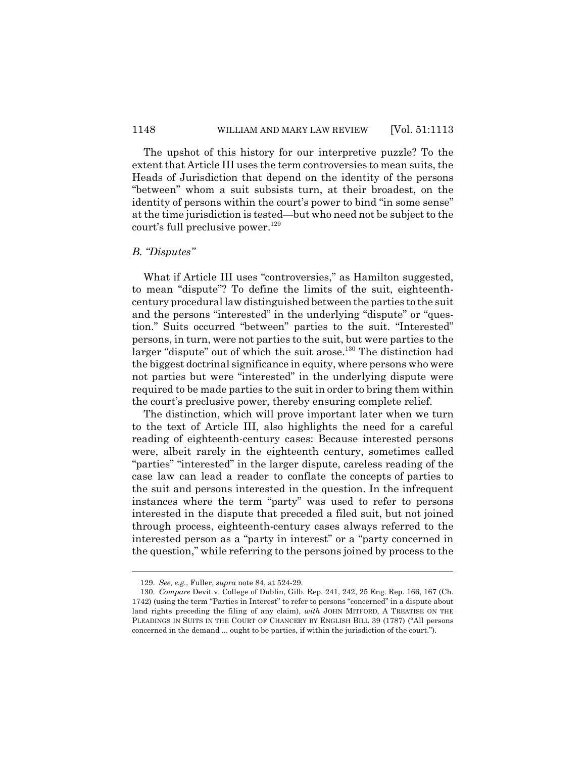The upshot of this history for our interpretive puzzle? To the extent that Article III uses the term controversies to mean suits, the Heads of Jurisdiction that depend on the identity of the persons "between" whom a suit subsists turn, at their broadest, on the identity of persons within the court's power to bind "in some sense" at the time jurisdiction is tested—but who need not be subject to the court's full preclusive power.<sup>129</sup>

## *B. "Disputes"*

What if Article III uses "controversies," as Hamilton suggested, to mean "dispute"? To define the limits of the suit, eighteenthcentury procedural law distinguished between the parties to the suit and the persons "interested" in the underlying "dispute" or "question." Suits occurred "between" parties to the suit. "Interested" persons, in turn, were not parties to the suit, but were parties to the larger "dispute" out of which the suit arose.<sup>130</sup> The distinction had the biggest doctrinal significance in equity, where persons who were not parties but were "interested" in the underlying dispute were required to be made parties to the suit in order to bring them within the court's preclusive power, thereby ensuring complete relief.

The distinction, which will prove important later when we turn to the text of Article III, also highlights the need for a careful reading of eighteenth-century cases: Because interested persons were, albeit rarely in the eighteenth century, sometimes called "parties" "interested" in the larger dispute, careless reading of the case law can lead a reader to conflate the concepts of parties to the suit and persons interested in the question. In the infrequent instances where the term "party" was used to refer to persons interested in the dispute that preceded a filed suit, but not joined through process, eighteenth-century cases always referred to the interested person as a "party in interest" or a "party concerned in the question," while referring to the persons joined by process to the

<sup>129.</sup> *See, e.g.*, Fuller, *supra* note 84, at 524-29.

<sup>130.</sup> *Compare* Devit v. College of Dublin, Gilb. Rep. 241, 242, 25 Eng. Rep. 166, 167 (Ch. 1742) (using the term "Parties in Interest" to refer to persons "concerned" in a dispute about land rights preceding the filing of any claim), *with* JOHN MITFORD, A TREATISE ON THE PLEADINGS IN SUITS IN THE COURT OF CHANCERY BY ENGLISH BILL 39 (1787) ("All persons concerned in the demand ... ought to be parties, if within the jurisdiction of the court.").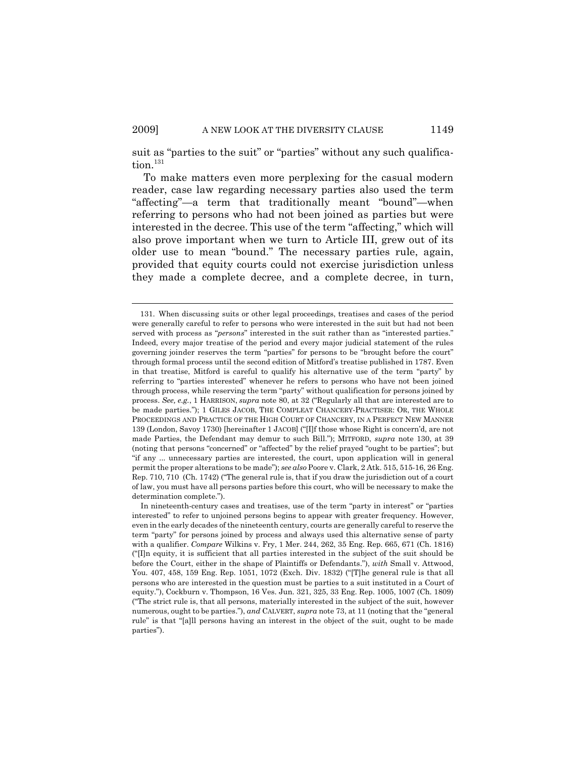suit as "parties to the suit" or "parties" without any such qualification. $131$ 

To make matters even more perplexing for the casual modern reader, case law regarding necessary parties also used the term "affecting"—a term that traditionally meant "bound"—when referring to persons who had not been joined as parties but were interested in the decree. This use of the term "affecting," which will also prove important when we turn to Article III, grew out of its older use to mean "bound." The necessary parties rule, again, provided that equity courts could not exercise jurisdiction unless they made a complete decree, and a complete decree, in turn,

<sup>131.</sup> When discussing suits or other legal proceedings, treatises and cases of the period were generally careful to refer to persons who were interested in the suit but had not been served with process as "*persons*" interested in the suit rather than as "interested parties." Indeed, every major treatise of the period and every major judicial statement of the rules governing joinder reserves the term "parties" for persons to be "brought before the court" through formal process until the second edition of Mitford's treatise published in 1787. Even in that treatise, Mitford is careful to qualify his alternative use of the term "party" by referring to "parties interested" whenever he refers to persons who have not been joined through process, while reserving the term "party" without qualification for persons joined by process. *See, e.g.*, 1 HARRISON, *supra* note 80, at 32 ("Regularly all that are interested are to be made parties."); 1 GILES JACOB, THE COMPLEAT CHANCERY-PRACTISER: OR, THE WHOLE PROCEEDINGS AND PRACTICE OF THE HIGH COURT OF CHANCERY, IN A PERFECT NEW MANNER 139 (London, Savoy 1730) [hereinafter 1 JACOB] ("[I]f those whose Right is concern'd, are not made Parties, the Defendant may demur to such Bill."); MITFORD, *supra* note 130, at 39 (noting that persons "concerned" or "affected" by the relief prayed "ought to be parties"; but "if any ... unnecessary parties are interested, the court, upon application will in general permit the proper alterations to be made"); *see also* Poore v. Clark, 2 Atk. 515, 515-16, 26 Eng. Rep. 710, 710 (Ch. 1742) ("The general rule is, that if you draw the jurisdiction out of a court of law, you must have all persons parties before this court, who will be necessary to make the determination complete.").

In nineteenth-century cases and treatises, use of the term "party in interest" or "parties interested" to refer to unjoined persons begins to appear with greater frequency. However, even in the early decades of the nineteenth century, courts are generally careful to reserve the term "party" for persons joined by process and always used this alternative sense of party with a qualifier. *Compare* Wilkins v. Fry, 1 Mer. 244, 262, 35 Eng. Rep. 665, 671 (Ch. 1816) ("[I]n equity, it is sufficient that all parties interested in the subject of the suit should be before the Court, either in the shape of Plaintiffs or Defendants."), *with* Small v. Attwood, You. 407, 458, 159 Eng. Rep. 1051, 1072 (Exch. Div. 1832) ("[T]he general rule is that all persons who are interested in the question must be parties to a suit instituted in a Court of equity."), Cockburn v. Thompson, 16 Ves. Jun. 321, 325, 33 Eng. Rep. 1005, 1007 (Ch. 1809) ("The strict rule is, that all persons, materially interested in the subject of the suit, however numerous, ought to be parties."), *and* CALVERT, *supra* note 73, at 11 (noting that the "general rule" is that "[a]ll persons having an interest in the object of the suit, ought to be made parties").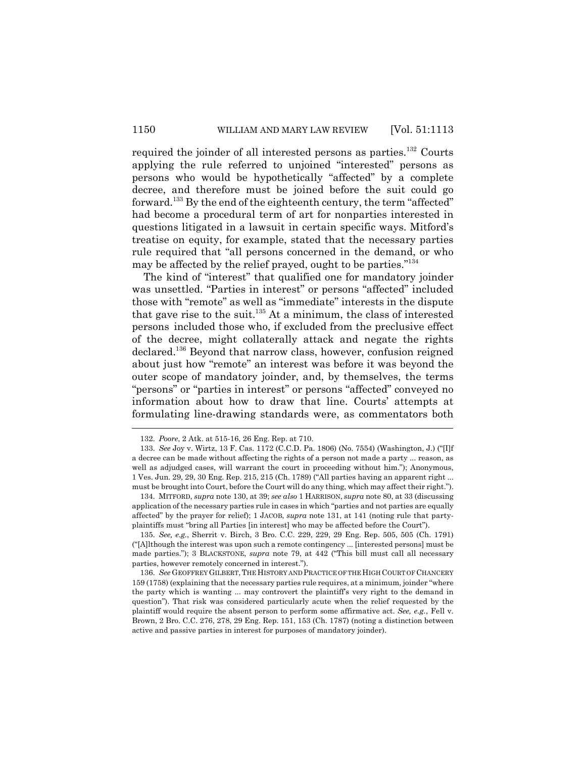required the joinder of all interested persons as parties.<sup>132</sup> Courts applying the rule referred to unjoined "interested" persons as persons who would be hypothetically "affected" by a complete decree, and therefore must be joined before the suit could go forward.133 By the end of the eighteenth century, the term "affected" had become a procedural term of art for nonparties interested in questions litigated in a lawsuit in certain specific ways. Mitford's treatise on equity, for example, stated that the necessary parties rule required that "all persons concerned in the demand, or who may be affected by the relief prayed, ought to be parties."134

The kind of "interest" that qualified one for mandatory joinder was unsettled. "Parties in interest" or persons "affected" included those with "remote" as well as "immediate" interests in the dispute that gave rise to the suit. $135$  At a minimum, the class of interested persons included those who, if excluded from the preclusive effect of the decree, might collaterally attack and negate the rights declared.136 Beyond that narrow class, however, confusion reigned about just how "remote" an interest was before it was beyond the outer scope of mandatory joinder, and, by themselves, the terms "persons" or "parties in interest" or persons "affected" conveyed no information about how to draw that line. Courts' attempts at formulating line-drawing standards were, as commentators both

<sup>132.</sup> *Poore*, 2 Atk. at 515-16, 26 Eng. Rep. at 710.

<sup>133.</sup> *See* Joy v. Wirtz, 13 F. Cas. 1172 (C.C.D. Pa. 1806) (No. 7554) (Washington, J.) ("[I]f a decree can be made without affecting the rights of a person not made a party ... reason, as well as adjudged cases, will warrant the court in proceeding without him."); Anonymous, 1 Ves. Jun. 29, 29, 30 Eng. Rep. 215, 215 (Ch. 1789) ("All parties having an apparent right ... must be brought into Court, before the Court will do any thing, which may affect their right.").

<sup>134.</sup> MITFORD, *supra* note 130, at 39; *see also* 1 HARRISON, *supra* note 80, at 33 (discussing application of the necessary parties rule in cases in which "parties and not parties are equally affected" by the prayer for relief); 1 JACOB, *supra* note 131, at 141 (noting rule that partyplaintiffs must "bring all Parties [in interest] who may be affected before the Court").

<sup>135.</sup> *See, e.g.*, Sherrit v. Birch, 3 Bro. C.C. 229, 229, 29 Eng. Rep. 505, 505 (Ch. 1791) ("[A]lthough the interest was upon such a remote contingency ... [interested persons] must be made parties."); 3 BLACKSTONE, *supra* note 79, at 442 ("This bill must call all necessary parties, however remotely concerned in interest.").

<sup>136.</sup> See GEOFFREY GILBERT, THE HISTORY AND PRACTICE OF THE HIGH COURT OF CHANCERY 159 (1758) (explaining that the necessary parties rule requires, at a minimum, joinder "where the party which is wanting ... may controvert the plaintiff's very right to the demand in question"). That risk was considered particularly acute when the relief requested by the plaintiff would require the absent person to perform some affirmative act. *See, e.g.*, Fell v. Brown, 2 Bro. C.C. 276, 278, 29 Eng. Rep. 151, 153 (Ch. 1787) (noting a distinction between active and passive parties in interest for purposes of mandatory joinder).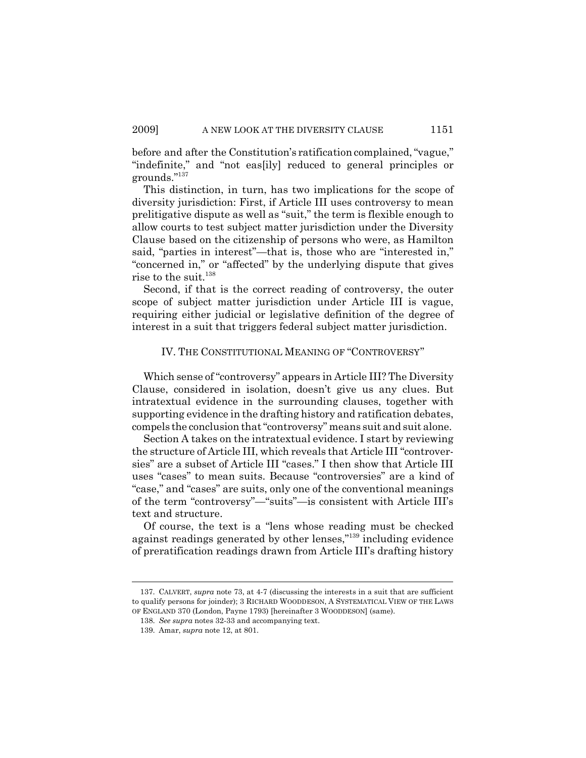before and after the Constitution's ratification complained, "vague," "indefinite," and "not eas[ily] reduced to general principles or grounds."137

This distinction, in turn, has two implications for the scope of diversity jurisdiction: First, if Article III uses controversy to mean prelitigative dispute as well as "suit," the term is flexible enough to allow courts to test subject matter jurisdiction under the Diversity Clause based on the citizenship of persons who were, as Hamilton said, "parties in interest"—that is, those who are "interested in," "concerned in," or "affected" by the underlying dispute that gives rise to the suit.<sup>138</sup>

Second, if that is the correct reading of controversy, the outer scope of subject matter jurisdiction under Article III is vague, requiring either judicial or legislative definition of the degree of interest in a suit that triggers federal subject matter jurisdiction.

#### IV. THE CONSTITUTIONAL MEANING OF "CONTROVERSY"

Which sense of "controversy" appears in Article III? The Diversity Clause, considered in isolation, doesn't give us any clues. But intratextual evidence in the surrounding clauses, together with supporting evidence in the drafting history and ratification debates, compels the conclusion that "controversy" means suit and suit alone.

Section A takes on the intratextual evidence. I start by reviewing the structure of Article III, which reveals that Article III "controversies" are a subset of Article III "cases." I then show that Article III uses "cases" to mean suits. Because "controversies" are a kind of "case," and "cases" are suits, only one of the conventional meanings of the term "controversy"—"suits"—is consistent with Article III's text and structure.

Of course, the text is a "lens whose reading must be checked against readings generated by other lenses,"139 including evidence of preratification readings drawn from Article III's drafting history

<sup>137.</sup> CALVERT, *supra* note 73, at 4-7 (discussing the interests in a suit that are sufficient to qualify persons for joinder); 3 RICHARD WOODDESON,ASYSTEMATICAL VIEW OF THE LAWS OF ENGLAND 370 (London, Payne 1793) [hereinafter 3 WOODDESON] (same).

<sup>138.</sup> *See supra* notes 32-33 and accompanying text.

<sup>139.</sup> Amar, *supra* note 12, at 801.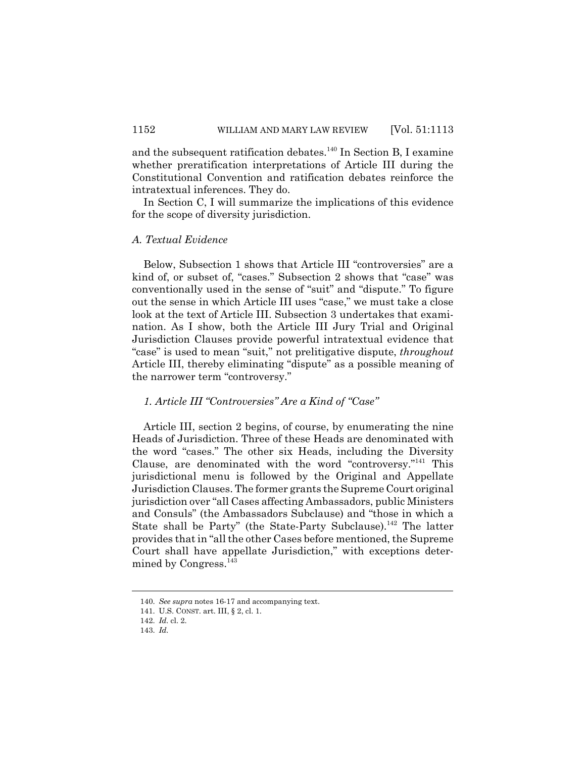and the subsequent ratification debates.<sup>140</sup> In Section B, I examine whether preratification interpretations of Article III during the Constitutional Convention and ratification debates reinforce the intratextual inferences. They do.

In Section C, I will summarize the implications of this evidence for the scope of diversity jurisdiction.

### *A. Textual Evidence*

Below, Subsection 1 shows that Article III "controversies" are a kind of, or subset of, "cases." Subsection 2 shows that "case" was conventionally used in the sense of "suit" and "dispute." To figure out the sense in which Article III uses "case," we must take a close look at the text of Article III. Subsection 3 undertakes that examination. As I show, both the Article III Jury Trial and Original Jurisdiction Clauses provide powerful intratextual evidence that "case" is used to mean "suit," not prelitigative dispute, *throughout* Article III, thereby eliminating "dispute" as a possible meaning of the narrower term "controversy."

### *1. Article III "Controversies" Are a Kind of "Case"*

Article III, section 2 begins, of course, by enumerating the nine Heads of Jurisdiction. Three of these Heads are denominated with the word "cases." The other six Heads, including the Diversity Clause, are denominated with the word "controversy."141 This jurisdictional menu is followed by the Original and Appellate Jurisdiction Clauses. The former grants the Supreme Court original jurisdiction over "all Cases affecting Ambassadors, public Ministers and Consuls" (the Ambassadors Subclause) and "those in which a State shall be Party" (the State-Party Subclause).<sup>142</sup> The latter provides that in "all the other Cases before mentioned, the Supreme Court shall have appellate Jurisdiction," with exceptions determined by Congress.<sup>143</sup>

<sup>140.</sup> *See supra* notes 16-17 and accompanying text.

<sup>141.</sup> U.S. CONST. art. III, § 2, cl. 1.

<sup>142.</sup> *Id.* cl. 2.

<sup>143.</sup> *Id.*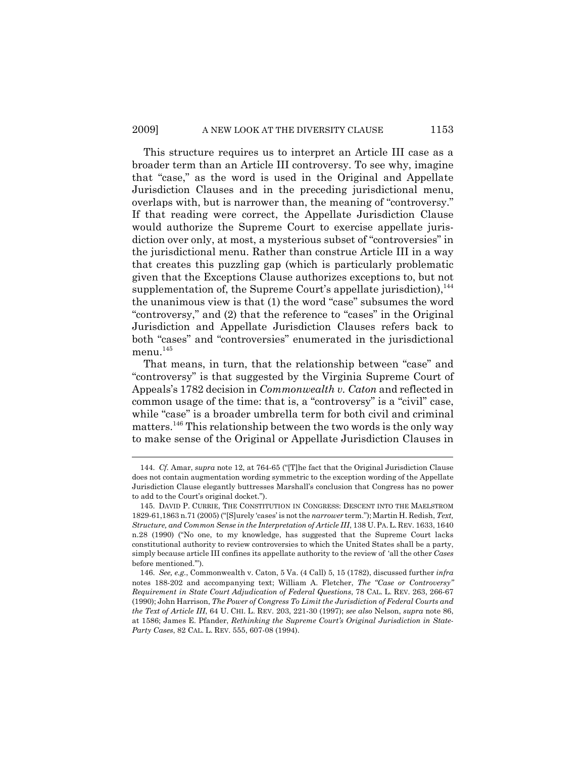This structure requires us to interpret an Article III case as a broader term than an Article III controversy. To see why, imagine that "case," as the word is used in the Original and Appellate Jurisdiction Clauses and in the preceding jurisdictional menu, overlaps with, but is narrower than, the meaning of "controversy." If that reading were correct, the Appellate Jurisdiction Clause would authorize the Supreme Court to exercise appellate jurisdiction over only, at most, a mysterious subset of "controversies" in the jurisdictional menu. Rather than construe Article III in a way that creates this puzzling gap (which is particularly problematic given that the Exceptions Clause authorizes exceptions to, but not supplementation of, the Supreme Court's appellate jurisdiction), $^{144}$ the unanimous view is that (1) the word "case" subsumes the word "controversy," and (2) that the reference to "cases" in the Original Jurisdiction and Appellate Jurisdiction Clauses refers back to both "cases" and "controversies" enumerated in the jurisdictional menu. $^{145}$ 

That means, in turn, that the relationship between "case" and "controversy" is that suggested by the Virginia Supreme Court of Appeals's 1782 decision in *Commonwealth v. Caton* and reflected in common usage of the time: that is, a "controversy" is a "civil" case, while "case" is a broader umbrella term for both civil and criminal matters.146 This relationship between the two words is the only way to make sense of the Original or Appellate Jurisdiction Clauses in

<sup>144.</sup> *Cf.* Amar, *supra* note 12, at 764-65 ("[T]he fact that the Original Jurisdiction Clause does not contain augmentation wording symmetric to the exception wording of the Appellate Jurisdiction Clause elegantly buttresses Marshall's conclusion that Congress has no power to add to the Court's original docket.").

<sup>145.</sup> DAVID P. CURRIE, THE CONSTITUTION IN CONGRESS: DESCENT INTO THE MAELSTROM 1829-61,1863 n.71 (2005) ("[S]urely 'cases' is not the *narrower* term."); Martin H. Redish, *Text, Structure, and Common Sense in the Interpretation of Article III*, 138 U. PA. L. REV. 1633, 1640 n.28 (1990) ("No one, to my knowledge, has suggested that the Supreme Court lacks constitutional authority to review controversies to which the United States shall be a party, simply because article III confines its appellate authority to the review of 'all the other *Cases* before mentioned.'").

<sup>146.</sup> *See, e.g.*, Commonwealth v. Caton, 5 Va. (4 Call) 5, 15 (1782), discussed further *infra* notes 188-202 and accompanying text; William A. Fletcher, *The "Case or Controversy" Requirement in State Court Adjudication of Federal Questions*, 78 CAL. L. REV. 263, 266-67 (1990); John Harrison, *The Power of Congress To Limit the Jurisdiction of Federal Courts and the Text of Article III*, 64 U. CHI. L. REV. 203, 221-30 (1997); *see also* Nelson, *supra* note 86, at 1586; James E. Pfander, *Rethinking the Supreme Court's Original Jurisdiction in State-Party Cases*, 82 CAL. L. REV. 555, 607-08 (1994).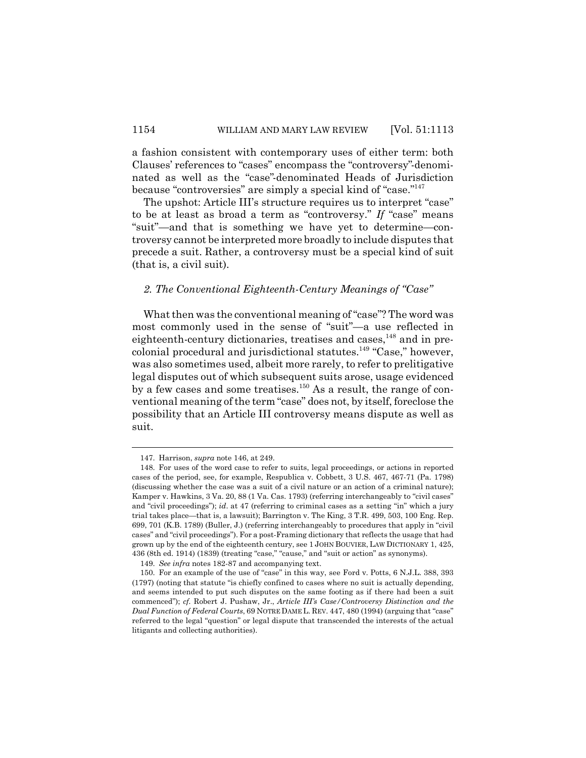a fashion consistent with contemporary uses of either term: both Clauses' references to "cases" encompass the "controversy"-denominated as well as the "case"-denominated Heads of Jurisdiction because "controversies" are simply a special kind of "case."147

The upshot: Article III's structure requires us to interpret "case" to be at least as broad a term as "controversy." *If* "case" means "suit"—and that is something we have yet to determine—controversy cannot be interpreted more broadly to include disputes that precede a suit. Rather, a controversy must be a special kind of suit (that is, a civil suit).

# *2. The Conventional Eighteenth-Century Meanings of "Case"*

What then was the conventional meaning of "case"? The word was most commonly used in the sense of "suit"—a use reflected in eighteenth-century dictionaries, treatises and cases, $^{148}$  and in precolonial procedural and jurisdictional statutes.<sup>149</sup> "Case," however, was also sometimes used, albeit more rarely, to refer to prelitigative legal disputes out of which subsequent suits arose, usage evidenced by a few cases and some treatises.<sup>150</sup> As a result, the range of conventional meaning of the term "case" does not, by itself, foreclose the possibility that an Article III controversy means dispute as well as suit.

<sup>147.</sup> Harrison, *supra* note 146, at 249.

<sup>148.</sup> For uses of the word case to refer to suits, legal proceedings, or actions in reported cases of the period, see, for example, Respublica v. Cobbett, 3 U.S. 467, 467-71 (Pa. 1798) (discussing whether the case was a suit of a civil nature or an action of a criminal nature); Kamper v. Hawkins, 3 Va. 20, 88 (1 Va. Cas. 1793) (referring interchangeably to "civil cases" and "civil proceedings"); *id*. at 47 (referring to criminal cases as a setting "in" which a jury trial takes place—that is, a lawsuit); Barrington v. The King, 3 T.R. 499, 503, 100 Eng. Rep. 699, 701 (K.B. 1789) (Buller, J.) (referring interchangeably to procedures that apply in "civil cases" and "civil proceedings"). For a post-Framing dictionary that reflects the usage that had grown up by the end of the eighteenth century, see 1 JOHN BOUVIER, LAW DICTIONARY 1, 425, 436 (8th ed. 1914) (1839) (treating "case," "cause," and "suit or action" as synonyms).

<sup>149.</sup> *See infra* notes 182-87 and accompanying text.

<sup>150.</sup> For an example of the use of "case" in this way, see Ford v. Potts, 6 N.J.L. 388, 393 (1797) (noting that statute "is chiefly confined to cases where no suit is actually depending, and seems intended to put such disputes on the same footing as if there had been a suit commenced"); *cf.* Robert J. Pushaw, Jr., *Article III's Case/Controversy Distinction and the Dual Function of Federal Courts*, 69 NOTRE DAME L. REV. 447, 480 (1994) (arguing that "case" referred to the legal "question" or legal dispute that transcended the interests of the actual litigants and collecting authorities).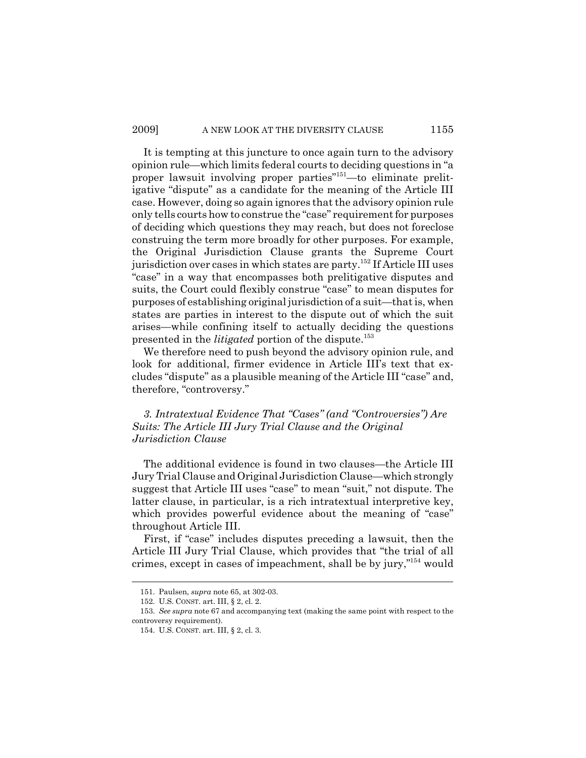It is tempting at this juncture to once again turn to the advisory opinion rule—which limits federal courts to deciding questions in "a proper lawsuit involving proper parties"<sup>151</sup>—to eliminate prelitigative "dispute" as a candidate for the meaning of the Article III case. However, doing so again ignores that the advisory opinion rule only tells courts how to construe the "case" requirement for purposes of deciding which questions they may reach, but does not foreclose construing the term more broadly for other purposes. For example, the Original Jurisdiction Clause grants the Supreme Court jurisdiction over cases in which states are party.<sup>152</sup> If Article III uses "case" in a way that encompasses both prelitigative disputes and suits, the Court could flexibly construe "case" to mean disputes for purposes of establishing original jurisdiction of a suit—that is, when states are parties in interest to the dispute out of which the suit arises—while confining itself to actually deciding the questions presented in the *litigated* portion of the dispute.<sup>153</sup>

We therefore need to push beyond the advisory opinion rule, and look for additional, firmer evidence in Article III's text that excludes "dispute" as a plausible meaning of the Article III "case" and, therefore, "controversy."

*3. Intratextual Evidence That "Cases" (and "Controversies") Are Suits: The Article III Jury Trial Clause and the Original Jurisdiction Clause*

The additional evidence is found in two clauses—the Article III Jury Trial Clause and Original Jurisdiction Clause—which strongly suggest that Article III uses "case" to mean "suit," not dispute. The latter clause, in particular, is a rich intratextual interpretive key, which provides powerful evidence about the meaning of "case" throughout Article III.

First, if "case" includes disputes preceding a lawsuit, then the Article III Jury Trial Clause, which provides that "the trial of all crimes, except in cases of impeachment, shall be by jury,"154 would

<sup>151.</sup> Paulsen, *supra* note 65, at 302-03.

<sup>152.</sup> U.S. CONST. art. III, § 2, cl. 2.

<sup>153.</sup> *See supra* note 67 and accompanying text (making the same point with respect to the controversy requirement).

<sup>154.</sup> U.S. CONST. art. III, § 2, cl. 3.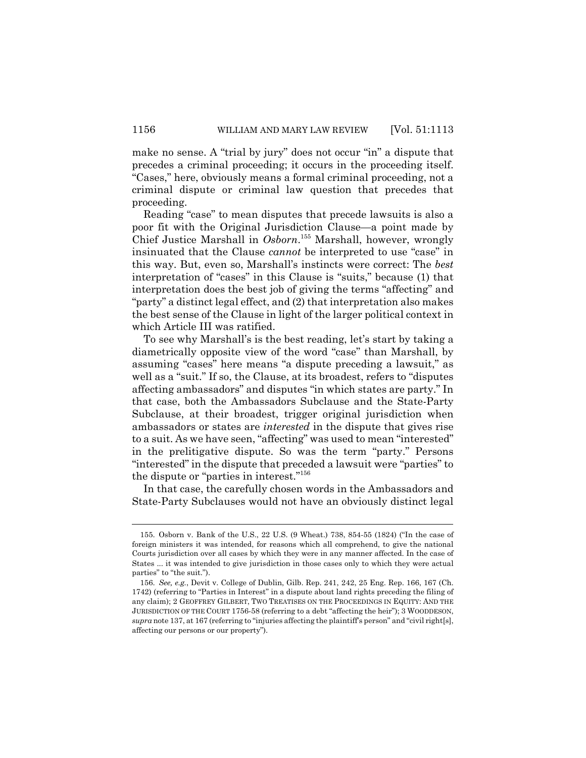make no sense. A "trial by jury" does not occur "in" a dispute that precedes a criminal proceeding; it occurs in the proceeding itself. "Cases," here, obviously means a formal criminal proceeding, not a criminal dispute or criminal law question that precedes that proceeding.

Reading "case" to mean disputes that precede lawsuits is also a poor fit with the Original Jurisdiction Clause—a point made by Chief Justice Marshall in *Osborn*. 155 Marshall, however, wrongly insinuated that the Clause *cannot* be interpreted to use "case" in this way. But, even so, Marshall's instincts were correct: The *best* interpretation of "cases" in this Clause is "suits," because (1) that interpretation does the best job of giving the terms "affecting" and "party" a distinct legal effect, and (2) that interpretation also makes the best sense of the Clause in light of the larger political context in which Article III was ratified.

To see why Marshall's is the best reading, let's start by taking a diametrically opposite view of the word "case" than Marshall, by assuming "cases" here means "a dispute preceding a lawsuit," as well as a "suit." If so, the Clause, at its broadest, refers to "disputes affecting ambassadors" and disputes "in which states are party." In that case, both the Ambassadors Subclause and the State-Party Subclause, at their broadest, trigger original jurisdiction when ambassadors or states are *interested* in the dispute that gives rise to a suit. As we have seen, "affecting" was used to mean "interested" in the prelitigative dispute. So was the term "party." Persons "interested" in the dispute that preceded a lawsuit were "parties" to the dispute or "parties in interest."156

In that case, the carefully chosen words in the Ambassadors and State-Party Subclauses would not have an obviously distinct legal

<sup>155.</sup> Osborn v. Bank of the U.S., 22 U.S. (9 Wheat.) 738, 854-55 (1824) ("In the case of foreign ministers it was intended, for reasons which all comprehend, to give the national Courts jurisdiction over all cases by which they were in any manner affected. In the case of States ... it was intended to give jurisdiction in those cases only to which they were actual parties" to "the suit.").

<sup>156.</sup> *See, e.g.*, Devit v. College of Dublin, Gilb. Rep. 241, 242, 25 Eng. Rep. 166, 167 (Ch. 1742) (referring to "Parties in Interest" in a dispute about land rights preceding the filing of any claim); 2 GEOFFREY GILBERT, TWO TREATISES ON THE PROCEEDINGS IN EQUITY: AND THE JURISDICTION OF THE COURT 1756-58 (referring to a debt "affecting the heir"); 3 WOODDESON, *supra* note 137, at 167 (referring to "injuries affecting the plaintiff's person" and "civil right[s], affecting our persons or our property").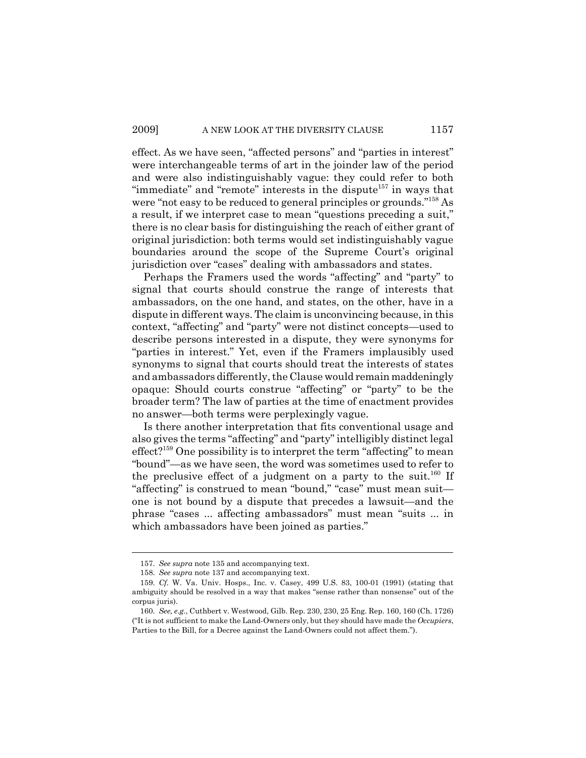effect. As we have seen, "affected persons" and "parties in interest" were interchangeable terms of art in the joinder law of the period and were also indistinguishably vague: they could refer to both "immediate" and "remote" interests in the dispute $157$  in ways that were "not easy to be reduced to general principles or grounds."158 As a result, if we interpret case to mean "questions preceding a suit," there is no clear basis for distinguishing the reach of either grant of original jurisdiction: both terms would set indistinguishably vague boundaries around the scope of the Supreme Court's original jurisdiction over "cases" dealing with ambassadors and states.

Perhaps the Framers used the words "affecting" and "party" to signal that courts should construe the range of interests that ambassadors, on the one hand, and states, on the other, have in a dispute in different ways. The claim is unconvincing because, in this context, "affecting" and "party" were not distinct concepts—used to describe persons interested in a dispute, they were synonyms for "parties in interest." Yet, even if the Framers implausibly used synonyms to signal that courts should treat the interests of states and ambassadors differently, the Clause would remain maddeningly opaque: Should courts construe "affecting" or "party" to be the broader term? The law of parties at the time of enactment provides no answer—both terms were perplexingly vague.

Is there another interpretation that fits conventional usage and also gives the terms "affecting" and "party" intelligibly distinct legal  $effect?$ <sup>159</sup> One possibility is to interpret the term "affecting" to mean "bound"—as we have seen, the word was sometimes used to refer to the preclusive effect of a judgment on a party to the suit.<sup>160</sup> If "affecting" is construed to mean "bound," "case" must mean suit one is not bound by a dispute that precedes a lawsuit—and the phrase "cases ... affecting ambassadors" must mean "suits ... in which ambassadors have been joined as parties."

<sup>157.</sup> *See supra* note 135 and accompanying text.

<sup>158.</sup> *See supra* note 137 and accompanying text.

<sup>159.</sup> *Cf.* W. Va. Univ. Hosps., Inc. v. Casey, 499 U.S. 83, 100-01 (1991) (stating that ambiguity should be resolved in a way that makes "sense rather than nonsense" out of the corpus juris).

<sup>160.</sup> *See, e.g.*, Cuthbert v. Westwood, Gilb. Rep. 230, 230, 25 Eng. Rep. 160, 160 (Ch. 1726) ("It is not sufficient to make the Land-Owners only, but they should have made the *Occupiers*, Parties to the Bill, for a Decree against the Land-Owners could not affect them.").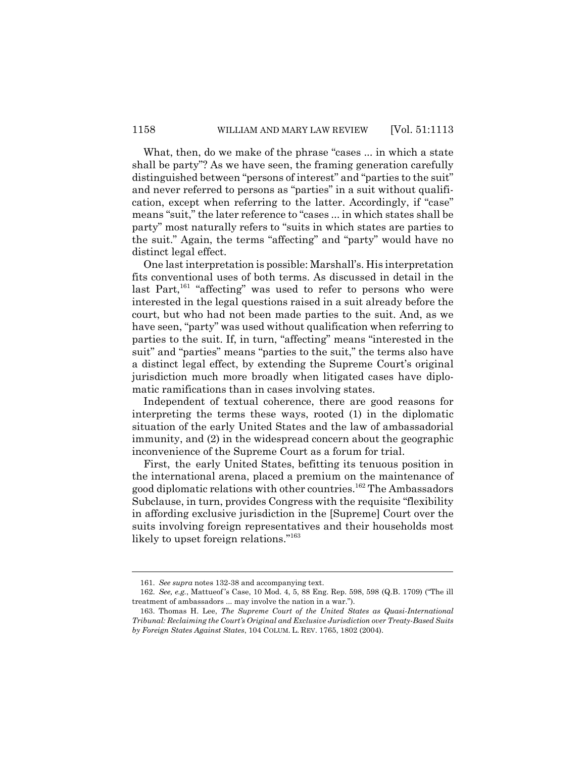What, then, do we make of the phrase "cases ... in which a state shall be party"? As we have seen, the framing generation carefully distinguished between "persons of interest" and "parties to the suit" and never referred to persons as "parties" in a suit without qualification, except when referring to the latter. Accordingly, if "case" means "suit," the later reference to "cases ... in which states shall be party" most naturally refers to "suits in which states are parties to the suit." Again, the terms "affecting" and "party" would have no distinct legal effect.

One last interpretation is possible: Marshall's. His interpretation fits conventional uses of both terms. As discussed in detail in the last Part, $161$  "affecting" was used to refer to persons who were interested in the legal questions raised in a suit already before the court, but who had not been made parties to the suit. And, as we have seen, "party" was used without qualification when referring to parties to the suit. If, in turn, "affecting" means "interested in the suit" and "parties" means "parties to the suit," the terms also have a distinct legal effect, by extending the Supreme Court's original jurisdiction much more broadly when litigated cases have diplomatic ramifications than in cases involving states.

Independent of textual coherence, there are good reasons for interpreting the terms these ways, rooted (1) in the diplomatic situation of the early United States and the law of ambassadorial immunity, and (2) in the widespread concern about the geographic inconvenience of the Supreme Court as a forum for trial.

First, the early United States, befitting its tenuous position in the international arena, placed a premium on the maintenance of good diplomatic relations with other countries.<sup>162</sup> The Ambassadors Subclause, in turn, provides Congress with the requisite "flexibility in affording exclusive jurisdiction in the [Supreme] Court over the suits involving foreign representatives and their households most likely to upset foreign relations."<sup>163</sup>

<sup>161.</sup> *See supra* notes 132-38 and accompanying text.

<sup>162.</sup> *See, e.g.*, Mattueof 's Case, 10 Mod. 4, 5, 88 Eng. Rep. 598, 598 (Q.B. 1709) ("The ill treatment of ambassadors ... may involve the nation in a war.").

<sup>163.</sup> Thomas H. Lee, *The Supreme Court of the United States as Quasi-International Tribunal: Reclaiming the Court's Original and Exclusive Jurisdiction over Treaty-Based Suits by Foreign States Against States*, 104 COLUM. L. REV. 1765, 1802 (2004).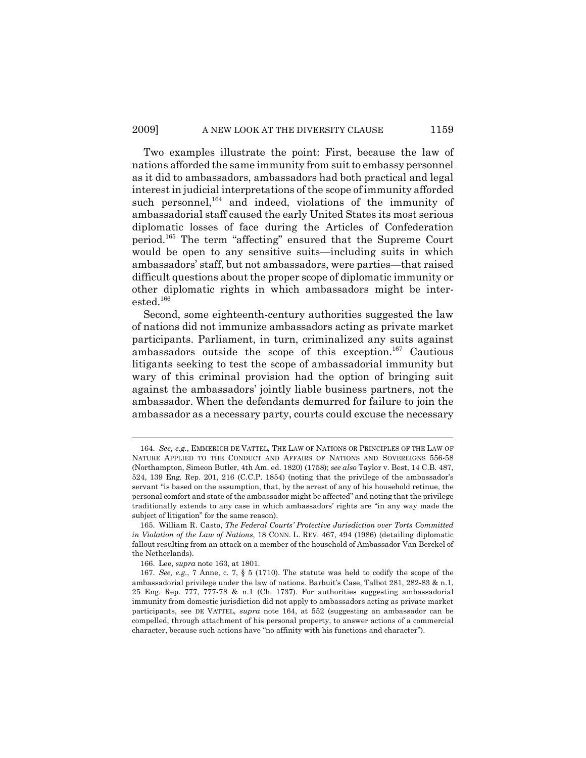Two examples illustrate the point: First, because the law of nations afforded the same immunity from suit to embassy personnel as it did to ambassadors, ambassadors had both practical and legal interest in judicial interpretations of the scope of immunity afforded such personnel, $164$  and indeed, violations of the immunity of ambassadorial staff caused the early United States its most serious diplomatic losses of face during the Articles of Confederation period.165 The term "affecting" ensured that the Supreme Court would be open to any sensitive suits—including suits in which ambassadors' staff, but not ambassadors, were parties—that raised difficult questions about the proper scope of diplomatic immunity or other diplomatic rights in which ambassadors might be interested.166

Second, some eighteenth-century authorities suggested the law of nations did not immunize ambassadors acting as private market participants. Parliament, in turn, criminalized any suits against ambassadors outside the scope of this exception.167 Cautious litigants seeking to test the scope of ambassadorial immunity but wary of this criminal provision had the option of bringing suit against the ambassadors' jointly liable business partners, not the ambassador. When the defendants demurred for failure to join the ambassador as a necessary party, courts could excuse the necessary

<sup>164.</sup> *See, e.g.*, EMMERICH DE VATTEL, THE LAW OF NATIONS OR PRINCIPLES OF THE LAW OF NATURE APPLIED TO THE CONDUCT AND AFFAIRS OF NATIONS AND SOVEREIGNS 556-58 (Northampton, Simeon Butler, 4th Am. ed. 1820) (1758); *see also* Taylor v. Best, 14 C.B. 487, 524, 139 Eng. Rep. 201, 216 (C.C.P. 1854) (noting that the privilege of the ambassador's servant "is based on the assumption, that, by the arrest of any of his household retinue, the personal comfort and state of the ambassador might be affected" and noting that the privilege traditionally extends to any case in which ambassadors' rights are "in any way made the subject of litigation" for the same reason).

<sup>165.</sup> William R. Casto, *The Federal Courts' Protective Jurisdiction over Torts Committed in Violation of the Law of Nations*, 18 CONN. L. REV. 467, 494 (1986) (detailing diplomatic fallout resulting from an attack on a member of the household of Ambassador Van Berckel of the Netherlands).

<sup>166.</sup> Lee, *supra* note 163, at 1801.

<sup>167.</sup> *See, e.g.*, 7 Anne, c. 7, § 5 (1710). The statute was held to codify the scope of the ambassadorial privilege under the law of nations. Barbuit's Case, Talbot 281, 282-83 & n.1, 25 Eng. Rep. 777, 777-78 & n.1 (Ch. 1737). For authorities suggesting ambassadorial immunity from domestic jurisdiction did not apply to ambassadors acting as private market participants, see DE VATTEL, *supra* note 164, at 552 (suggesting an ambassador can be compelled, through attachment of his personal property, to answer actions of a commercial character, because such actions have "no affinity with his functions and character").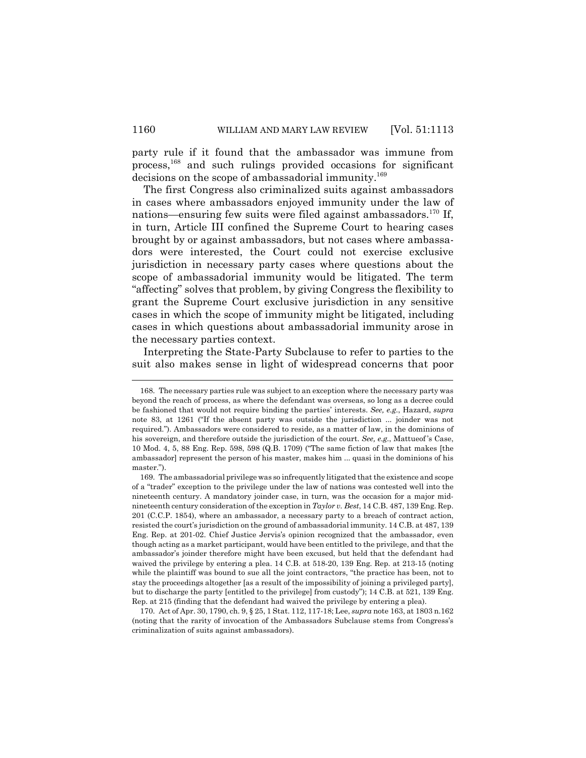party rule if it found that the ambassador was immune from process,168 and such rulings provided occasions for significant decisions on the scope of ambassadorial immunity.<sup>169</sup>

The first Congress also criminalized suits against ambassadors in cases where ambassadors enjoyed immunity under the law of nations—ensuring few suits were filed against ambassadors.170 If, in turn, Article III confined the Supreme Court to hearing cases brought by or against ambassadors, but not cases where ambassadors were interested, the Court could not exercise exclusive jurisdiction in necessary party cases where questions about the scope of ambassadorial immunity would be litigated. The term "affecting" solves that problem, by giving Congress the flexibility to grant the Supreme Court exclusive jurisdiction in any sensitive cases in which the scope of immunity might be litigated, including cases in which questions about ambassadorial immunity arose in the necessary parties context.

Interpreting the State-Party Subclause to refer to parties to the suit also makes sense in light of widespread concerns that poor

170. Act of Apr. 30, 1790, ch. 9, § 25, 1 Stat. 112, 117-18; Lee, *supra* note 163, at 1803 n.162 (noting that the rarity of invocation of the Ambassadors Subclause stems from Congress's criminalization of suits against ambassadors).

<sup>168.</sup> The necessary parties rule was subject to an exception where the necessary party was beyond the reach of process, as where the defendant was overseas, so long as a decree could be fashioned that would not require binding the parties' interests. *See, e.g.*, Hazard, *supra* note 83, at 1261 ("If the absent party was outside the jurisdiction ... joinder was not required."). Ambassadors were considered to reside, as a matter of law, in the dominions of his sovereign, and therefore outside the jurisdiction of the court. *See, e.g.*, Mattueof 's Case, 10 Mod. 4, 5, 88 Eng. Rep. 598, 598 (Q.B. 1709) ("The same fiction of law that makes [the ambassador] represent the person of his master, makes him ... quasi in the dominions of his master.").

<sup>169.</sup> The ambassadorial privilege was so infrequently litigated that the existence and scope of a "trader" exception to the privilege under the law of nations was contested well into the nineteenth century. A mandatory joinder case, in turn, was the occasion for a major midnineteenth century consideration of the exception in *Taylor v. Best*, 14 C.B. 487, 139 Eng. Rep. 201 (C.C.P. 1854), where an ambassador, a necessary party to a breach of contract action, resisted the court's jurisdiction on the ground of ambassadorial immunity. 14 C.B. at 487, 139 Eng. Rep. at 201-02. Chief Justice Jervis's opinion recognized that the ambassador, even though acting as a market participant, would have been entitled to the privilege, and that the ambassador's joinder therefore might have been excused, but held that the defendant had waived the privilege by entering a plea. 14 C.B. at 518-20, 139 Eng. Rep. at 213-15 (noting while the plaintiff was bound to sue all the joint contractors, "the practice has been, not to stay the proceedings altogether [as a result of the impossibility of joining a privileged party], but to discharge the party [entitled to the privilege] from custody"); 14 C.B. at 521, 139 Eng. Rep. at 215 (finding that the defendant had waived the privilege by entering a plea).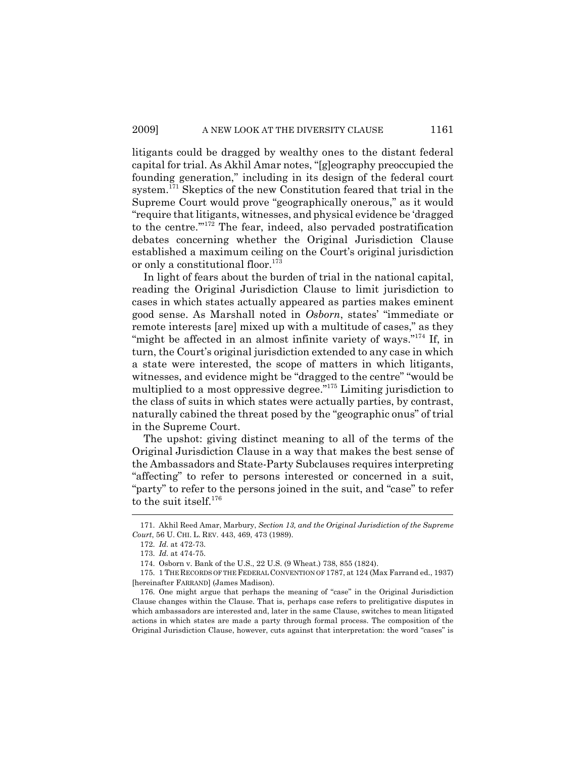litigants could be dragged by wealthy ones to the distant federal capital for trial. As Akhil Amar notes, "[g]eography preoccupied the founding generation," including in its design of the federal court system.<sup>171</sup> Skeptics of the new Constitution feared that trial in the Supreme Court would prove "geographically onerous," as it would "require that litigants, witnesses, and physical evidence be 'dragged to the centre.'"172 The fear, indeed, also pervaded postratification debates concerning whether the Original Jurisdiction Clause established a maximum ceiling on the Court's original jurisdiction or only a constitutional floor.<sup>173</sup>

In light of fears about the burden of trial in the national capital, reading the Original Jurisdiction Clause to limit jurisdiction to cases in which states actually appeared as parties makes eminent good sense. As Marshall noted in *Osborn*, states' "immediate or remote interests [are] mixed up with a multitude of cases," as they "might be affected in an almost infinite variety of ways."<sup>174</sup> If, in turn, the Court's original jurisdiction extended to any case in which a state were interested, the scope of matters in which litigants, witnesses, and evidence might be "dragged to the centre" "would be multiplied to a most oppressive degree."175 Limiting jurisdiction to the class of suits in which states were actually parties, by contrast, naturally cabined the threat posed by the "geographic onus" of trial in the Supreme Court.

The upshot: giving distinct meaning to all of the terms of the Original Jurisdiction Clause in a way that makes the best sense of the Ambassadors and State-Party Subclauses requires interpreting "affecting" to refer to persons interested or concerned in a suit, "party" to refer to the persons joined in the suit, and "case" to refer to the suit itself.<sup>176</sup>

<sup>171.</sup> Akhil Reed Amar, Marbury, *Section 13, and the Original Jurisdiction of the Supreme Court*, 56 U. CHI. L. REV. 443, 469, 473 (1989).

<sup>172.</sup> *Id.* at 472-73.

<sup>173.</sup> *Id.* at 474-75.

<sup>174.</sup> Osborn v. Bank of the U.S., 22 U.S. (9 Wheat.) 738, 855 (1824).

<sup>175. 1</sup> THE RECORDS OF THE FEDERAL CONVENTION OF 1787, at 124 (Max Farrand ed., 1937) [hereinafter FARRAND] (James Madison).

<sup>176.</sup> One might argue that perhaps the meaning of "case" in the Original Jurisdiction Clause changes within the Clause. That is, perhaps case refers to prelitigative disputes in which ambassadors are interested and, later in the same Clause, switches to mean litigated actions in which states are made a party through formal process. The composition of the Original Jurisdiction Clause, however, cuts against that interpretation: the word "cases" is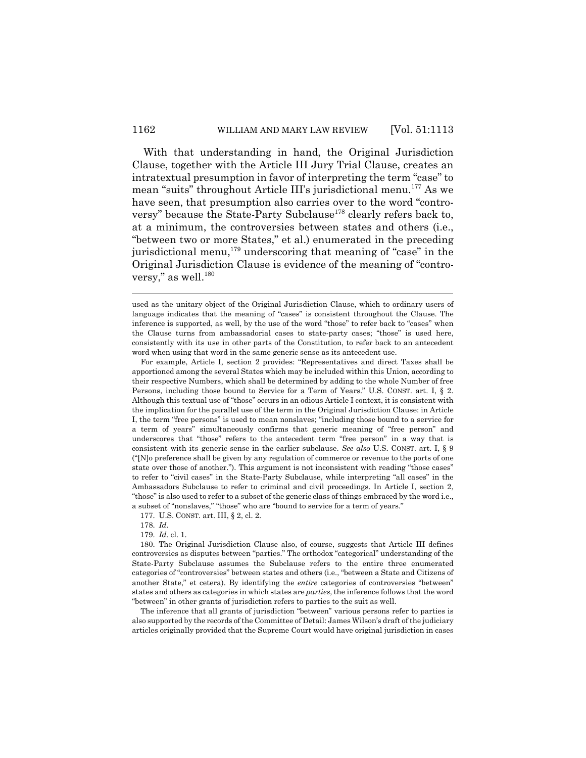With that understanding in hand, the Original Jurisdiction Clause, together with the Article III Jury Trial Clause, creates an intratextual presumption in favor of interpreting the term "case" to mean "suits" throughout Article III's jurisdictional menu.177 As we have seen, that presumption also carries over to the word "controversy" because the State-Party Subclause<sup>178</sup> clearly refers back to, at a minimum, the controversies between states and others (i.e., "between two or more States," et al.) enumerated in the preceding jurisdictional menu, $179$  underscoring that meaning of "case" in the Original Jurisdiction Clause is evidence of the meaning of "controversy," as well. $^{180}$ 

177. U.S. CONST. art. III, § 2, cl. 2.

179. *Id.* cl. 1.

180. The Original Jurisdiction Clause also, of course, suggests that Article III defines controversies as disputes between "parties." The orthodox "categorical" understanding of the State-Party Subclause assumes the Subclause refers to the entire three enumerated categories of "controversies" between states and others (i.e., "between a State and Citizens of another State," et cetera). By identifying the *entire* categories of controversies "between" states and others as categories in which states are *parties*, the inference follows that the word "between" in other grants of jurisdiction refers to parties to the suit as well.

The inference that all grants of jurisdiction "between" various persons refer to parties is also supported by the records of the Committee of Detail: James Wilson's draft of the judiciary articles originally provided that the Supreme Court would have original jurisdiction in cases

used as the unitary object of the Original Jurisdiction Clause, which to ordinary users of language indicates that the meaning of "cases" is consistent throughout the Clause. The inference is supported, as well, by the use of the word "those" to refer back to "cases" when the Clause turns from ambassadorial cases to state-party cases; "those" is used here, consistently with its use in other parts of the Constitution, to refer back to an antecedent word when using that word in the same generic sense as its antecedent use.

For example, Article I, section 2 provides: "Representatives and direct Taxes shall be apportioned among the several States which may be included within this Union, according to their respective Numbers, which shall be determined by adding to the whole Number of free Persons, including those bound to Service for a Term of Years." U.S. CONST. art. I, § 2. Although this textual use of "those" occurs in an odious Article I context, it is consistent with the implication for the parallel use of the term in the Original Jurisdiction Clause: in Article I, the term "free persons" is used to mean nonslaves; "including those bound to a service for a term of years" simultaneously confirms that generic meaning of "free person" and underscores that "those" refers to the antecedent term "free person" in a way that is consistent with its generic sense in the earlier subclause. *See also* U.S. CONST. art. I, § 9 ("[N]o preference shall be given by any regulation of commerce or revenue to the ports of one state over those of another."). This argument is not inconsistent with reading "those cases" to refer to "civil cases" in the State-Party Subclause, while interpreting "all cases" in the Ambassadors Subclause to refer to criminal and civil proceedings. In Article I, section 2, "those" is also used to refer to a subset of the generic class of things embraced by the word i.e., a subset of "nonslaves," "those" who are "bound to service for a term of years."

<sup>178.</sup> *Id.*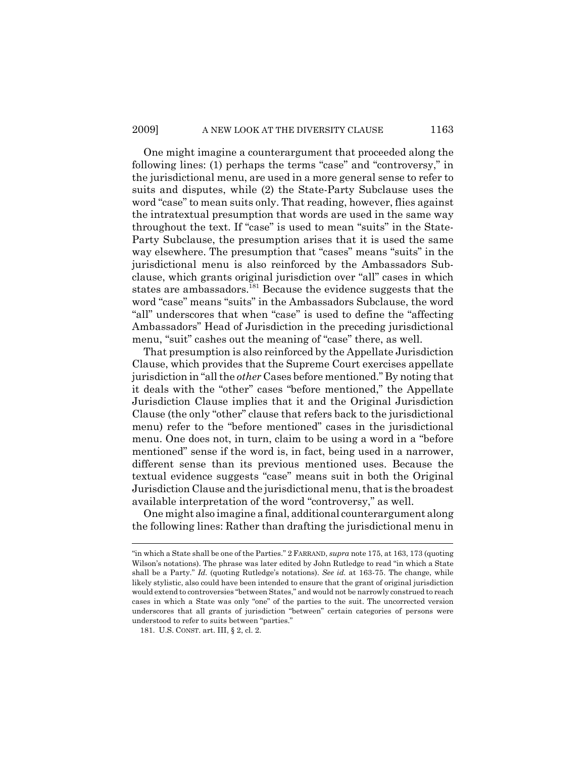One might imagine a counterargument that proceeded along the following lines: (1) perhaps the terms "case" and "controversy," in the jurisdictional menu, are used in a more general sense to refer to suits and disputes, while (2) the State-Party Subclause uses the word "case" to mean suits only. That reading, however, flies against the intratextual presumption that words are used in the same way throughout the text. If "case" is used to mean "suits" in the State-Party Subclause, the presumption arises that it is used the same way elsewhere. The presumption that "cases" means "suits" in the jurisdictional menu is also reinforced by the Ambassadors Subclause, which grants original jurisdiction over "all" cases in which states are ambassadors.<sup>181</sup> Because the evidence suggests that the word "case" means "suits" in the Ambassadors Subclause, the word "all" underscores that when "case" is used to define the "affecting Ambassadors" Head of Jurisdiction in the preceding jurisdictional menu, "suit" cashes out the meaning of "case" there, as well.

That presumption is also reinforced by the Appellate Jurisdiction Clause, which provides that the Supreme Court exercises appellate jurisdiction in "all the *other* Cases before mentioned." By noting that it deals with the "other" cases "before mentioned," the Appellate Jurisdiction Clause implies that it and the Original Jurisdiction Clause (the only "other" clause that refers back to the jurisdictional menu) refer to the "before mentioned" cases in the jurisdictional menu. One does not, in turn, claim to be using a word in a "before mentioned" sense if the word is, in fact, being used in a narrower, different sense than its previous mentioned uses. Because the textual evidence suggests "case" means suit in both the Original Jurisdiction Clause and the jurisdictional menu, that is the broadest available interpretation of the word "controversy," as well.

One might also imagine a final, additional counterargument along the following lines: Rather than drafting the jurisdictional menu in

<sup>&</sup>quot;in which a State shall be one of the Parties." 2 FARRAND, *supra* note 175, at 163, 173 (quoting Wilson's notations). The phrase was later edited by John Rutledge to read "in which a State shall be a Party." *Id.* (quoting Rutledge's notations). *See id.* at 163-75. The change, while likely stylistic, also could have been intended to ensure that the grant of original jurisdiction would extend to controversies "between States," and would not be narrowly construed to reach cases in which a State was only "one" of the parties to the suit. The uncorrected version underscores that all grants of jurisdiction "between" certain categories of persons were understood to refer to suits between "parties."

<sup>181.</sup> U.S. CONST. art. III, § 2, cl. 2.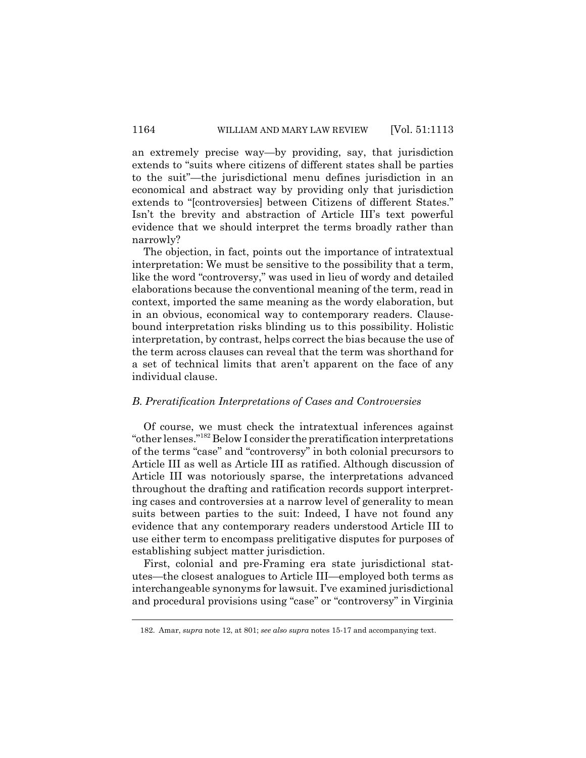an extremely precise way—by providing, say, that jurisdiction extends to "suits where citizens of different states shall be parties to the suit"—the jurisdictional menu defines jurisdiction in an economical and abstract way by providing only that jurisdiction extends to "[controversies] between Citizens of different States." Isn't the brevity and abstraction of Article III's text powerful evidence that we should interpret the terms broadly rather than narrowly?

The objection, in fact, points out the importance of intratextual interpretation: We must be sensitive to the possibility that a term, like the word "controversy," was used in lieu of wordy and detailed elaborations because the conventional meaning of the term, read in context, imported the same meaning as the wordy elaboration, but in an obvious, economical way to contemporary readers. Clausebound interpretation risks blinding us to this possibility. Holistic interpretation, by contrast, helps correct the bias because the use of the term across clauses can reveal that the term was shorthand for a set of technical limits that aren't apparent on the face of any individual clause.

### *B. Preratification Interpretations of Cases and Controversies*

Of course, we must check the intratextual inferences against "other lenses."182 Below I consider the preratification interpretations of the terms "case" and "controversy" in both colonial precursors to Article III as well as Article III as ratified. Although discussion of Article III was notoriously sparse, the interpretations advanced throughout the drafting and ratification records support interpreting cases and controversies at a narrow level of generality to mean suits between parties to the suit: Indeed, I have not found any evidence that any contemporary readers understood Article III to use either term to encompass prelitigative disputes for purposes of establishing subject matter jurisdiction.

First, colonial and pre-Framing era state jurisdictional statutes—the closest analogues to Article III—employed both terms as interchangeable synonyms for lawsuit. I've examined jurisdictional and procedural provisions using "case" or "controversy" in Virginia

<sup>182.</sup> Amar, *supra* note 12, at 801; *see also supra* notes 15-17 and accompanying text.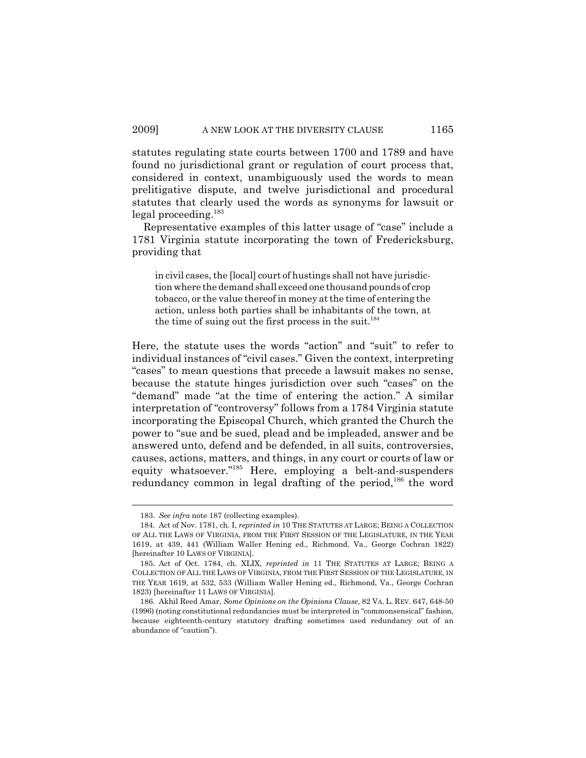statutes regulating state courts between 1700 and 1789 and have found no jurisdictional grant or regulation of court process that, considered in context, unambiguously used the words to mean prelitigative dispute, and twelve jurisdictional and procedural statutes that clearly used the words as synonyms for lawsuit or legal proceeding.183

Representative examples of this latter usage of "case" include a 1781 Virginia statute incorporating the town of Fredericksburg, providing that

in civil cases, the [local] court of hustings shall not have jurisdiction where the demand shall exceed one thousand pounds of crop tobacco, or the value thereof in money at the time of entering the action, unless both parties shall be inhabitants of the town, at the time of suing out the first process in the suit. $184$ 

Here, the statute uses the words "action" and "suit" to refer to individual instances of "civil cases." Given the context, interpreting "cases" to mean questions that precede a lawsuit makes no sense, because the statute hinges jurisdiction over such "cases" on the "demand" made "at the time of entering the action." A similar interpretation of "controversy" follows from a 1784 Virginia statute incorporating the Episcopal Church, which granted the Church the power to "sue and be sued, plead and be impleaded, answer and be answered unto, defend and be defended, in all suits, controversies, causes, actions, matters, and things, in any court or courts of law or equity whatsoever."<sup>185</sup> Here, employing a belt-and-suspenders redundancy common in legal drafting of the period,<sup>186</sup> the word

<sup>183.</sup> *See infra* note 187 (collecting examples).

<sup>184.</sup> Act of Nov. 1781, ch. I, *reprinted in* 10 THE STATUTES AT LARGE; BEING A COLLECTION OF ALL THE LAWS OF VIRGINIA, FROM THE FIRST SESSION OF THE LEGISLATURE, IN THE YEAR 1619, at 439, 441 (William Waller Hening ed., Richmond, Va., George Cochran 1822) [hereinafter 10 LAWS OF VIRGINIA].

<sup>185.</sup> Act of Oct. 1784, ch. XLIX, *reprinted in* 11 THE STATUTES AT LARGE; BEING A COLLECTION OF ALL THE LAWS OF VIRGINIA, FROM THE FIRST SESSION OF THE LEGISLATURE, IN THE YEAR 1619, at 532, 533 (William Waller Hening ed., Richmond, Va., George Cochran 1823) [hereinafter 11 LAWS OF VIRGINIA].

<sup>186.</sup> Akhil Reed Amar, *Some Opinions on the Opinions Clause*, 82 VA. L. REV. 647, 648-50 (1996) (noting constitutional redundancies must be interpreted in "commonsensical" fashion, because eighteenth-century statutory drafting sometimes used redundancy out of an abundance of "caution").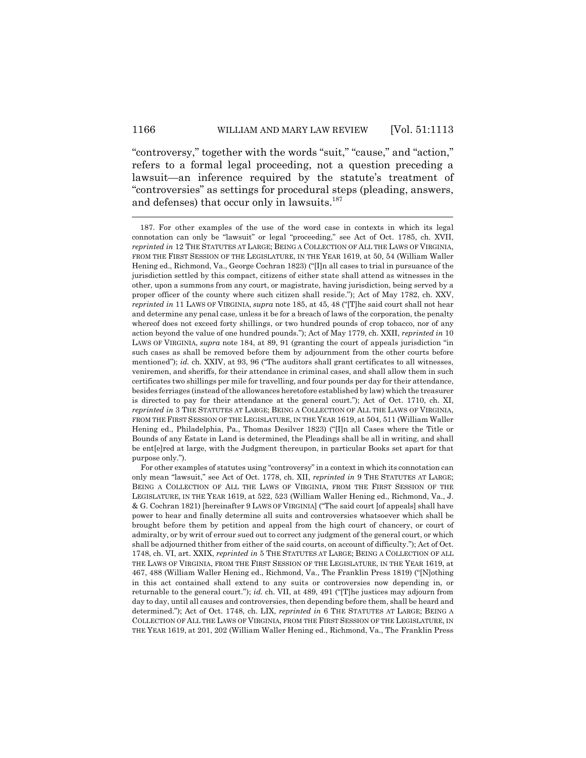"controversy," together with the words "suit," "cause," and "action," refers to a formal legal proceeding, not a question preceding a lawsuit—an inference required by the statute's treatment of "controversies" as settings for procedural steps (pleading, answers, and defenses) that occur only in lawsuits.<sup>187</sup>

<sup>187.</sup> For other examples of the use of the word case in contexts in which its legal connotation can only be "lawsuit" or legal "proceeding," see Act of Oct. 1785, ch. XVII, *reprinted in* 12 THE STATUTES AT LARGE; BEING A COLLECTION OF ALL THE LAWS OF VIRGINIA, FROM THE FIRST SESSION OF THE LEGISLATURE, IN THE YEAR 1619, at 50, 54 (William Waller Hening ed., Richmond, Va., George Cochran 1823) ("[I]n all cases to trial in pursuance of the jurisdiction settled by this compact, citizens of either state shall attend as witnesses in the other, upon a summons from any court, or magistrate, having jurisdiction, being served by a proper officer of the county where such citizen shall reside."); Act of May 1782, ch. XXV, *reprinted in* 11 LAWS OF VIRGINIA, *supra* note 185, at 45, 48 ("[T]he said court shall not hear and determine any penal case, unless it be for a breach of laws of the corporation, the penalty whereof does not exceed forty shillings, or two hundred pounds of crop tobacco, nor of any action beyond the value of one hundred pounds."); Act of May 1779, ch. XXII, *reprinted in* 10 LAWS OF VIRGINIA, *supra* note 184, at 89, 91 (granting the court of appeals jurisdiction "in such cases as shall be removed before them by adjournment from the other courts before mentioned"); *id.* ch. XXIV, at 93, 96 ("The auditors shall grant certificates to all witnesses, veniremen, and sheriffs, for their attendance in criminal cases, and shall allow them in such certificates two shillings per mile for travelling, and four pounds per day for their attendance, besides ferriages (instead of the allowances heretofore established by law) which the treasurer is directed to pay for their attendance at the general court."); Act of Oct. 1710, ch. XI, *reprinted in* 3 THE STATUTES AT LARGE; BEING A COLLECTION OF ALL THE LAWS OF VIRGINIA, FROM THE FIRST SESSION OF THE LEGISLATURE, IN THE YEAR 1619, at 504, 511 (William Waller Hening ed., Philadelphia, Pa., Thomas Desilver 1823) ("[I]n all Cases where the Title or Bounds of any Estate in Land is determined, the Pleadings shall be all in writing, and shall be ent[e]red at large, with the Judgment thereupon, in particular Books set apart for that purpose only.").

For other examples of statutes using "controversy" in a context in which its connotation can only mean "lawsuit," see Act of Oct. 1778, ch. XII, *reprinted in* 9 THE STATUTES AT LARGE; BEING A COLLECTION OF ALL THE LAWS OF VIRGINIA, FROM THE FIRST SESSION OF THE LEGISLATURE, IN THE YEAR 1619, at 522, 523 (William Waller Hening ed., Richmond, Va., J. & G. Cochran 1821) [hereinafter 9 LAWS OF VIRGINIA] ("The said court [of appeals] shall have power to hear and finally determine all suits and controversies whatsoever which shall be brought before them by petition and appeal from the high court of chancery, or court of admiralty, or by writ of errour sued out to correct any judgment of the general court, or which shall be adjourned thither from either of the said courts, on account of difficulty."); Act of Oct. 1748, ch. VI, art. XXIX, *reprinted in* 5 THE STATUTES AT LARGE; BEING A COLLECTION OF ALL THE LAWS OF VIRGINIA, FROM THE FIRST SESSION OF THE LEGISLATURE, IN THE YEAR 1619, at 467, 488 (William Waller Hening ed., Richmond, Va., The Franklin Press 1819) ("[N]othing in this act contained shall extend to any suits or controversies now depending in, or returnable to the general court."); *id.* ch. VII, at 489, 491 ("[T]he justices may adjourn from day to day, until all causes and controversies, then depending before them, shall be heard and determined."); Act of Oct. 1748, ch. LIX, *reprinted in* 6 THE STATUTES AT LARGE; BEING A COLLECTION OF ALL THE LAWS OF VIRGINIA, FROM THE FIRST SESSION OF THE LEGISLATURE, IN THE YEAR 1619, at 201, 202 (William Waller Hening ed., Richmond, Va., The Franklin Press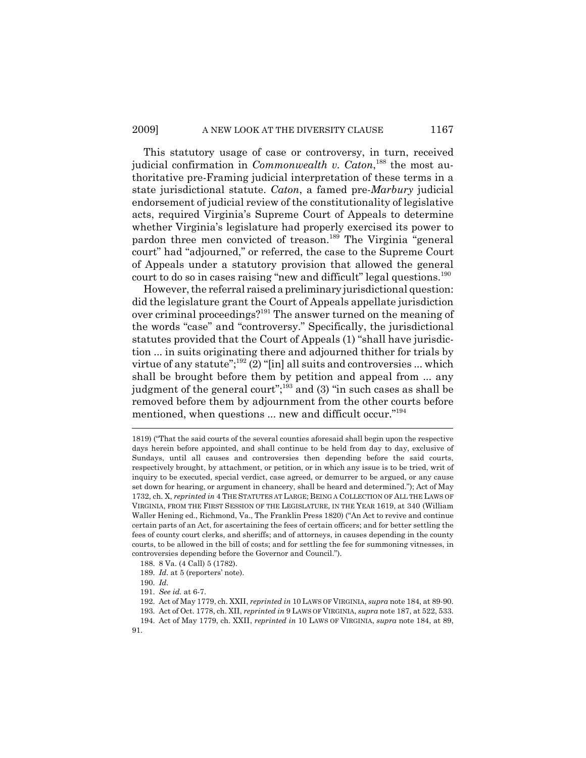This statutory usage of case or controversy, in turn, received judicial confirmation in *Commonwealth v. Caton*, 188 the most authoritative pre-Framing judicial interpretation of these terms in a state jurisdictional statute. *Caton*, a famed pre-*Marbury* judicial endorsement of judicial review of the constitutionality of legislative acts, required Virginia's Supreme Court of Appeals to determine whether Virginia's legislature had properly exercised its power to pardon three men convicted of treason.<sup>189</sup> The Virginia "general court" had "adjourned," or referred, the case to the Supreme Court of Appeals under a statutory provision that allowed the general court to do so in cases raising "new and difficult" legal questions.<sup>190</sup>

However, the referral raised a preliminary jurisdictional question: did the legislature grant the Court of Appeals appellate jurisdiction over criminal proceedings?191 The answer turned on the meaning of the words "case" and "controversy." Specifically, the jurisdictional statutes provided that the Court of Appeals (1) "shall have jurisdiction ... in suits originating there and adjourned thither for trials by virtue of any statute"; $^{192}$  (2) "[in] all suits and controversies ... which shall be brought before them by petition and appeal from ... any judgment of the general court";<sup>193</sup> and (3) "in such cases as shall be removed before them by adjournment from the other courts before mentioned, when questions ... new and difficult occur."<sup>194</sup>

<sup>1819) (&</sup>quot;That the said courts of the several counties aforesaid shall begin upon the respective days herein before appointed, and shall continue to be held from day to day, exclusive of Sundays, until all causes and controversies then depending before the said courts, respectively brought, by attachment, or petition, or in which any issue is to be tried, writ of inquiry to be executed, special verdict, case agreed, or demurrer to be argued, or any cause set down for hearing, or argument in chancery, shall be heard and determined."); Act of May 1732, ch. X, *reprinted in* 4 THE STATUTES AT LARGE; BEING A COLLECTION OF ALL THE LAWS OF VIRGINIA, FROM THE FIRST SESSION OF THE LEGISLATURE, IN THE YEAR 1619, at 340 (William Waller Hening ed., Richmond, Va., The Franklin Press 1820) ("An Act to revive and continue certain parts of an Act, for ascertaining the fees of certain officers; and for better settling the fees of county court clerks, and sheriffs; and of attorneys, in causes depending in the county courts, to be allowed in the bill of costs; and for settling the fee for summoning vitnesses, in controversies depending before the Governor and Council.").

<sup>188. 8</sup> Va. (4 Call) 5 (1782).

<sup>189.</sup> *Id.* at 5 (reporters' note).

<sup>190.</sup> *Id.*

<sup>191.</sup> *See id.* at 6-7.

<sup>192.</sup> Act of May 1779, ch. XXII, *reprinted in* 10 LAWS OF VIRGINIA, *supra* note 184, at 89-90.

<sup>193.</sup> Act of Oct. 1778, ch. XII, *reprinted in* 9 LAWS OF VIRGINIA, *supra* note 187, at 522, 533.

<sup>194.</sup> Act of May 1779, ch. XXII, *reprinted in* 10 LAWS OF VIRGINIA, *supra* note 184, at 89, 91.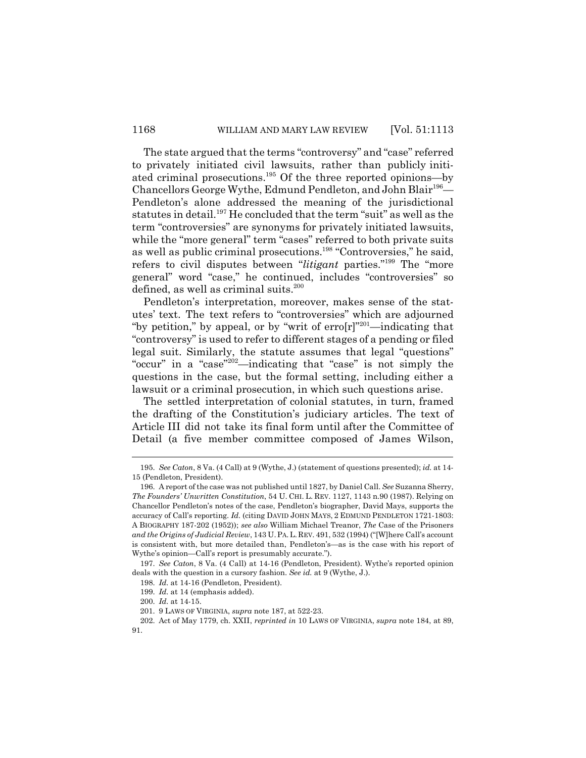The state argued that the terms "controversy" and "case" referred to privately initiated civil lawsuits, rather than publicly initiated criminal prosecutions.195 Of the three reported opinions—by Chancellors George Wythe, Edmund Pendleton, and John Blair<sup>196</sup>— Pendleton's alone addressed the meaning of the jurisdictional statutes in detail.<sup>197</sup> He concluded that the term "suit" as well as the term "controversies" are synonyms for privately initiated lawsuits, while the "more general" term "cases" referred to both private suits as well as public criminal prosecutions.198 "Controversies," he said, refers to civil disputes between "*litigant* parties."199 The "more general" word "case," he continued, includes "controversies" so defined, as well as criminal suits.<sup>200</sup>

Pendleton's interpretation, moreover, makes sense of the statutes' text. The text refers to "controversies" which are adjourned "by petition," by appeal, or by "writ of  $error[r]^{201}$ —indicating that "controversy" is used to refer to different stages of a pending or filed legal suit. Similarly, the statute assumes that legal "questions" "occur" in a "case"202—indicating that "case" is not simply the questions in the case, but the formal setting, including either a lawsuit or a criminal prosecution, in which such questions arise.

The settled interpretation of colonial statutes, in turn, framed the drafting of the Constitution's judiciary articles. The text of Article III did not take its final form until after the Committee of Detail (a five member committee composed of James Wilson,

<sup>195.</sup> *See Caton*, 8 Va. (4 Call) at 9 (Wythe, J.) (statement of questions presented); *id.* at 14- 15 (Pendleton, President).

<sup>196.</sup> A report of the case was not published until 1827, by Daniel Call. *See* Suzanna Sherry, *The Founders' Unwritten Constitution*, 54 U. CHI. L. REV. 1127, 1143 n.90 (1987). Relying on Chancellor Pendleton's notes of the case, Pendleton's biographer, David Mays, supports the accuracy of Call's reporting. *Id.* (citing DAVID JOHN MAYS,2EDMUND PENDLETON 1721-1803: A BIOGRAPHY 187-202 (1952)); *see also* William Michael Treanor, *The* Case of the Prisoners *and the Origins of Judicial Review*, 143 U. PA. L. REV. 491, 532 (1994) ("[W]here Call's account is consistent with, but more detailed than, Pendleton's—as is the case with his report of Wythe's opinion—Call's report is presumably accurate.").

<sup>197.</sup> *See Caton*, 8 Va. (4 Call) at 14-16 (Pendleton, President). Wythe's reported opinion deals with the question in a cursory fashion. *See id.* at 9 (Wythe, J.).

<sup>198.</sup> *Id.* at 14-16 (Pendleton, President).

<sup>199.</sup> *Id.* at 14 (emphasis added).

<sup>200.</sup> *Id.* at 14-15.

<sup>201. 9</sup> LAWS OF VIRGINIA, *supra* note 187, at 522-23.

<sup>202.</sup> Act of May 1779, ch. XXII, *reprinted in* 10 LAWS OF VIRGINIA, *supra* note 184, at 89, 91.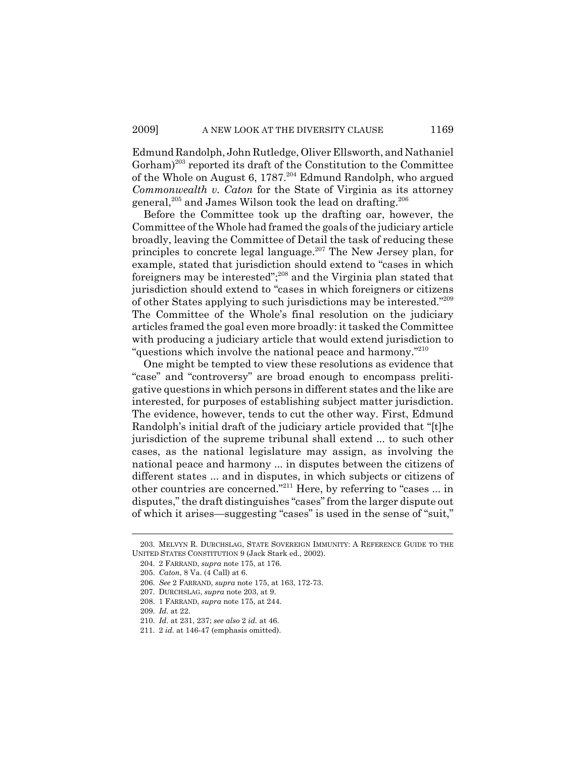Edmund Randolph, John Rutledge, Oliver Ellsworth, and Nathaniel Gorham)<sup>203</sup> reported its draft of the Constitution to the Committee of the Whole on August 6, 1787.204 Edmund Randolph, who argued *Commonwealth v. Caton* for the State of Virginia as its attorney general,<sup>205</sup> and James Wilson took the lead on drafting.<sup>206</sup>

Before the Committee took up the drafting oar, however, the Committee of the Whole had framed the goals of the judiciary article broadly, leaving the Committee of Detail the task of reducing these principles to concrete legal language.207 The New Jersey plan, for example, stated that jurisdiction should extend to "cases in which foreigners may be interested";208 and the Virginia plan stated that jurisdiction should extend to "cases in which foreigners or citizens of other States applying to such jurisdictions may be interested."209 The Committee of the Whole's final resolution on the judiciary articles framed the goal even more broadly: it tasked the Committee with producing a judiciary article that would extend jurisdiction to "questions which involve the national peace and harmony."<sup>210</sup>

One might be tempted to view these resolutions as evidence that "case" and "controversy" are broad enough to encompass prelitigative questions in which persons in different states and the like are interested, for purposes of establishing subject matter jurisdiction. The evidence, however, tends to cut the other way. First, Edmund Randolph's initial draft of the judiciary article provided that "[t]he jurisdiction of the supreme tribunal shall extend ... to such other cases, as the national legislature may assign, as involving the national peace and harmony ... in disputes between the citizens of different states ... and in disputes, in which subjects or citizens of other countries are concerned."211 Here, by referring to "cases ... in disputes," the draft distinguishes "cases" from the larger dispute out of which it arises—suggesting "cases" is used in the sense of "suit,"

<sup>203.</sup> MELVYN R. DURCHSLAG, STATE SOVEREIGN IMMUNITY: A REFERENCE GUIDE TO THE UNITED STATES CONSTITUTION 9 (Jack Stark ed., 2002).

<sup>204. 2</sup> FARRAND, *supra* note 175, at 176.

<sup>205.</sup> *Caton*, 8 Va. (4 Call) at 6.

<sup>206.</sup> *See* 2 FARRAND, *supra* note 175, at 163, 172-73.

<sup>207.</sup> DURCHSLAG, *supra* note 203, at 9.

<sup>208. 1</sup> FARRAND, *supra* note 175, at 244.

<sup>209.</sup> *Id.* at 22.

<sup>210.</sup> *Id.* at 231, 237; *see also* 2 *id.* at 46.

<sup>211. 2</sup> *id.* at 146-47 (emphasis omitted).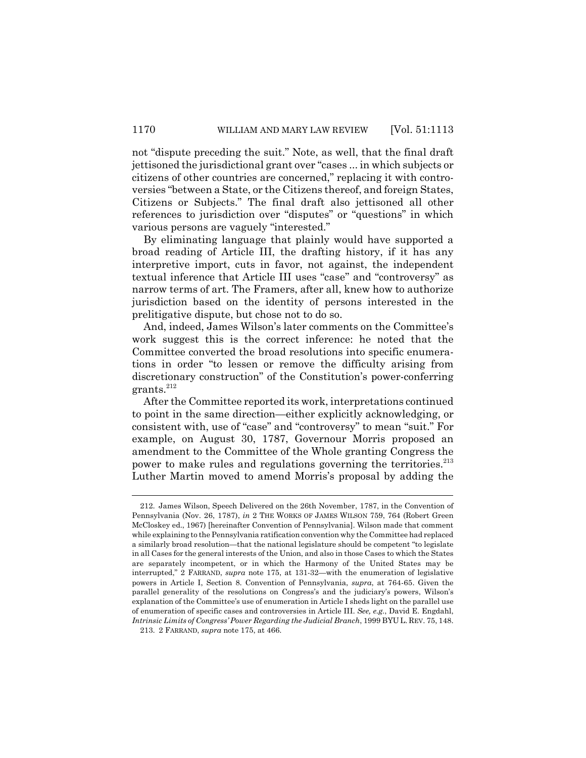not "dispute preceding the suit." Note, as well, that the final draft jettisoned the jurisdictional grant over "cases ... in which subjects or citizens of other countries are concerned," replacing it with controversies "between a State, or the Citizens thereof, and foreign States, Citizens or Subjects." The final draft also jettisoned all other references to jurisdiction over "disputes" or "questions" in which various persons are vaguely "interested."

By eliminating language that plainly would have supported a broad reading of Article III, the drafting history, if it has any interpretive import, cuts in favor, not against, the independent textual inference that Article III uses "case" and "controversy" as narrow terms of art. The Framers, after all, knew how to authorize jurisdiction based on the identity of persons interested in the prelitigative dispute, but chose not to do so.

And, indeed, James Wilson's later comments on the Committee's work suggest this is the correct inference: he noted that the Committee converted the broad resolutions into specific enumerations in order "to lessen or remove the difficulty arising from discretionary construction" of the Constitution's power-conferring grants.212

After the Committee reported its work, interpretations continued to point in the same direction—either explicitly acknowledging, or consistent with, use of "case" and "controversy" to mean "suit." For example, on August 30, 1787, Governour Morris proposed an amendment to the Committee of the Whole granting Congress the power to make rules and regulations governing the territories.<sup>213</sup> Luther Martin moved to amend Morris's proposal by adding the

<sup>212.</sup> James Wilson, Speech Delivered on the 26th November, 1787, in the Convention of Pennsylvania (Nov. 26, 1787), *in* 2 THE WORKS OF JAMES WILSON 759, 764 (Robert Green McCloskey ed., 1967) [hereinafter Convention of Pennsylvania]. Wilson made that comment while explaining to the Pennsylvania ratification convention why the Committee had replaced a similarly broad resolution—that the national legislature should be competent "to legislate in all Cases for the general interests of the Union, and also in those Cases to which the States are separately incompetent, or in which the Harmony of the United States may be interrupted," 2 FARRAND, *supra* note 175, at 131-32—with the enumeration of legislative powers in Article I, Section 8. Convention of Pennsylvania, *supra*, at 764-65. Given the parallel generality of the resolutions on Congress's and the judiciary's powers, Wilson's explanation of the Committee's use of enumeration in Article I sheds light on the parallel use of enumeration of specific cases and controversies in Article III. *See, e.g.*, David E. Engdahl, *Intrinsic Limits of Congress' Power Regarding the Judicial Branch*, 1999 BYU L. REV. 75, 148.

<sup>213. 2</sup> FARRAND, *supra* note 175, at 466.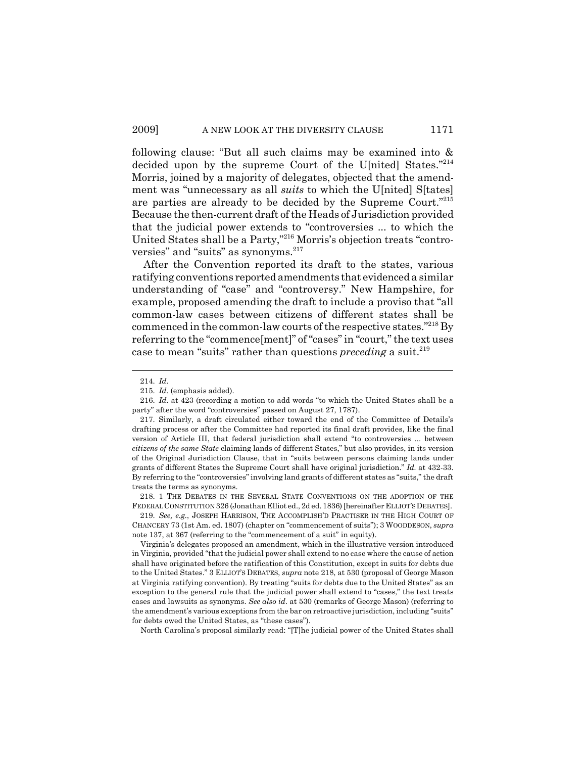following clause: "But all such claims may be examined into & decided upon by the supreme Court of the U[nited] States."214 Morris, joined by a majority of delegates, objected that the amendment was "unnecessary as all *suits* to which the U[nited] S[tates] are parties are already to be decided by the Supreme Court."215 Because the then-current draft of the Heads of Jurisdiction provided that the judicial power extends to "controversies ... to which the United States shall be a Party,"216 Morris's objection treats "controversies" and "suits" as synonyms.<sup>217</sup>

After the Convention reported its draft to the states, various ratifying conventions reported amendments that evidenced a similar understanding of "case" and "controversy." New Hampshire, for example, proposed amending the draft to include a proviso that "all common-law cases between citizens of different states shall be commenced in the common-law courts of the respective states."218 By referring to the "commence[ment]" of "cases" in "court," the text uses case to mean "suits" rather than questions *preceding* a suit.<sup>219</sup>

218. 1 THE DEBATES IN THE SEVERAL STATE CONVENTIONS ON THE ADOPTION OF THE FEDERALCONSTITUTION 326 (Jonathan Elliot ed., 2d ed. 1836) [hereinafter ELLIOT'SDEBATES].

219. *See, e.g.*, JOSEPH HARRISON, THE ACCOMPLISH'D PRACTISER IN THE HIGH COURT OF CHANCERY 73 (1st Am. ed. 1807) (chapter on "commencement of suits"); 3 WOODDESON, *supra* note 137, at 367 (referring to the "commencement of a suit" in equity).

Virginia's delegates proposed an amendment, which in the illustrative version introduced in Virginia, provided "that the judicial power shall extend to no case where the cause of action shall have originated before the ratification of this Constitution, except in suits for debts due to the United States." 3 ELLIOT'S DEBATES, *supra* note 218, at 530 (proposal of George Mason at Virginia ratifying convention). By treating "suits for debts due to the United States" as an exception to the general rule that the judicial power shall extend to "cases," the text treats cases and lawsuits as synonyms. *See also id*. at 530 (remarks of George Mason) (referring to the amendment's various exceptions from the bar on retroactive jurisdiction, including "suits" for debts owed the United States, as "these cases").

North Carolina's proposal similarly read: "[T]he judicial power of the United States shall

<sup>214.</sup> *Id.*

<sup>215.</sup> *Id.* (emphasis added).

<sup>216.</sup> *Id.* at 423 (recording a motion to add words "to which the United States shall be a party" after the word "controversies" passed on August 27, 1787).

<sup>217.</sup> Similarly, a draft circulated either toward the end of the Committee of Details's drafting process or after the Committee had reported its final draft provides, like the final version of Article III, that federal jurisdiction shall extend "to controversies ... between *citizens of the same State* claiming lands of different States," but also provides, in its version of the Original Jurisdiction Clause, that in "suits between persons claiming lands under grants of different States the Supreme Court shall have original jurisdiction." *Id.* at 432-33. By referring to the "controversies" involving land grants of different states as "suits," the draft treats the terms as synonyms.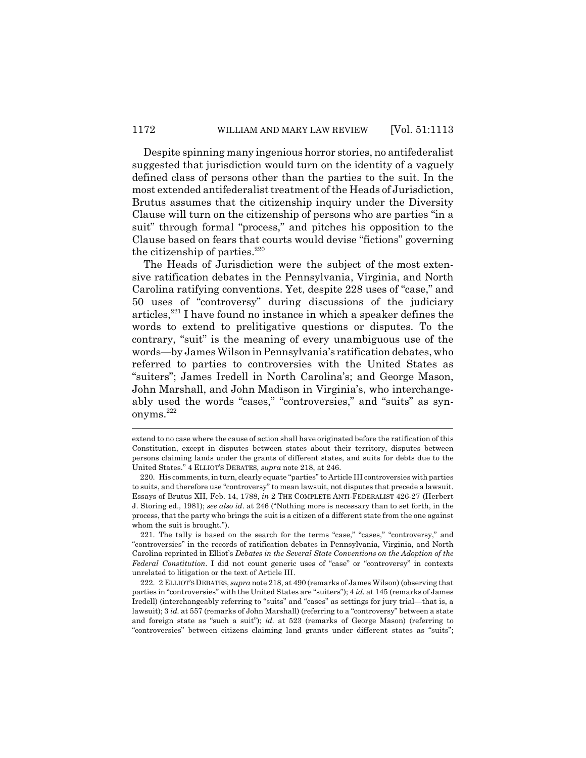Despite spinning many ingenious horror stories, no antifederalist suggested that jurisdiction would turn on the identity of a vaguely defined class of persons other than the parties to the suit. In the most extended antifederalist treatment of the Heads of Jurisdiction, Brutus assumes that the citizenship inquiry under the Diversity Clause will turn on the citizenship of persons who are parties "in a suit" through formal "process," and pitches his opposition to the Clause based on fears that courts would devise "fictions" governing the citizenship of parties. $220$ 

The Heads of Jurisdiction were the subject of the most extensive ratification debates in the Pennsylvania, Virginia, and North Carolina ratifying conventions. Yet, despite 228 uses of "case," and 50 uses of "controversy" during discussions of the judiciary articles, $2^{21}$  I have found no instance in which a speaker defines the words to extend to prelitigative questions or disputes. To the contrary, "suit" is the meaning of every unambiguous use of the words—by James Wilson in Pennsylvania's ratification debates, who referred to parties to controversies with the United States as "suiters"; James Iredell in North Carolina's; and George Mason, John Marshall, and John Madison in Virginia's, who interchangeably used the words "cases," "controversies," and "suits" as synonyms.<sup>222</sup>

221. The tally is based on the search for the terms "case," "cases," "controversy," and "controversies" in the records of ratification debates in Pennsylvania, Virginia, and North Carolina reprinted in Elliot's *Debates in the Several State Conventions on the Adoption of the Federal Constitution*. I did not count generic uses of "case" or "controversy" in contexts unrelated to litigation or the text of Article III.

222. 2 ELLIOT'SDEBATES, *supra* note 218, at 490 (remarks of James Wilson) (observing that parties in "controversies" with the United States are "suiters"); 4 *id.* at 145 (remarks of James Iredell) (interchangeably referring to "suits" and "cases" as settings for jury trial—that is, a lawsuit); 3 *id.* at 557 (remarks of John Marshall) (referring to a "controversy" between a state and foreign state as "such a suit"); *id.* at 523 (remarks of George Mason) (referring to "controversies" between citizens claiming land grants under different states as "suits";

extend to no case where the cause of action shall have originated before the ratification of this Constitution, except in disputes between states about their territory, disputes between persons claiming lands under the grants of different states, and suits for debts due to the United States." 4 ELLIOT'S DEBATES, *supra* note 218, at 246.

<sup>220.</sup> His comments, in turn, clearly equate "parties" to Article III controversies with parties to suits, and therefore use "controversy" to mean lawsuit, not disputes that precede a lawsuit. Essays of Brutus XII, Feb. 14, 1788, *in* 2 THE COMPLETE ANTI-FEDERALIST 426-27 (Herbert J. Storing ed., 1981); *see also id*. at 246 ("Nothing more is necessary than to set forth, in the process, that the party who brings the suit is a citizen of a different state from the one against whom the suit is brought.").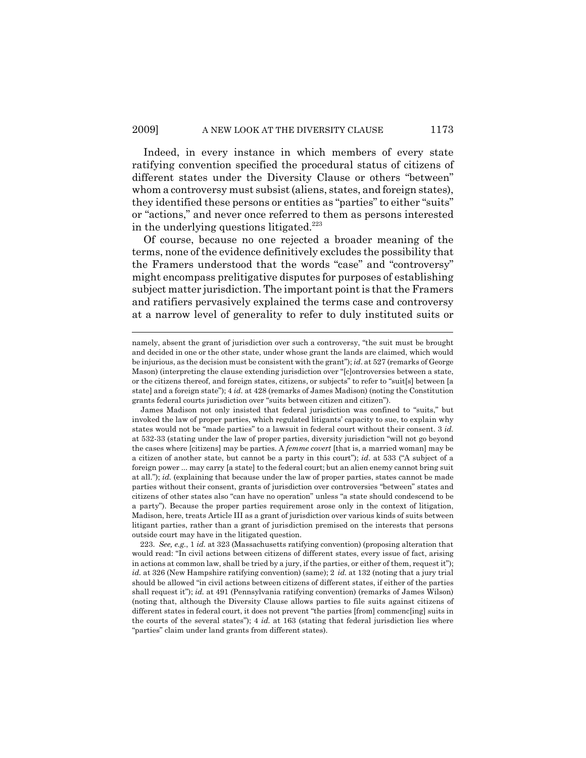Indeed, in every instance in which members of every state ratifying convention specified the procedural status of citizens of different states under the Diversity Clause or others "between" whom a controversy must subsist (aliens, states, and foreign states), they identified these persons or entities as "parties" to either "suits" or "actions," and never once referred to them as persons interested in the underlying questions litigated.<sup>223</sup>

Of course, because no one rejected a broader meaning of the terms, none of the evidence definitively excludes the possibility that the Framers understood that the words "case" and "controversy" might encompass prelitigative disputes for purposes of establishing subject matter jurisdiction. The important point is that the Framers and ratifiers pervasively explained the terms case and controversy at a narrow level of generality to refer to duly instituted suits or

namely, absent the grant of jurisdiction over such a controversy, "the suit must be brought and decided in one or the other state, under whose grant the lands are claimed, which would be injurious, as the decision must be consistent with the grant"); *id*. at 527 (remarks of George Mason) (interpreting the clause extending jurisdiction over "[c]ontroversies between a state, or the citizens thereof, and foreign states, citizens, or subjects" to refer to "suit[s] between [a state] and a foreign state"); 4 *id.* at 428 (remarks of James Madison) (noting the Constitution grants federal courts jurisdiction over "suits between citizen and citizen").

James Madison not only insisted that federal jurisdiction was confined to "suits," but invoked the law of proper parties, which regulated litigants' capacity to sue, to explain why states would not be "made parties" to a lawsuit in federal court without their consent. 3 *id.* at 532-33 (stating under the law of proper parties, diversity jurisdiction "will not go beyond the cases where [citizens] may be parties. A *femme covert* [that is, a married woman] may be a citizen of another state, but cannot be a party in this court"); *id*. at 533 ("A subject of a foreign power ... may carry [a state] to the federal court; but an alien enemy cannot bring suit at all."); *id.* (explaining that because under the law of proper parties, states cannot be made parties without their consent, grants of jurisdiction over controversies "between" states and citizens of other states also "can have no operation" unless "a state should condescend to be a party"). Because the proper parties requirement arose only in the context of litigation, Madison, here, treats Article III as a grant of jurisdiction over various kinds of suits between litigant parties, rather than a grant of jurisdiction premised on the interests that persons outside court may have in the litigated question.

<sup>223.</sup> *See, e.g.*, 1 *id.* at 323 (Massachusetts ratifying convention) (proposing alteration that would read: "In civil actions between citizens of different states, every issue of fact, arising in actions at common law, shall be tried by a jury, if the parties, or either of them, request it"); *id.* at 326 (New Hampshire ratifying convention) (same); 2 *id.* at 132 (noting that a jury trial should be allowed "in civil actions between citizens of different states, if either of the parties shall request it"); *id.* at 491 (Pennsylvania ratifying convention) (remarks of James Wilson) (noting that, although the Diversity Clause allows parties to file suits against citizens of different states in federal court, it does not prevent "the parties [from] commenc[ing] suits in the courts of the several states"); 4 *id.* at 163 (stating that federal jurisdiction lies where "parties" claim under land grants from different states).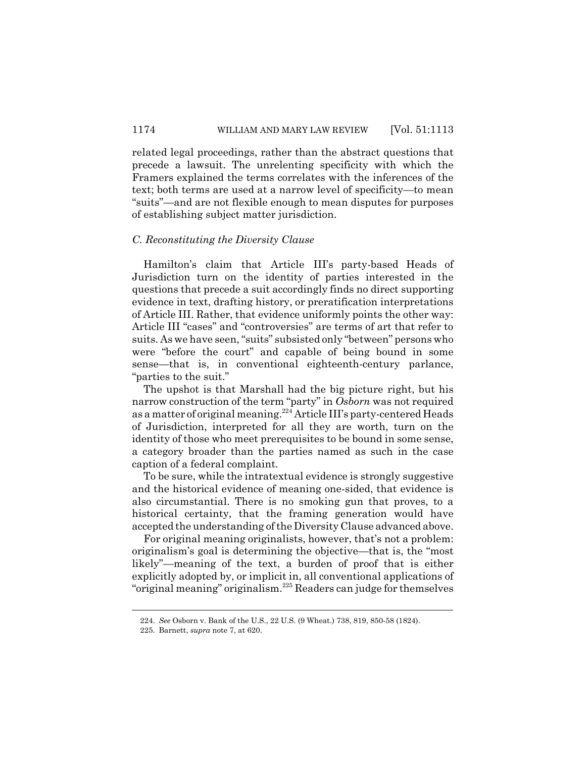related legal proceedings, rather than the abstract questions that precede a lawsuit. The unrelenting specificity with which the Framers explained the terms correlates with the inferences of the text; both terms are used at a narrow level of specificity—to mean "suits"—and are not flexible enough to mean disputes for purposes of establishing subject matter jurisdiction.

#### *C. Reconstituting the Diversity Clause*

Hamilton's claim that Article III's party-based Heads of Jurisdiction turn on the identity of parties interested in the questions that precede a suit accordingly finds no direct supporting evidence in text, drafting history, or preratification interpretations of Article III. Rather, that evidence uniformly points the other way: Article III "cases" and "controversies" are terms of art that refer to suits. As we have seen, "suits" subsisted only "between" persons who were "before the court" and capable of being bound in some sense—that is, in conventional eighteenth-century parlance, "parties to the suit."

The upshot is that Marshall had the big picture right, but his narrow construction of the term "party" in *Osborn* was not required as a matter of original meaning.<sup>224</sup> Article III's party-centered Heads of Jurisdiction, interpreted for all they are worth, turn on the identity of those who meet prerequisites to be bound in some sense, a category broader than the parties named as such in the case caption of a federal complaint.

To be sure, while the intratextual evidence is strongly suggestive and the historical evidence of meaning one-sided, that evidence is also circumstantial. There is no smoking gun that proves, to a historical certainty, that the framing generation would have accepted the understanding of the Diversity Clause advanced above.

For original meaning originalists, however, that's not a problem: originalism's goal is determining the objective—that is, the "most likely"—meaning of the text, a burden of proof that is either explicitly adopted by, or implicit in, all conventional applications of "original meaning" originalism.<sup>225</sup> Readers can judge for themselves

<sup>224.</sup> *See* Osborn v. Bank of the U.S., 22 U.S. (9 Wheat.) 738, 819, 850-58 (1824).

<sup>225.</sup> Barnett, *supra* note 7, at 620.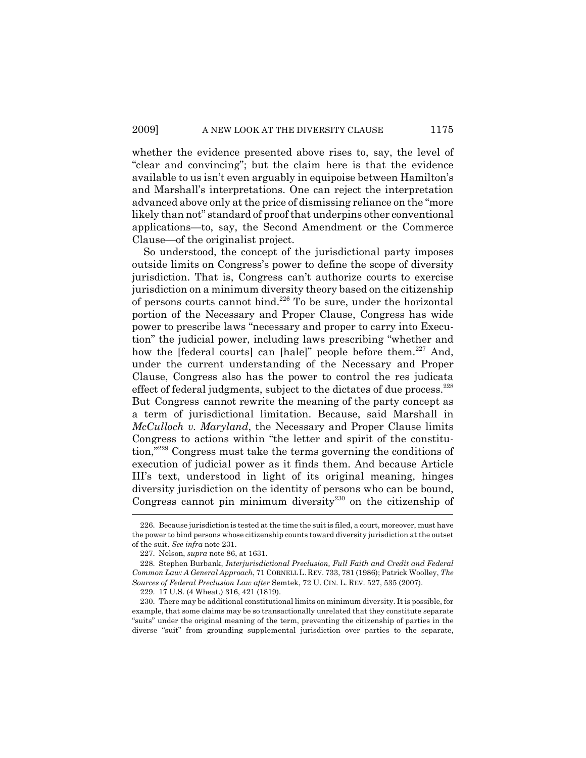whether the evidence presented above rises to, say, the level of "clear and convincing"; but the claim here is that the evidence available to us isn't even arguably in equipoise between Hamilton's and Marshall's interpretations. One can reject the interpretation advanced above only at the price of dismissing reliance on the "more likely than not" standard of proof that underpins other conventional applications—to, say, the Second Amendment or the Commerce Clause—of the originalist project.

So understood, the concept of the jurisdictional party imposes outside limits on Congress's power to define the scope of diversity jurisdiction. That is, Congress can't authorize courts to exercise jurisdiction on a minimum diversity theory based on the citizenship of persons courts cannot bind.<sup>226</sup> To be sure, under the horizontal portion of the Necessary and Proper Clause, Congress has wide power to prescribe laws "necessary and proper to carry into Execution" the judicial power, including laws prescribing "whether and how the [federal courts] can [hale]" people before them.<sup>227</sup> And, under the current understanding of the Necessary and Proper Clause, Congress also has the power to control the res judicata effect of federal judgments, subject to the dictates of due process.<sup>228</sup> But Congress cannot rewrite the meaning of the party concept as a term of jurisdictional limitation. Because, said Marshall in *McCulloch v. Maryland*, the Necessary and Proper Clause limits Congress to actions within "the letter and spirit of the constitution,"229 Congress must take the terms governing the conditions of execution of judicial power as it finds them. And because Article III's text, understood in light of its original meaning, hinges diversity jurisdiction on the identity of persons who can be bound, Congress cannot pin minimum diversity<sup>230</sup> on the citizenship of

<sup>226.</sup> Because jurisdiction is tested at the time the suit is filed, a court, moreover, must have the power to bind persons whose citizenship counts toward diversity jurisdiction at the outset of the suit. *See infra* note 231.

<sup>227.</sup> Nelson, *supra* note 86, at 1631.

<sup>228.</sup> Stephen Burbank, *Interjurisdictional Preclusion, Full Faith and Credit and Federal Common Law: A General Approach*, 71 CORNELL L. REV. 733, 781 (1986); Patrick Woolley, *The Sources of Federal Preclusion Law after* Semtek, 72 U. CIN. L. REV. 527, 535 (2007).

<sup>229. 17</sup> U.S. (4 Wheat.) 316, 421 (1819).

<sup>230.</sup> There may be additional constitutional limits on minimum diversity. It is possible, for example, that some claims may be so transactionally unrelated that they constitute separate "suits" under the original meaning of the term, preventing the citizenship of parties in the diverse "suit" from grounding supplemental jurisdiction over parties to the separate,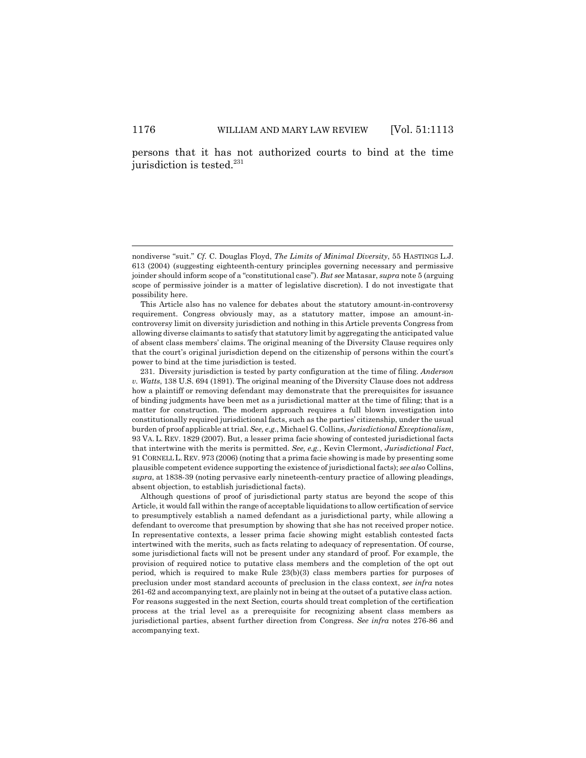persons that it has not authorized courts to bind at the time jurisdiction is tested.<sup>231</sup>

231. Diversity jurisdiction is tested by party configuration at the time of filing. *Anderson v. Watts*, 138 U.S. 694 (1891). The original meaning of the Diversity Clause does not address how a plaintiff or removing defendant may demonstrate that the prerequisites for issuance of binding judgments have been met as a jurisdictional matter at the time of filing; that is a matter for construction. The modern approach requires a full blown investigation into constitutionally required jurisdictional facts, such as the parties' citizenship, under the usual burden of proof applicable at trial. *See, e.g.*, Michael G. Collins, *Jurisdictional Exceptionalism*, 93 VA. L. REV. 1829 (2007). But, a lesser prima facie showing of contested jurisdictional facts that intertwine with the merits is permitted. *See, e.g.*, Kevin Clermont, *Jurisdictional Fact*, 91 CORNELL L. REV. 973 (2006) (noting that a prima facie showing is made by presenting some plausible competent evidence supporting the existence of jurisdictional facts); *see also* Collins, *supra*, at 1838-39 (noting pervasive early nineteenth-century practice of allowing pleadings, absent objection, to establish jurisdictional facts).

Although questions of proof of jurisdictional party status are beyond the scope of this Article, it would fall within the range of acceptable liquidations to allow certification of service to presumptively establish a named defendant as a jurisdictional party, while allowing a defendant to overcome that presumption by showing that she has not received proper notice. In representative contexts, a lesser prima facie showing might establish contested facts intertwined with the merits, such as facts relating to adequacy of representation. Of course, some jurisdictional facts will not be present under any standard of proof. For example, the provision of required notice to putative class members and the completion of the opt out period, which is required to make Rule 23(b)(3) class members parties for purposes of preclusion under most standard accounts of preclusion in the class context, *see infra* notes 261-62 and accompanying text, are plainly not in being at the outset of a putative class action. For reasons suggested in the next Section, courts should treat completion of the certification process at the trial level as a prerequisite for recognizing absent class members as jurisdictional parties, absent further direction from Congress. *See infra* notes 276-86 and accompanying text.

nondiverse "suit." *Cf.* C. Douglas Floyd, *The Limits of Minimal Diversity*, 55 HASTINGS L.J. 613 (2004) (suggesting eighteenth-century principles governing necessary and permissive joinder should inform scope of a "constitutional case"). *But see* Matasar, *supra* note 5 (arguing scope of permissive joinder is a matter of legislative discretion). I do not investigate that possibility here.

This Article also has no valence for debates about the statutory amount-in-controversy requirement. Congress obviously may, as a statutory matter, impose an amount-incontroversy limit on diversity jurisdiction and nothing in this Article prevents Congress from allowing diverse claimants to satisfy that statutory limit by aggregating the anticipated value of absent class members' claims. The original meaning of the Diversity Clause requires only that the court's original jurisdiction depend on the citizenship of persons within the court's power to bind at the time jurisdiction is tested.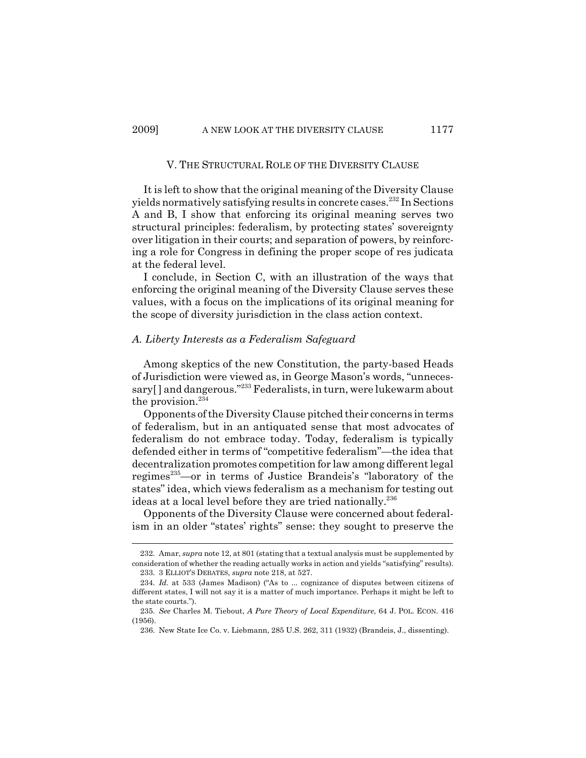## V. THE STRUCTURAL ROLE OF THE DIVERSITY CLAUSE

It is left to show that the original meaning of the Diversity Clause yields normatively satisfying results in concrete cases.232 In Sections A and B, I show that enforcing its original meaning serves two structural principles: federalism, by protecting states' sovereignty over litigation in their courts; and separation of powers, by reinforcing a role for Congress in defining the proper scope of res judicata at the federal level.

I conclude, in Section C, with an illustration of the ways that enforcing the original meaning of the Diversity Clause serves these values, with a focus on the implications of its original meaning for the scope of diversity jurisdiction in the class action context.

### *A. Liberty Interests as a Federalism Safeguard*

Among skeptics of the new Constitution, the party-based Heads of Jurisdiction were viewed as, in George Mason's words, "unnecessary[] and dangerous."<sup>233</sup> Federalists, in turn, were lukewarm about the provision.<sup>234</sup>

Opponents of the Diversity Clause pitched their concerns in terms of federalism, but in an antiquated sense that most advocates of federalism do not embrace today. Today, federalism is typically defended either in terms of "competitive federalism"—the idea that decentralization promotes competition for law among different legal regimes<sup>235</sup>—or in terms of Justice Brandeis's "laboratory of the states" idea, which views federalism as a mechanism for testing out ideas at a local level before they are tried nationally.<sup>236</sup>

Opponents of the Diversity Clause were concerned about federalism in an older "states' rights" sense: they sought to preserve the

<sup>232.</sup> Amar, *supra* note 12, at 801 (stating that a textual analysis must be supplemented by consideration of whether the reading actually works in action and yields "satisfying" results). 233. 3 ELLIOT'S DEBATES, *supra* note 218, at 527.

<sup>234.</sup> *Id.* at 533 (James Madison) ("As to ... cognizance of disputes between citizens of different states, I will not say it is a matter of much importance. Perhaps it might be left to the state courts.").

<sup>235.</sup> *See* Charles M. Tiebout, *A Pure Theory of Local Expenditure*, 64 J. POL. ECON. 416 (1956).

<sup>236.</sup> New State Ice Co. v. Liebmann, 285 U.S. 262, 311 (1932) (Brandeis, J., dissenting).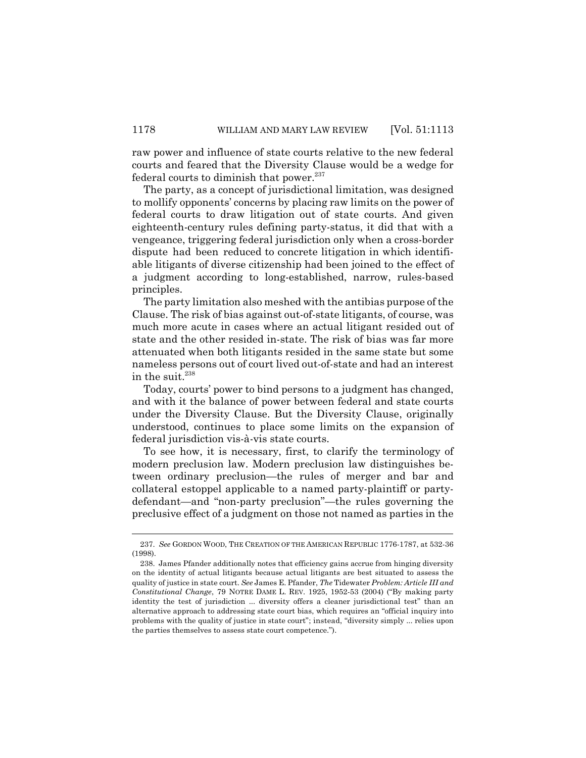raw power and influence of state courts relative to the new federal courts and feared that the Diversity Clause would be a wedge for federal courts to diminish that power. $237$ 

The party, as a concept of jurisdictional limitation, was designed to mollify opponents' concerns by placing raw limits on the power of federal courts to draw litigation out of state courts. And given eighteenth-century rules defining party-status, it did that with a vengeance, triggering federal jurisdiction only when a cross-border dispute had been reduced to concrete litigation in which identifiable litigants of diverse citizenship had been joined to the effect of a judgment according to long-established, narrow, rules-based principles.

The party limitation also meshed with the antibias purpose of the Clause. The risk of bias against out-of-state litigants, of course, was much more acute in cases where an actual litigant resided out of state and the other resided in-state. The risk of bias was far more attenuated when both litigants resided in the same state but some nameless persons out of court lived out-of-state and had an interest in the suit.<sup>238</sup>

Today, courts' power to bind persons to a judgment has changed, and with it the balance of power between federal and state courts under the Diversity Clause. But the Diversity Clause, originally understood, continues to place some limits on the expansion of federal jurisdiction vis-à-vis state courts.

To see how, it is necessary, first, to clarify the terminology of modern preclusion law. Modern preclusion law distinguishes between ordinary preclusion—the rules of merger and bar and collateral estoppel applicable to a named party-plaintiff or partydefendant—and "non-party preclusion"—the rules governing the preclusive effect of a judgment on those not named as parties in the

<sup>237.</sup> *See* GORDON WOOD, THE CREATION OF THE AMERICAN REPUBLIC 1776-1787, at 532-36 (1998).

<sup>238.</sup> James Pfander additionally notes that efficiency gains accrue from hinging diversity on the identity of actual litigants because actual litigants are best situated to assess the quality of justice in state court. *See* James E. Pfander, *The* Tidewater *Problem: Article III and Constitutional Change*, 79 NOTRE DAME L. REV. 1925, 1952-53 (2004) ("By making party identity the test of jurisdiction ... diversity offers a cleaner jurisdictional test" than an alternative approach to addressing state court bias, which requires an "official inquiry into problems with the quality of justice in state court"; instead, "diversity simply ... relies upon the parties themselves to assess state court competence.").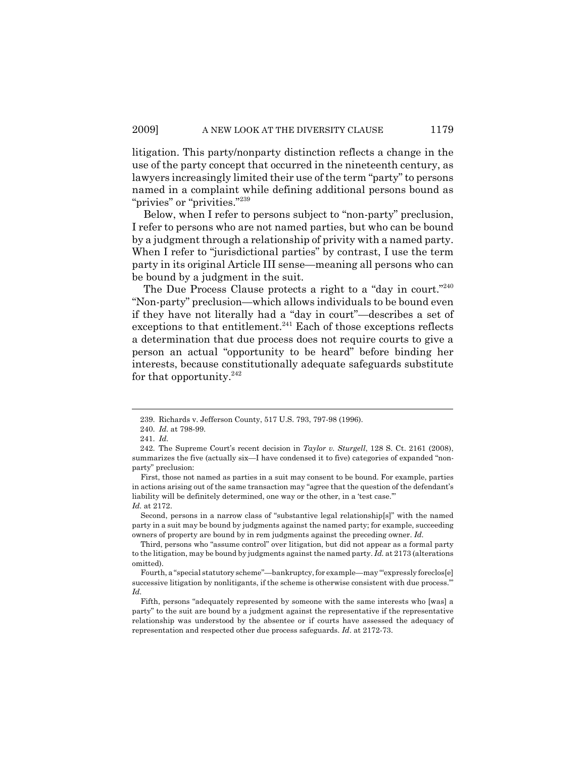litigation. This party/nonparty distinction reflects a change in the use of the party concept that occurred in the nineteenth century, as lawyers increasingly limited their use of the term "party" to persons named in a complaint while defining additional persons bound as "privies" or "privities."<sup>239</sup>

Below, when I refer to persons subject to "non-party" preclusion, I refer to persons who are not named parties, but who can be bound by a judgment through a relationship of privity with a named party. When I refer to "jurisdictional parties" by contrast, I use the term party in its original Article III sense—meaning all persons who can be bound by a judgment in the suit.

The Due Process Clause protects a right to a "day in court."<sup>240</sup> "Non-party" preclusion—which allows individuals to be bound even if they have not literally had a "day in court"—describes a set of exceptions to that entitlement.<sup>241</sup> Each of those exceptions reflects a determination that due process does not require courts to give a person an actual "opportunity to be heard" before binding her interests, because constitutionally adequate safeguards substitute for that opportunity. $^{242}$ 

<sup>239.</sup> Richards v. Jefferson County, 517 U.S. 793, 797-98 (1996).

<sup>240.</sup> *Id.* at 798-99.

<sup>241.</sup> *Id.*

<sup>242.</sup> The Supreme Court's recent decision in *Taylor v. Sturgell*, 128 S. Ct. 2161 (2008), summarizes the five (actually six—I have condensed it to five) categories of expanded "nonparty" preclusion:

First, those not named as parties in a suit may consent to be bound. For example, parties in actions arising out of the same transaction may "agree that the question of the defendant's liability will be definitely determined, one way or the other, in a 'test case." *Id.* at 2172.

Second, persons in a narrow class of "substantive legal relationship[s]" with the named party in a suit may be bound by judgments against the named party; for example, succeeding owners of property are bound by in rem judgments against the preceding owner. *Id.*

Third, persons who "assume control" over litigation, but did not appear as a formal party to the litigation, may be bound by judgments against the named party. *Id.* at 2173 (alterations omitted).

Fourth, a "special statutory scheme"—bankruptcy, for example—may "'expressly foreclos[e] successive litigation by nonlitigants, if the scheme is otherwise consistent with due process.'" *Id.*

Fifth, persons "adequately represented by someone with the same interests who [was] a party" to the suit are bound by a judgment against the representative if the representative relationship was understood by the absentee or if courts have assessed the adequacy of representation and respected other due process safeguards. *Id*. at 2172-73.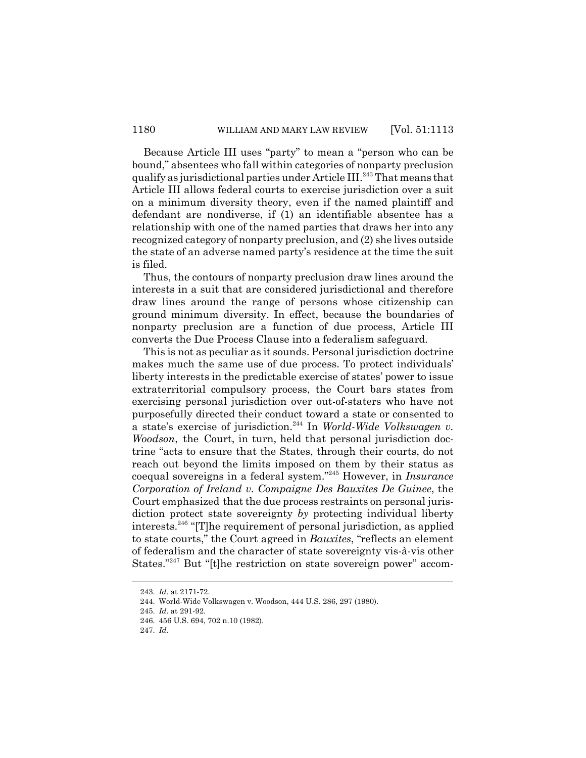Because Article III uses "party" to mean a "person who can be bound," absentees who fall within categories of nonparty preclusion qualify as jurisdictional parties under Article  $III^{243}$  That means that Article III allows federal courts to exercise jurisdiction over a suit on a minimum diversity theory, even if the named plaintiff and defendant are nondiverse, if (1) an identifiable absentee has a relationship with one of the named parties that draws her into any recognized category of nonparty preclusion, and (2) she lives outside the state of an adverse named party's residence at the time the suit is filed.

Thus, the contours of nonparty preclusion draw lines around the interests in a suit that are considered jurisdictional and therefore draw lines around the range of persons whose citizenship can ground minimum diversity. In effect, because the boundaries of nonparty preclusion are a function of due process, Article III converts the Due Process Clause into a federalism safeguard.

This is not as peculiar as it sounds. Personal jurisdiction doctrine makes much the same use of due process. To protect individuals' liberty interests in the predictable exercise of states' power to issue extraterritorial compulsory process, the Court bars states from exercising personal jurisdiction over out-of-staters who have not purposefully directed their conduct toward a state or consented to a state's exercise of jurisdiction.244 In *World-Wide Volkswagen v. Woodson*, the Court, in turn, held that personal jurisdiction doctrine "acts to ensure that the States, through their courts, do not reach out beyond the limits imposed on them by their status as coequal sovereigns in a federal system."245 However, in *Insurance Corporation of Ireland v. Compaigne Des Bauxites De Guinee*, the Court emphasized that the due process restraints on personal jurisdiction protect state sovereignty *by* protecting individual liberty interests.246 "[T]he requirement of personal jurisdiction, as applied to state courts," the Court agreed in *Bauxites*, "reflects an element of federalism and the character of state sovereignty vis-à-vis other States."247 But "[t]he restriction on state sovereign power" accom-

<sup>243.</sup> *Id.* at 2171-72.

<sup>244.</sup> World-Wide Volkswagen v. Woodson, 444 U.S. 286, 297 (1980).

<sup>245.</sup> *Id.* at 291-92.

<sup>246. 456</sup> U.S. 694, 702 n.10 (1982).

<sup>247.</sup> *Id.*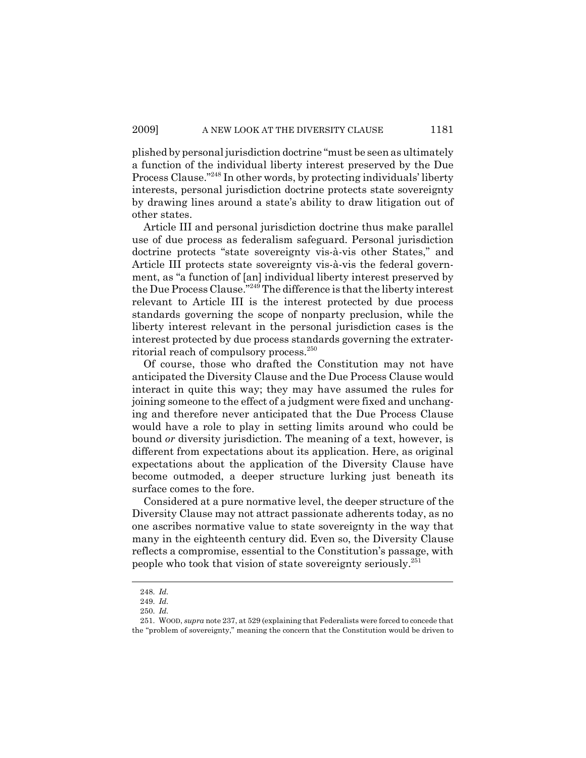plished by personal jurisdiction doctrine "must be seen as ultimately a function of the individual liberty interest preserved by the Due Process Clause."248 In other words, by protecting individuals' liberty interests, personal jurisdiction doctrine protects state sovereignty by drawing lines around a state's ability to draw litigation out of other states.

Article III and personal jurisdiction doctrine thus make parallel use of due process as federalism safeguard. Personal jurisdiction doctrine protects "state sovereignty vis-à-vis other States," and Article III protects state sovereignty vis-à-vis the federal government, as "a function of [an] individual liberty interest preserved by the Due Process Clause."249 The difference is that the liberty interest relevant to Article III is the interest protected by due process standards governing the scope of nonparty preclusion, while the liberty interest relevant in the personal jurisdiction cases is the interest protected by due process standards governing the extraterritorial reach of compulsory process.<sup>250</sup>

Of course, those who drafted the Constitution may not have anticipated the Diversity Clause and the Due Process Clause would interact in quite this way; they may have assumed the rules for joining someone to the effect of a judgment were fixed and unchanging and therefore never anticipated that the Due Process Clause would have a role to play in setting limits around who could be bound *or* diversity jurisdiction. The meaning of a text, however, is different from expectations about its application. Here, as original expectations about the application of the Diversity Clause have become outmoded, a deeper structure lurking just beneath its surface comes to the fore.

 Considered at a pure normative level, the deeper structure of the Diversity Clause may not attract passionate adherents today, as no one ascribes normative value to state sovereignty in the way that many in the eighteenth century did. Even so, the Diversity Clause reflects a compromise, essential to the Constitution's passage, with people who took that vision of state sovereignty seriously.251

<sup>248.</sup> *Id.*

<sup>249.</sup> *Id.*

<sup>250.</sup> *Id.*

<sup>251.</sup> WOOD, *supra* note 237, at 529 (explaining that Federalists were forced to concede that the "problem of sovereignty," meaning the concern that the Constitution would be driven to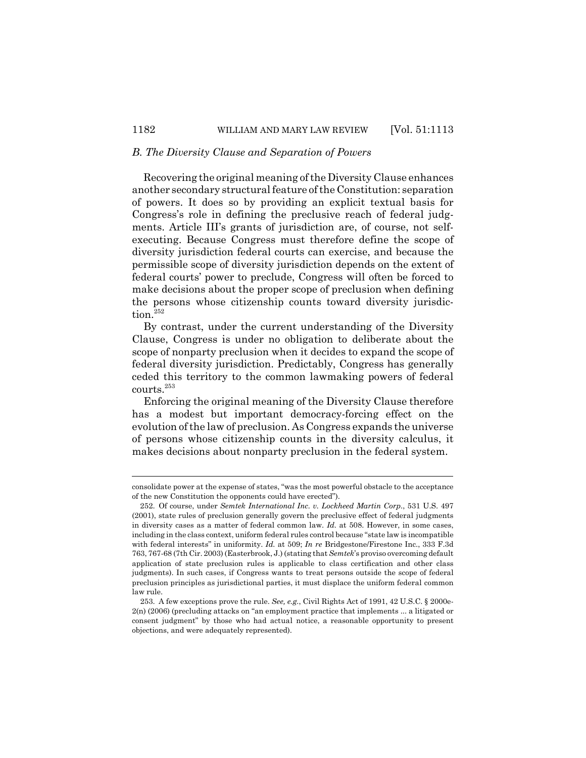# *B. The Diversity Clause and Separation of Powers*

Recovering the original meaning of the Diversity Clause enhances another secondary structural feature of the Constitution: separation of powers. It does so by providing an explicit textual basis for Congress's role in defining the preclusive reach of federal judgments. Article III's grants of jurisdiction are, of course, not selfexecuting. Because Congress must therefore define the scope of diversity jurisdiction federal courts can exercise, and because the permissible scope of diversity jurisdiction depends on the extent of federal courts' power to preclude, Congress will often be forced to make decisions about the proper scope of preclusion when defining the persons whose citizenship counts toward diversity jurisdiction.<sup>252</sup>

By contrast, under the current understanding of the Diversity Clause, Congress is under no obligation to deliberate about the scope of nonparty preclusion when it decides to expand the scope of federal diversity jurisdiction. Predictably, Congress has generally ceded this territory to the common lawmaking powers of federal courts.253

Enforcing the original meaning of the Diversity Clause therefore has a modest but important democracy-forcing effect on the evolution of the law of preclusion. As Congress expands the universe of persons whose citizenship counts in the diversity calculus, it makes decisions about nonparty preclusion in the federal system.

consolidate power at the expense of states, "was the most powerful obstacle to the acceptance of the new Constitution the opponents could have erected").

<sup>252.</sup> Of course, under *Semtek International Inc. v. Lockheed Martin Corp*., 531 U.S. 497 (2001), state rules of preclusion generally govern the preclusive effect of federal judgments in diversity cases as a matter of federal common law. *Id.* at 508. However, in some cases, including in the class context, uniform federal rules control because "state law is incompatible with federal interests" in uniformity. *Id.* at 509; *In re* Bridgestone/Firestone Inc., 333 F.3d 763, 767-68 (7th Cir. 2003) (Easterbrook, J.) (stating that *Semtek*'s proviso overcoming default application of state preclusion rules is applicable to class certification and other class judgments). In such cases, if Congress wants to treat persons outside the scope of federal preclusion principles as jurisdictional parties, it must displace the uniform federal common law rule.

<sup>253.</sup> A few exceptions prove the rule. *See, e.g.*, Civil Rights Act of 1991, 42 U.S.C. § 2000e-2(n) (2006) (precluding attacks on "an employment practice that implements ... a litigated or consent judgment" by those who had actual notice, a reasonable opportunity to present objections, and were adequately represented).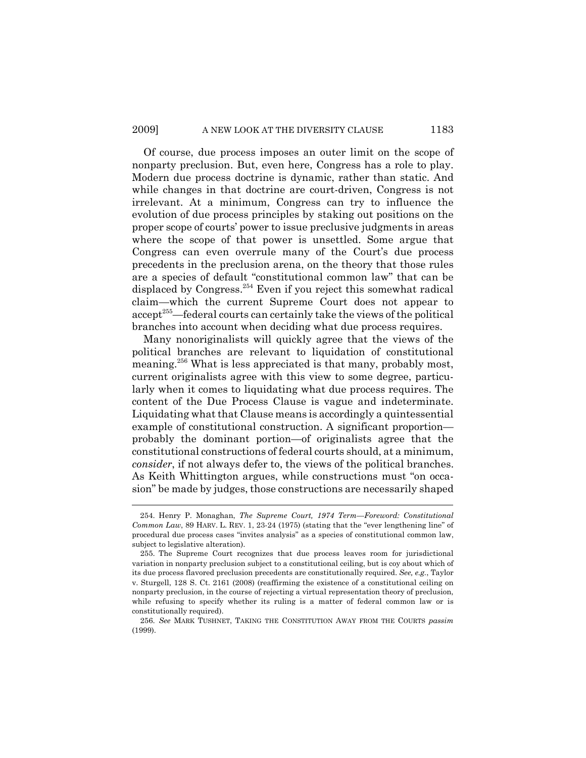Of course, due process imposes an outer limit on the scope of nonparty preclusion. But, even here, Congress has a role to play. Modern due process doctrine is dynamic, rather than static. And while changes in that doctrine are court-driven, Congress is not irrelevant. At a minimum, Congress can try to influence the evolution of due process principles by staking out positions on the proper scope of courts' power to issue preclusive judgments in areas where the scope of that power is unsettled. Some argue that Congress can even overrule many of the Court's due process precedents in the preclusion arena, on the theory that those rules are a species of default "constitutional common law" that can be displaced by Congress.<sup>254</sup> Even if you reject this somewhat radical claim—which the current Supreme Court does not appear to accept<sup>255</sup>—federal courts can certainly take the views of the political branches into account when deciding what due process requires.

Many nonoriginalists will quickly agree that the views of the political branches are relevant to liquidation of constitutional meaning.256 What is less appreciated is that many, probably most, current originalists agree with this view to some degree, particularly when it comes to liquidating what due process requires. The content of the Due Process Clause is vague and indeterminate. Liquidating what that Clause means is accordingly a quintessential example of constitutional construction. A significant proportion probably the dominant portion—of originalists agree that the constitutional constructions of federal courts should, at a minimum, *consider*, if not always defer to, the views of the political branches. As Keith Whittington argues, while constructions must "on occasion" be made by judges, those constructions are necessarily shaped

256. *See* MARK TUSHNET, TAKING THE CONSTITUTION AWAY FROM THE COURTS *passim* (1999).

<sup>254.</sup> Henry P. Monaghan, *The Supreme Court, 1974 Term—Foreword: Constitutional Common Law*, 89 HARV. L. REV. 1, 23-24 (1975) (stating that the "ever lengthening line" of procedural due process cases "invites analysis" as a species of constitutional common law, subject to legislative alteration).

<sup>255.</sup> The Supreme Court recognizes that due process leaves room for jurisdictional variation in nonparty preclusion subject to a constitutional ceiling, but is coy about which of its due process flavored preclusion precedents are constitutionally required. *See, e.g.*, Taylor v. Sturgell, 128 S. Ct. 2161 (2008) (reaffirming the existence of a constitutional ceiling on nonparty preclusion, in the course of rejecting a virtual representation theory of preclusion, while refusing to specify whether its ruling is a matter of federal common law or is constitutionally required).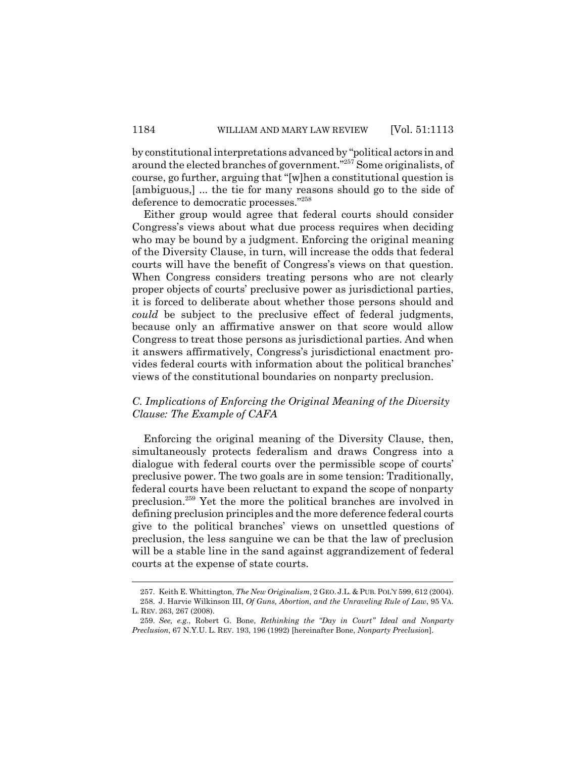by constitutional interpretations advanced by "political actors in and around the elected branches of government."257 Some originalists, of course, go further, arguing that "[w]hen a constitutional question is [ambiguous,] ... the tie for many reasons should go to the side of deference to democratic processes."258

Either group would agree that federal courts should consider Congress's views about what due process requires when deciding who may be bound by a judgment. Enforcing the original meaning of the Diversity Clause, in turn, will increase the odds that federal courts will have the benefit of Congress's views on that question. When Congress considers treating persons who are not clearly proper objects of courts' preclusive power as jurisdictional parties, it is forced to deliberate about whether those persons should and *could* be subject to the preclusive effect of federal judgments, because only an affirmative answer on that score would allow Congress to treat those persons as jurisdictional parties. And when it answers affirmatively, Congress's jurisdictional enactment provides federal courts with information about the political branches' views of the constitutional boundaries on nonparty preclusion.

## *C. Implications of Enforcing the Original Meaning of the Diversity Clause: The Example of CAFA*

Enforcing the original meaning of the Diversity Clause, then, simultaneously protects federalism and draws Congress into a dialogue with federal courts over the permissible scope of courts' preclusive power. The two goals are in some tension: Traditionally, federal courts have been reluctant to expand the scope of nonparty preclusion.259 Yet the more the political branches are involved in defining preclusion principles and the more deference federal courts give to the political branches' views on unsettled questions of preclusion, the less sanguine we can be that the law of preclusion will be a stable line in the sand against aggrandizement of federal courts at the expense of state courts.

<sup>257.</sup> Keith E. Whittington, *The New Originalism*, 2 GEO. J.L. & PUB. POL'Y 599, 612 (2004). 258. J. Harvie Wilkinson III, *Of Guns, Abortion, and the Unraveling Rule of Law*, 95 VA. L. REV. 263, 267 (2008).

<sup>259.</sup> *See, e.g.*, Robert G. Bone, *Rethinking the "Day in Court" Ideal and Nonparty Preclusion*, 67 N.Y.U. L. REV. 193, 196 (1992) [hereinafter Bone, *Nonparty Preclusion*].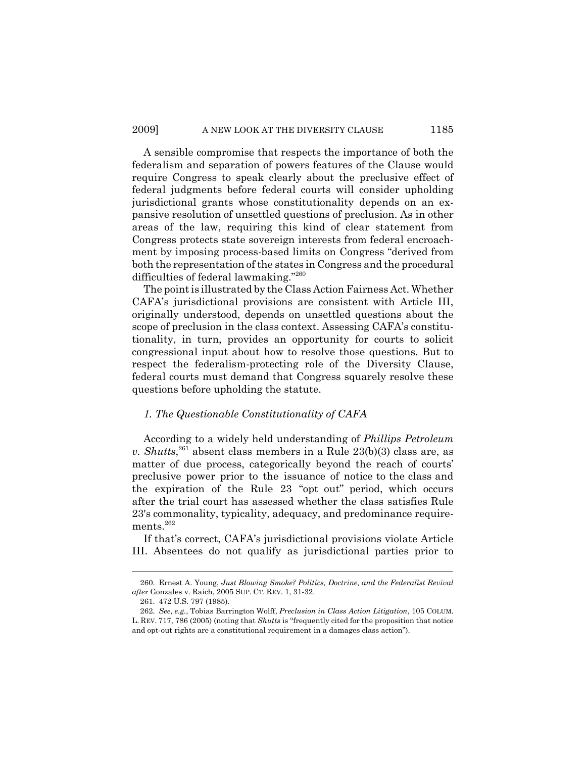A sensible compromise that respects the importance of both the federalism and separation of powers features of the Clause would require Congress to speak clearly about the preclusive effect of federal judgments before federal courts will consider upholding jurisdictional grants whose constitutionality depends on an expansive resolution of unsettled questions of preclusion. As in other areas of the law, requiring this kind of clear statement from Congress protects state sovereign interests from federal encroachment by imposing process-based limits on Congress "derived from both the representation of the states in Congress and the procedural difficulties of federal lawmaking."260

The point is illustrated by the Class Action Fairness Act. Whether CAFA's jurisdictional provisions are consistent with Article III, originally understood, depends on unsettled questions about the scope of preclusion in the class context. Assessing CAFA's constitutionality, in turn, provides an opportunity for courts to solicit congressional input about how to resolve those questions. But to respect the federalism-protecting role of the Diversity Clause, federal courts must demand that Congress squarely resolve these questions before upholding the statute.

### *1. The Questionable Constitutionality of CAFA*

According to a widely held understanding of *Phillips Petroleum v. Shutts*, 261 absent class members in a Rule 23(b)(3) class are, as matter of due process, categorically beyond the reach of courts' preclusive power prior to the issuance of notice to the class and the expiration of the Rule 23 "opt out" period, which occurs after the trial court has assessed whether the class satisfies Rule 23's commonality, typicality, adequacy, and predominance requirements.<sup>262</sup>

If that's correct, CAFA's jurisdictional provisions violate Article III. Absentees do not qualify as jurisdictional parties prior to

<sup>260.</sup> Ernest A. Young, *Just Blowing Smoke? Politics, Doctrine, and the Federalist Revival afte*r Gonzales v. Raich, 2005 SUP. CT. REV. 1, 31-32.

<sup>261. 472</sup> U.S. 797 (1985).

<sup>262.</sup> *See*, *e.g.*, Tobias Barrington Wolff, *Preclusion in Class Action Litigation*, 105 COLUM. L. REV. 717, 786 (2005) (noting that *Shutts* is "frequently cited for the proposition that notice and opt-out rights are a constitutional requirement in a damages class action").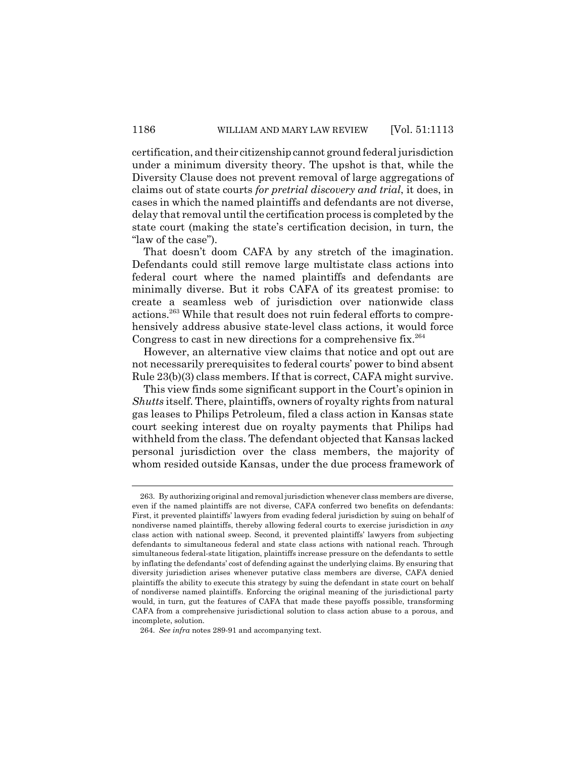certification, and their citizenship cannot ground federal jurisdiction under a minimum diversity theory. The upshot is that, while the Diversity Clause does not prevent removal of large aggregations of claims out of state courts *for pretrial discovery and trial*, it does, in cases in which the named plaintiffs and defendants are not diverse, delay that removal until the certification process is completed by the state court (making the state's certification decision, in turn, the "law of the case").

That doesn't doom CAFA by any stretch of the imagination. Defendants could still remove large multistate class actions into federal court where the named plaintiffs and defendants are minimally diverse. But it robs CAFA of its greatest promise: to create a seamless web of jurisdiction over nationwide class actions.263 While that result does not ruin federal efforts to comprehensively address abusive state-level class actions, it would force Congress to cast in new directions for a comprehensive fix.<sup>264</sup>

However, an alternative view claims that notice and opt out are not necessarily prerequisites to federal courts' power to bind absent Rule 23(b)(3) class members. If that is correct, CAFA might survive.

This view finds some significant support in the Court's opinion in *Shutts* itself. There, plaintiffs, owners of royalty rights from natural gas leases to Philips Petroleum, filed a class action in Kansas state court seeking interest due on royalty payments that Philips had withheld from the class. The defendant objected that Kansas lacked personal jurisdiction over the class members, the majority of whom resided outside Kansas, under the due process framework of

<sup>263.</sup> By authorizing original and removal jurisdiction whenever class members are diverse, even if the named plaintiffs are not diverse, CAFA conferred two benefits on defendants: First, it prevented plaintiffs' lawyers from evading federal jurisdiction by suing on behalf of nondiverse named plaintiffs, thereby allowing federal courts to exercise jurisdiction in *any* class action with national sweep. Second, it prevented plaintiffs' lawyers from subjecting defendants to simultaneous federal and state class actions with national reach. Through simultaneous federal-state litigation, plaintiffs increase pressure on the defendants to settle by inflating the defendants' cost of defending against the underlying claims. By ensuring that diversity jurisdiction arises whenever putative class members are diverse, CAFA denied plaintiffs the ability to execute this strategy by suing the defendant in state court on behalf of nondiverse named plaintiffs. Enforcing the original meaning of the jurisdictional party would, in turn, gut the features of CAFA that made these payoffs possible, transforming CAFA from a comprehensive jurisdictional solution to class action abuse to a porous, and incomplete, solution.

<sup>264.</sup> *See infra* notes 289-91 and accompanying text.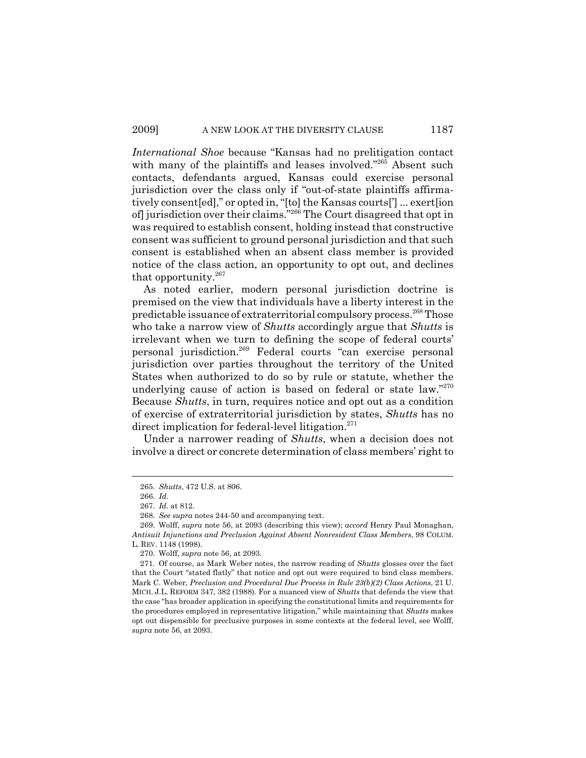*International Shoe* because "Kansas had no prelitigation contact with many of the plaintiffs and leases involved."<sup>265</sup> Absent such contacts, defendants argued, Kansas could exercise personal jurisdiction over the class only if "out-of-state plaintiffs affirmatively consent[ed]," or opted in, "[to] the Kansas courts['] ... exert[ion of] jurisdiction over their claims."266 The Court disagreed that opt in was required to establish consent, holding instead that constructive consent was sufficient to ground personal jurisdiction and that such consent is established when an absent class member is provided notice of the class action, an opportunity to opt out, and declines that opportunity. $267$ 

As noted earlier, modern personal jurisdiction doctrine is premised on the view that individuals have a liberty interest in the predictable issuance of extraterritorial compulsory process.<sup>268</sup> Those who take a narrow view of *Shutts* accordingly argue that *Shutts* is irrelevant when we turn to defining the scope of federal courts' personal jurisdiction.269 Federal courts "can exercise personal jurisdiction over parties throughout the territory of the United States when authorized to do so by rule or statute, whether the underlying cause of action is based on federal or state law."270 Because *Shutts*, in turn, requires notice and opt out as a condition of exercise of extraterritorial jurisdiction by states, *Shutts* has no direct implication for federal-level litigation.<sup>271</sup>

Under a narrower reading of *Shutts*, when a decision does not involve a direct or concrete determination of class members' right to

<sup>265.</sup> *Shutts*, 472 U.S. at 806.

<sup>266.</sup> *Id.*

<sup>267.</sup> *Id.* at 812.

<sup>268.</sup> *See supra* notes 244-50 and accompanying text.

<sup>269.</sup> Wolff, *supra* note 56, at 2093 (describing this view); *accord* Henry Paul Monaghan, *Antisuit Injunctions and Preclusion Against Absent Nonresident Class Members*, 98 COLUM. L. REV. 1148 (1998).

<sup>270.</sup> Wolff, *supra* note 56, at 2093.

<sup>271.</sup> Of course, as Mark Weber notes, the narrow reading of *Shutts* glosses over the fact that the Court "stated flatly" that notice and opt out were required to bind class members. Mark C. Weber, *Preclusion and Procedural Due Process in Rule 23(b)(2) Class Actions*, 21 U. MICH. J.L. REFORM 347, 382 (1988). For a nuanced view of *Shutts* that defends the view that the case "has broader application in specifying the constitutional limits and requirements for the procedures employed in representative litigation," while maintaining that *Shutts* makes opt out dispensible for preclusive purposes in some contexts at the federal level, see Wolff, *supra* note 56, at 2093.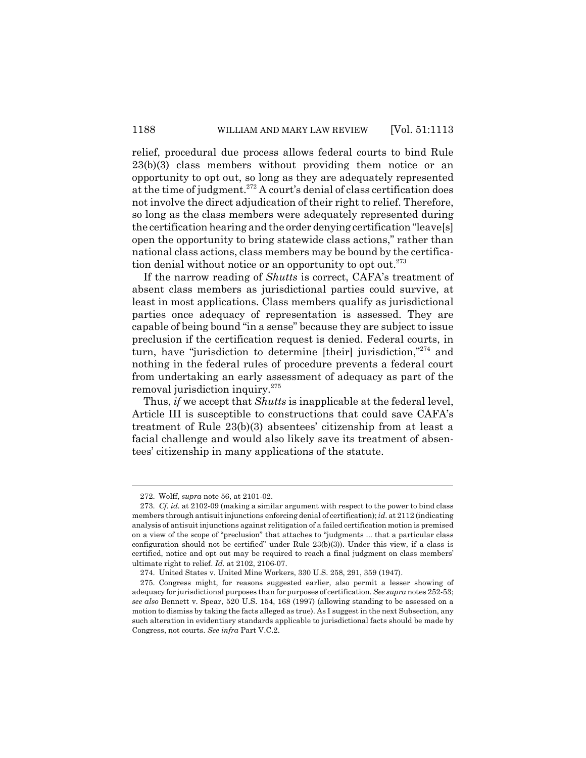relief, procedural due process allows federal courts to bind Rule 23(b)(3) class members without providing them notice or an opportunity to opt out, so long as they are adequately represented at the time of judgment.<sup>272</sup> A court's denial of class certification does not involve the direct adjudication of their right to relief. Therefore, so long as the class members were adequately represented during the certification hearing and the order denying certification "leave[s] open the opportunity to bring statewide class actions," rather than national class actions, class members may be bound by the certification denial without notice or an opportunity to opt out.<sup>273</sup>

If the narrow reading of *Shutts* is correct, CAFA's treatment of absent class members as jurisdictional parties could survive, at least in most applications. Class members qualify as jurisdictional parties once adequacy of representation is assessed. They are capable of being bound "in a sense" because they are subject to issue preclusion if the certification request is denied. Federal courts, in turn, have "jurisdiction to determine [their] jurisdiction,"274 and nothing in the federal rules of procedure prevents a federal court from undertaking an early assessment of adequacy as part of the removal jurisdiction inquiry.275

Thus, *if* we accept that *Shutts* is inapplicable at the federal level, Article III is susceptible to constructions that could save CAFA's treatment of Rule 23(b)(3) absentees' citizenship from at least a facial challenge and would also likely save its treatment of absentees' citizenship in many applications of the statute.

<sup>272.</sup> Wolff, *supra* note 56, at 2101-02.

<sup>273.</sup> *Cf. id.* at 2102-09 (making a similar argument with respect to the power to bind class members through antisuit injunctions enforcing denial of certification); *id*. at 2112 (indicating analysis of antisuit injunctions against relitigation of a failed certification motion is premised on a view of the scope of "preclusion" that attaches to "judgments ... that a particular class configuration should not be certified" under Rule 23(b)(3)). Under this view, if a class is certified, notice and opt out may be required to reach a final judgment on class members' ultimate right to relief. *Id.* at 2102, 2106-07.

<sup>274.</sup> United States v. United Mine Workers, 330 U.S. 258, 291, 359 (1947).

<sup>275.</sup> Congress might, for reasons suggested earlier, also permit a lesser showing of adequacy for jurisdictional purposes than for purposes of certification. *See supra* notes 252-53; *see also* Bennett v. Spear, 520 U.S. 154, 168 (1997) (allowing standing to be assessed on a motion to dismiss by taking the facts alleged as true). As I suggest in the next Subsection, any such alteration in evidentiary standards applicable to jurisdictional facts should be made by Congress, not courts. *See infra* Part V.C.2.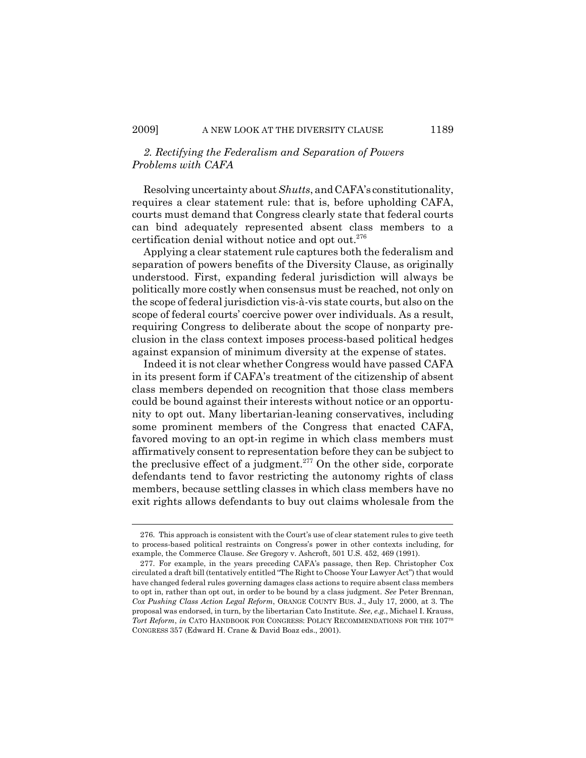# *2. Rectifying the Federalism and Separation of Powers Problems with CAFA*

Resolving uncertainty about *Shutts*, and CAFA's constitutionality, requires a clear statement rule: that is, before upholding CAFA, courts must demand that Congress clearly state that federal courts can bind adequately represented absent class members to a certification denial without notice and opt out.<sup>276</sup>

Applying a clear statement rule captures both the federalism and separation of powers benefits of the Diversity Clause, as originally understood. First, expanding federal jurisdiction will always be politically more costly when consensus must be reached, not only on the scope of federal jurisdiction vis-à-vis state courts, but also on the scope of federal courts' coercive power over individuals. As a result, requiring Congress to deliberate about the scope of nonparty preclusion in the class context imposes process-based political hedges against expansion of minimum diversity at the expense of states.

Indeed it is not clear whether Congress would have passed CAFA in its present form if CAFA's treatment of the citizenship of absent class members depended on recognition that those class members could be bound against their interests without notice or an opportunity to opt out. Many libertarian-leaning conservatives, including some prominent members of the Congress that enacted CAFA, favored moving to an opt-in regime in which class members must affirmatively consent to representation before they can be subject to the preclusive effect of a judgment.<sup>277</sup> On the other side, corporate defendants tend to favor restricting the autonomy rights of class members, because settling classes in which class members have no exit rights allows defendants to buy out claims wholesale from the

<sup>276.</sup> This approach is consistent with the Court's use of clear statement rules to give teeth to process-based political restraints on Congress's power in other contexts including, for example, the Commerce Clause. *See* Gregory v. Ashcroft, 501 U.S. 452, 469 (1991).

<sup>277.</sup> For example, in the years preceding CAFA's passage, then Rep. Christopher Cox circulated a draft bill (tentatively entitled "The Right to Choose Your Lawyer Act") that would have changed federal rules governing damages class actions to require absent class members to opt in, rather than opt out, in order to be bound by a class judgment. *See* Peter Brennan, *Cox Pushing Class Action Legal Reform*, ORANGE COUNTY BUS. J., July 17, 2000, at 3. The proposal was endorsed, in turn, by the libertarian Cato Institute. *See*, *e.g.*, Michael I. Krauss, *Tort Reform, in* CATO HANDBOOK FOR CONGRESS: POLICY RECOMMENDATIONS FOR THE 107<sup>TH</sup> CONGRESS 357 (Edward H. Crane & David Boaz eds., 2001).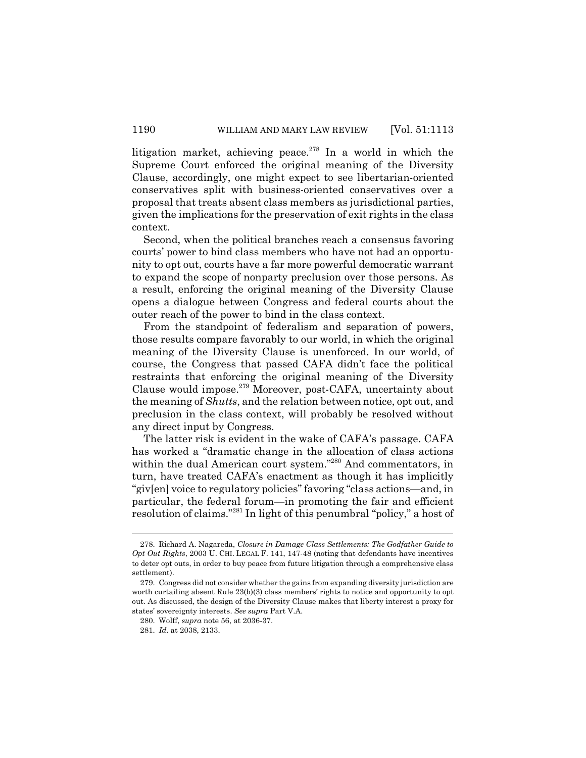litigation market, achieving peace.<sup>278</sup> In a world in which the Supreme Court enforced the original meaning of the Diversity Clause, accordingly, one might expect to see libertarian-oriented conservatives split with business-oriented conservatives over a proposal that treats absent class members as jurisdictional parties, given the implications for the preservation of exit rights in the class context.

Second, when the political branches reach a consensus favoring courts' power to bind class members who have not had an opportunity to opt out, courts have a far more powerful democratic warrant to expand the scope of nonparty preclusion over those persons. As a result, enforcing the original meaning of the Diversity Clause opens a dialogue between Congress and federal courts about the outer reach of the power to bind in the class context.

From the standpoint of federalism and separation of powers, those results compare favorably to our world, in which the original meaning of the Diversity Clause is unenforced. In our world, of course, the Congress that passed CAFA didn't face the political restraints that enforcing the original meaning of the Diversity Clause would impose.279 Moreover, post-CAFA, uncertainty about the meaning of *Shutts*, and the relation between notice, opt out, and preclusion in the class context, will probably be resolved without any direct input by Congress.

The latter risk is evident in the wake of CAFA's passage. CAFA has worked a "dramatic change in the allocation of class actions within the dual American court system."<sup>280</sup> And commentators, in turn, have treated CAFA's enactment as though it has implicitly "giv[en] voice to regulatory policies" favoring "class actions—and, in particular, the federal forum—in promoting the fair and efficient resolution of claims."281 In light of this penumbral "policy," a host of

<sup>278.</sup> Richard A. Nagareda, *Closure in Damage Class Settlements: The Godfather Guide to Opt Out Rights*, 2003 U. CHI. LEGAL F. 141, 147-48 (noting that defendants have incentives to deter opt outs, in order to buy peace from future litigation through a comprehensive class settlement).

<sup>279.</sup> Congress did not consider whether the gains from expanding diversity jurisdiction are worth curtailing absent Rule 23(b)(3) class members' rights to notice and opportunity to opt out. As discussed, the design of the Diversity Clause makes that liberty interest a proxy for states' sovereignty interests. *See supra* Part V.A.

<sup>280.</sup> Wolff, *supra* note 56, at 2036-37.

<sup>281.</sup> *Id.* at 2038, 2133.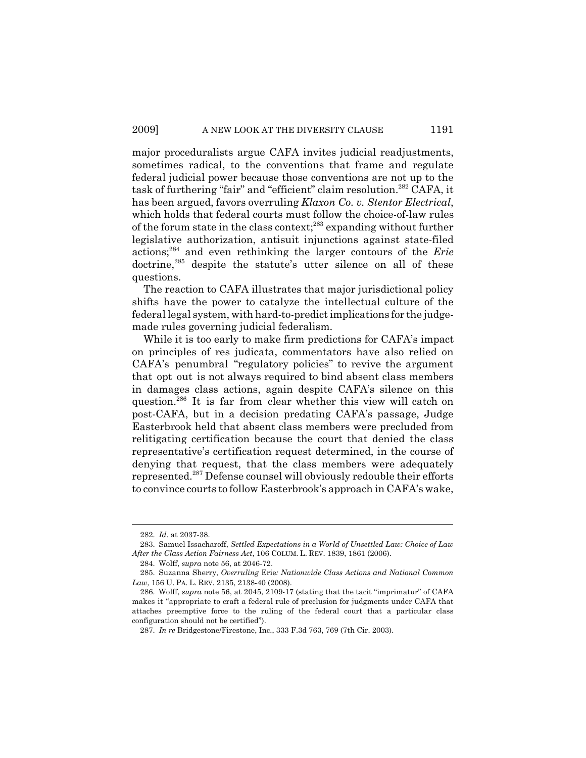major proceduralists argue CAFA invites judicial readjustments, sometimes radical, to the conventions that frame and regulate federal judicial power because those conventions are not up to the task of furthering "fair" and "efficient" claim resolution.<sup>282</sup> CAFA, it has been argued, favors overruling *Klaxon Co. v. Stentor Electrical*, which holds that federal courts must follow the choice-of-law rules of the forum state in the class context;283 expanding without further legislative authorization, antisuit injunctions against state-filed actions;284 and even rethinking the larger contours of the *Erie* doctrine,<sup>285</sup> despite the statute's utter silence on all of these questions.

The reaction to CAFA illustrates that major jurisdictional policy shifts have the power to catalyze the intellectual culture of the federal legal system, with hard-to-predict implications for the judgemade rules governing judicial federalism.

While it is too early to make firm predictions for CAFA's impact on principles of res judicata, commentators have also relied on CAFA's penumbral "regulatory policies" to revive the argument that opt out is not always required to bind absent class members in damages class actions, again despite CAFA's silence on this question.286 It is far from clear whether this view will catch on post-CAFA, but in a decision predating CAFA's passage, Judge Easterbrook held that absent class members were precluded from relitigating certification because the court that denied the class representative's certification request determined, in the course of denying that request, that the class members were adequately represented.287 Defense counsel will obviously redouble their efforts to convince courts to follow Easterbrook's approach in CAFA's wake,

<sup>282.</sup> *Id.* at 2037-38.

<sup>283.</sup> Samuel Issacharoff, *Settled Expectations in a World of Unsettled Law: Choice of Law After the Class Action Fairness Act*, 106 COLUM. L. REV. 1839, 1861 (2006).

<sup>284.</sup> Wolff, *supra* note 56, at 2046-72.

<sup>285.</sup> Suzanna Sherry, *Overruling* Erie*: Nationwide Class Actions and National Common Law*, 156 U. PA. L. REV. 2135, 2138-40 (2008).

<sup>286.</sup> Wolff, *supra* note 56, at 2045, 2109-17 (stating that the tacit "imprimatur" of CAFA makes it "appropriate to craft a federal rule of preclusion for judgments under CAFA that attaches preemptive force to the ruling of the federal court that a particular class configuration should not be certified").

<sup>287.</sup> *In re* Bridgestone/Firestone, Inc., 333 F.3d 763, 769 (7th Cir. 2003).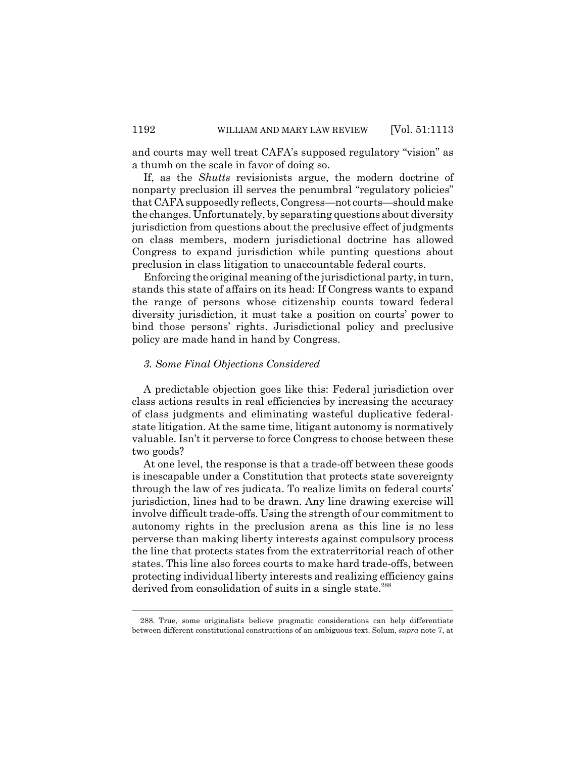and courts may well treat CAFA's supposed regulatory "vision" as a thumb on the scale in favor of doing so.

If, as the *Shutts* revisionists argue, the modern doctrine of nonparty preclusion ill serves the penumbral "regulatory policies" that CAFA supposedly reflects, Congress—not courts—should make the changes. Unfortunately, by separating questions about diversity jurisdiction from questions about the preclusive effect of judgments on class members, modern jurisdictional doctrine has allowed Congress to expand jurisdiction while punting questions about preclusion in class litigation to unaccountable federal courts.

Enforcing the original meaning of the jurisdictional party, in turn, stands this state of affairs on its head: If Congress wants to expand the range of persons whose citizenship counts toward federal diversity jurisdiction, it must take a position on courts' power to bind those persons' rights. Jurisdictional policy and preclusive policy are made hand in hand by Congress.

### *3. Some Final Objections Considered*

A predictable objection goes like this: Federal jurisdiction over class actions results in real efficiencies by increasing the accuracy of class judgments and eliminating wasteful duplicative federalstate litigation. At the same time, litigant autonomy is normatively valuable. Isn't it perverse to force Congress to choose between these two goods?

At one level, the response is that a trade-off between these goods is inescapable under a Constitution that protects state sovereignty through the law of res judicata. To realize limits on federal courts' jurisdiction, lines had to be drawn. Any line drawing exercise will involve difficult trade-offs. Using the strength of our commitment to autonomy rights in the preclusion arena as this line is no less perverse than making liberty interests against compulsory process the line that protects states from the extraterritorial reach of other states. This line also forces courts to make hard trade-offs, between protecting individual liberty interests and realizing efficiency gains derived from consolidation of suits in a single state.<sup>288</sup>

<sup>288.</sup> True, some originalists believe pragmatic considerations can help differentiate between different constitutional constructions of an ambiguous text. Solum, *supra* note 7, at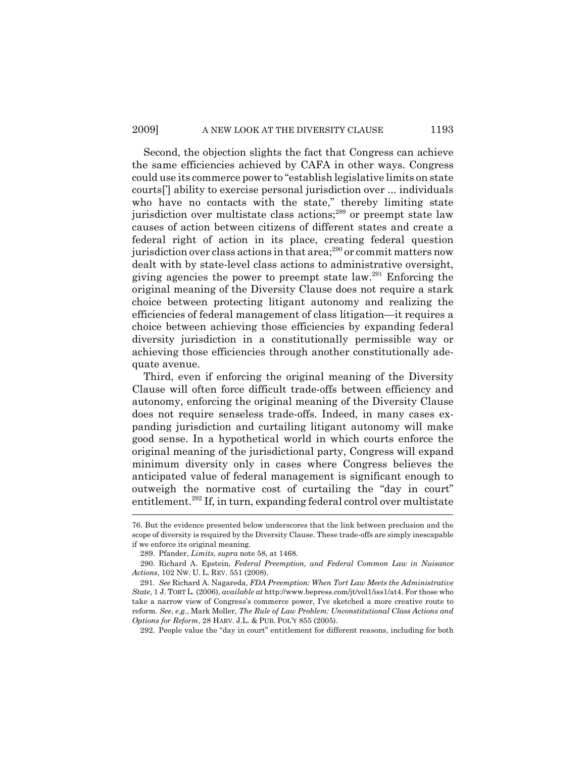Second, the objection slights the fact that Congress can achieve the same efficiencies achieved by CAFA in other ways. Congress could use its commerce power to "establish legislative limits on state courts['] ability to exercise personal jurisdiction over ... individuals who have no contacts with the state," thereby limiting state jurisdiction over multistate class actions;<sup>289</sup> or preempt state law causes of action between citizens of different states and create a federal right of action in its place, creating federal question jurisdiction over class actions in that  $area$ ;<sup>290</sup> or commit matters now dealt with by state-level class actions to administrative oversight, giving agencies the power to preempt state law.<sup>291</sup> Enforcing the original meaning of the Diversity Clause does not require a stark choice between protecting litigant autonomy and realizing the efficiencies of federal management of class litigation—it requires a choice between achieving those efficiencies by expanding federal diversity jurisdiction in a constitutionally permissible way or achieving those efficiencies through another constitutionally adequate avenue.

Third, even if enforcing the original meaning of the Diversity Clause will often force difficult trade-offs between efficiency and autonomy, enforcing the original meaning of the Diversity Clause does not require senseless trade-offs. Indeed, in many cases expanding jurisdiction and curtailing litigant autonomy will make good sense. In a hypothetical world in which courts enforce the original meaning of the jurisdictional party, Congress will expand minimum diversity only in cases where Congress believes the anticipated value of federal management is significant enough to outweigh the normative cost of curtailing the "day in court" entitlement.<sup>292</sup> If, in turn, expanding federal control over multistate

292. People value the "day in court" entitlement for different reasons, including for both

<sup>76.</sup> But the evidence presented below underscores that the link between preclusion and the scope of diversity is required by the Diversity Clause. These trade-offs are simply inescapable if we enforce its original meaning.

<sup>289.</sup> Pfander, *Limits*, *supra* note 58, at 1468.

<sup>290.</sup> Richard A. Epstein, *Federal Preemption, and Federal Common Law in Nuisance Actions*, 102 NW. U. L. REV. 551 (2008).

<sup>291.</sup> *See* Richard A. Nagareda, *FDA Preemption: When Tort Law Meets the Administrative State*, 1 J. TORT L. (2006), *available at* http://www.bepress.com/jt/vol1/iss1/at4. For those who take a narrow view of Congress's commerce power, I've sketched a more creative route to reform. *See*, *e.g.*, Mark Moller, *The Rule of Law Problem: Unconstitutional Class Actions and Options for Reform*, 28 HARV. J.L. & PUB. POL'Y 855 (2005).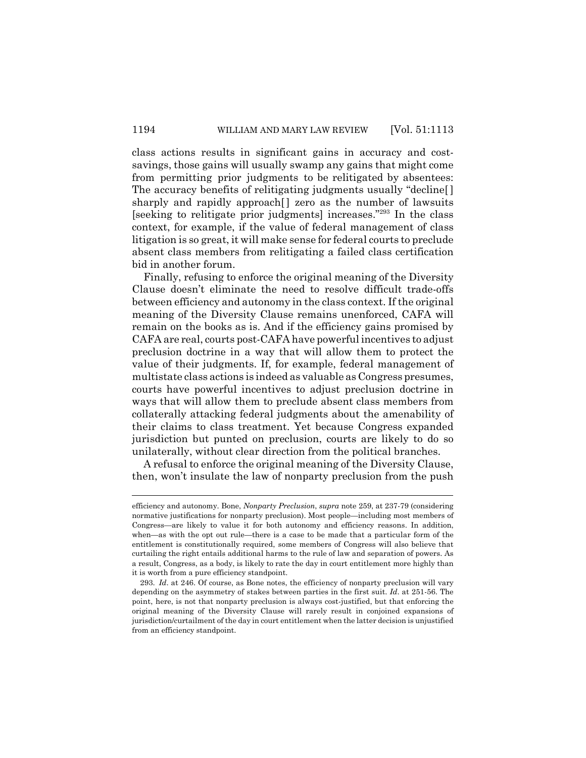class actions results in significant gains in accuracy and costsavings, those gains will usually swamp any gains that might come from permitting prior judgments to be relitigated by absentees: The accuracy benefits of relitigating judgments usually "decline[ ] sharply and rapidly approach<sup>[]</sup> zero as the number of lawsuits [seeking to relitigate prior judgments] increases."293 In the class context, for example, if the value of federal management of class litigation is so great, it will make sense for federal courts to preclude absent class members from relitigating a failed class certification bid in another forum.

Finally, refusing to enforce the original meaning of the Diversity Clause doesn't eliminate the need to resolve difficult trade-offs between efficiency and autonomy in the class context. If the original meaning of the Diversity Clause remains unenforced, CAFA will remain on the books as is. And if the efficiency gains promised by CAFA are real, courts post-CAFA have powerful incentives to adjust preclusion doctrine in a way that will allow them to protect the value of their judgments. If, for example, federal management of multistate class actions is indeed as valuable as Congress presumes, courts have powerful incentives to adjust preclusion doctrine in ways that will allow them to preclude absent class members from collaterally attacking federal judgments about the amenability of their claims to class treatment. Yet because Congress expanded jurisdiction but punted on preclusion, courts are likely to do so unilaterally, without clear direction from the political branches.

A refusal to enforce the original meaning of the Diversity Clause, then, won't insulate the law of nonparty preclusion from the push

efficiency and autonomy. Bone, *Nonparty Preclusion*, *supra* note 259, at 237-79 (considering normative justifications for nonparty preclusion). Most people—including most members of Congress—are likely to value it for both autonomy and efficiency reasons. In addition, when—as with the opt out rule—there is a case to be made that a particular form of the entitlement is constitutionally required, some members of Congress will also believe that curtailing the right entails additional harms to the rule of law and separation of powers. As a result, Congress, as a body, is likely to rate the day in court entitlement more highly than it is worth from a pure efficiency standpoint.

<sup>293.</sup> *Id*. at 246. Of course, as Bone notes, the efficiency of nonparty preclusion will vary depending on the asymmetry of stakes between parties in the first suit. *Id*. at 251-56. The point, here, is not that nonparty preclusion is always cost-justified, but that enforcing the original meaning of the Diversity Clause will rarely result in conjoined expansions of jurisdiction/curtailment of the day in court entitlement when the latter decision is unjustified from an efficiency standpoint.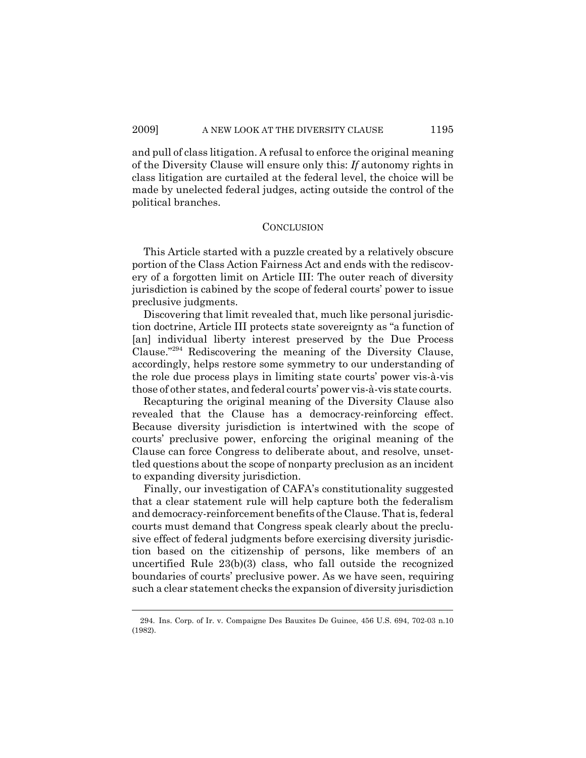and pull of class litigation. A refusal to enforce the original meaning of the Diversity Clause will ensure only this: *If* autonomy rights in class litigation are curtailed at the federal level, the choice will be made by unelected federal judges, acting outside the control of the political branches.

### **CONCLUSION**

This Article started with a puzzle created by a relatively obscure portion of the Class Action Fairness Act and ends with the rediscovery of a forgotten limit on Article III: The outer reach of diversity jurisdiction is cabined by the scope of federal courts' power to issue preclusive judgments.

Discovering that limit revealed that, much like personal jurisdiction doctrine, Article III protects state sovereignty as "a function of [an] individual liberty interest preserved by the Due Process Clause."294 Rediscovering the meaning of the Diversity Clause, accordingly, helps restore some symmetry to our understanding of the role due process plays in limiting state courts' power vis-à-vis those of other states, and federal courts' power vis-à-vis state courts.

Recapturing the original meaning of the Diversity Clause also revealed that the Clause has a democracy-reinforcing effect. Because diversity jurisdiction is intertwined with the scope of courts' preclusive power, enforcing the original meaning of the Clause can force Congress to deliberate about, and resolve, unsettled questions about the scope of nonparty preclusion as an incident to expanding diversity jurisdiction.

Finally, our investigation of CAFA's constitutionality suggested that a clear statement rule will help capture both the federalism and democracy-reinforcement benefits of the Clause. That is, federal courts must demand that Congress speak clearly about the preclusive effect of federal judgments before exercising diversity jurisdiction based on the citizenship of persons, like members of an uncertified Rule 23(b)(3) class, who fall outside the recognized boundaries of courts' preclusive power. As we have seen, requiring such a clear statement checks the expansion of diversity jurisdiction

<sup>294.</sup> Ins. Corp. of Ir. v. Compaigne Des Bauxites De Guinee, 456 U.S. 694, 702-03 n.10 (1982).